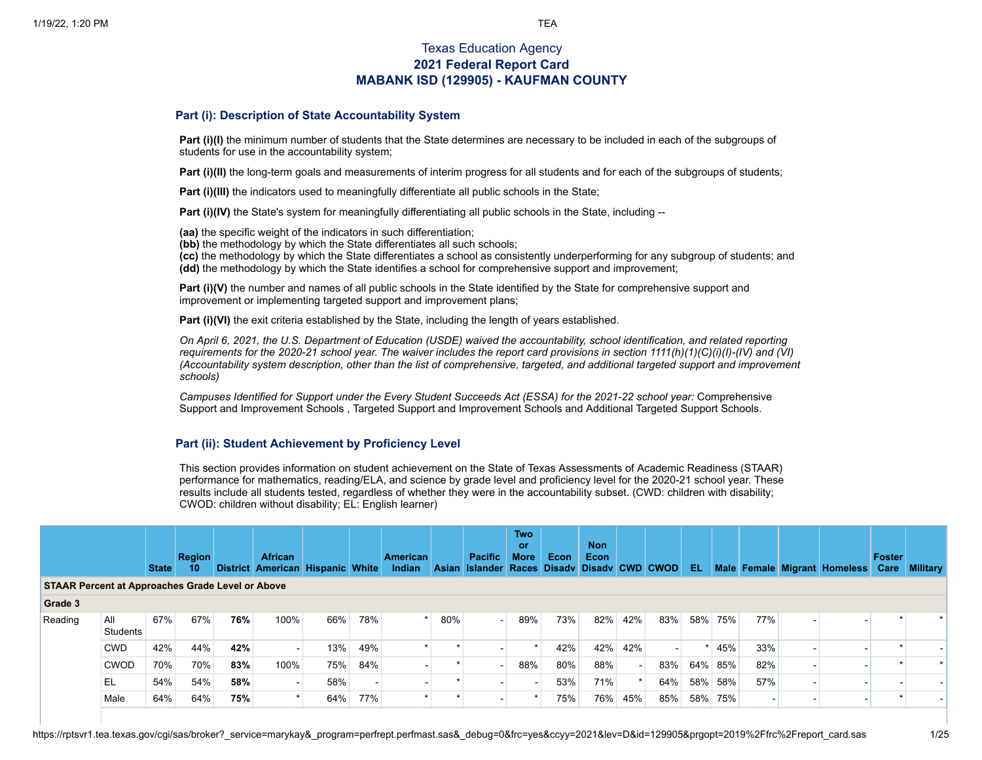# Texas Education Agency **2021 Federal Report Card MABANK ISD (129905) - KAUFMAN COUNTY**

### **Part (i): Description of State Accountability System**

**Part (i)(I)** the minimum number of students that the State determines are necessary to be included in each of the subgroups of students for use in the accountability system;

**Part (i)(II)** the long-term goals and measurements of interim progress for all students and for each of the subgroups of students;

**Part (i)(III)** the indicators used to meaningfully differentiate all public schools in the State;

**Part (i)(IV)** the State's system for meaningfully differentiating all public schools in the State, including --

**(aa)** the specific weight of the indicators in such differentiation;

**(bb)** the methodology by which the State differentiates all such schools;

**(cc)** the methodology by which the State differentiates a school as consistently underperforming for any subgroup of students; and **(dd)** the methodology by which the State identifies a school for comprehensive support and improvement;

**Part (i)(V)** the number and names of all public schools in the State identified by the State for comprehensive support and improvement or implementing targeted support and improvement plans;

**Part (i)(VI)** the exit criteria established by the State, including the length of years established.

On April 6, 2021, the U.S. Department of Education (USDE) waived the accountability, school identification, and related reporting requirements for the 2020-21 school year. The waiver includes the report card provisions in section  $1111(h)(1)(C(i)(l) - (IV)$  and  $(Vl)$ (Accountability system description, other than the list of comprehensive, targeted, and additional targeted support and improvement *schools)*

Campuses Identified for Support under the Every Student Succeeds Act (ESSA) for the 2021-22 school year: [Comprehensive](https://tea.texas.gov/sites/default/files/comprehensive_support_2021.xlsx) Support and Improvement Schools , Targeted Support and [Improvement](https://tea.texas.gov/sites/default/files/targeted_support_2021.xlsx) Schools and [Additional](https://tea.texas.gov/sites/default/files/additional_targeted_support_2021.xlsx) Targeted Support Schools.

### **Part (ii): Student Achievement by Proficiency Level**

This section provides information on student achievement on the State of Texas Assessments of Academic Readiness (STAAR) performance for mathematics, reading/ELA, and science by grade level and proficiency level for the 2020-21 school year. These results include all students tested, regardless of whether they were in the accountability subset. (CWD: children with disability; CWOD: children without disability; EL: English learner)

|                                                         |                 | <b>State</b> | <b>Region</b><br>10 <sup>°</sup> |     | <b>African</b><br>District American Hispanic White |     |     | American<br>Indian |         | <b>Pacific</b><br>Asian Islander Races Disady Disady CWD CWOD | <b>Two</b><br><b>or</b><br><b>More</b> | Econ | <b>Non</b><br>Econ |        |                          | EL. |     |     | Male Female Migrant Homeless | <b>Foster</b><br>Care | <b>Military</b> |
|---------------------------------------------------------|-----------------|--------------|----------------------------------|-----|----------------------------------------------------|-----|-----|--------------------|---------|---------------------------------------------------------------|----------------------------------------|------|--------------------|--------|--------------------------|-----|-----|-----|------------------------------|-----------------------|-----------------|
| <b>STAAR Percent at Approaches Grade Level or Above</b> |                 |              |                                  |     |                                                    |     |     |                    |         |                                                               |                                        |      |                    |        |                          |     |     |     |                              |                       |                 |
| Grade 3                                                 |                 |              |                                  |     |                                                    |     |     |                    |         |                                                               |                                        |      |                    |        |                          |     |     |     |                              |                       |                 |
| Reading                                                 | All<br>Students | 67%          | 67%                              | 76% | 100%                                               | 66% | 78% |                    | 80%     |                                                               | 89%                                    | 73%  | 82%                | 42%    | 83%                      | 58% | 75% | 77% |                              |                       |                 |
|                                                         | <b>CWD</b>      | 42%          | 44%                              | 42% | $\blacksquare$                                     | 13% | 49% |                    | $\star$ |                                                               |                                        | 42%  | 42%                | 42%    | $\overline{\phantom{0}}$ |     | 45% | 33% |                              |                       |                 |
|                                                         | <b>CWOD</b>     | 70%          | 70%                              | 83% | 100%                                               | 75% | 84% |                    |         |                                                               | 88%                                    | 80%  | 88%                | $\sim$ | 83%                      | 64% | 85% | 82% |                              |                       |                 |
|                                                         | 'EL             | 54%          | 54%                              | 58% |                                                    | 58% |     |                    | $\star$ |                                                               |                                        | 53%  | 71%                |        | 64%                      | 58% | 58% | 57% |                              |                       |                 |
|                                                         | Male            | 64%          | 64%                              | 75% |                                                    | 64% | 77% |                    |         |                                                               |                                        | 75%  | 76%                | 45%    | 85%                      | 58% | 75% |     |                              |                       |                 |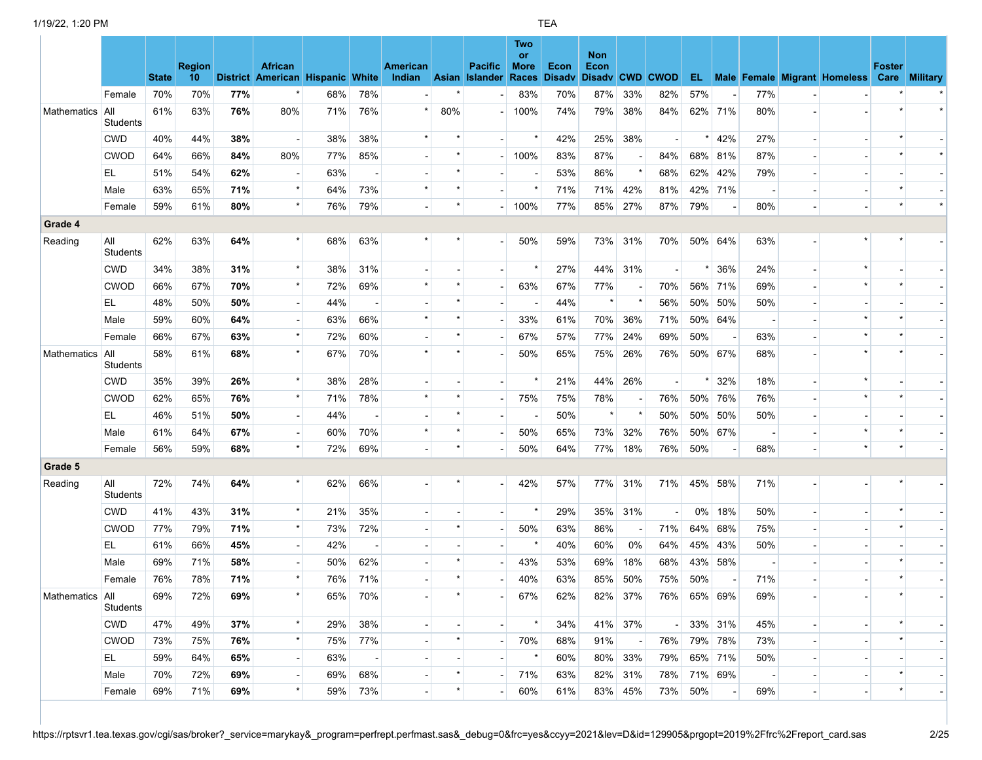|                 |                        | <b>State</b> | <b>Region</b><br>10 <sup>°</sup> |     | <b>African</b><br>District American Hispanic White |     |         | American<br>Indian       |         | <b>Pacific</b><br>Asian Islander Races | Two<br><b>or</b><br><b>More</b> | Econ<br><b>Disadv</b> | <b>Non</b><br>Econ |         | Disady CWD CWOD |             |         |     | EL Male Female Migrant Homeless Care Military | <b>Foster</b> |  |
|-----------------|------------------------|--------------|----------------------------------|-----|----------------------------------------------------|-----|---------|--------------------------|---------|----------------------------------------|---------------------------------|-----------------------|--------------------|---------|-----------------|-------------|---------|-----|-----------------------------------------------|---------------|--|
|                 | Female                 | 70%          | 70%                              | 77% |                                                    | 68% | 78%     |                          |         |                                        | 83%                             | 70%                   | 87%                | 33%     | 82%             | 57%         |         | 77% |                                               |               |  |
| Mathematics     | All<br>Students        | 61%          | 63%                              | 76% | 80%                                                | 71% | 76%     |                          | 80%     |                                        | 100%                            | 74%                   | 79%                | 38%     | 84%             |             | 62% 71% | 80% |                                               |               |  |
|                 | <b>CWD</b>             | 40%          | 44%                              | 38% | $\overline{\phantom{a}}$                           | 38% | 38%     |                          |         |                                        |                                 | 42%                   | 25%                | 38%     |                 |             | 42%     | 27% |                                               |               |  |
|                 | <b>CWOD</b>            | 64%          | 66%                              | 84% | 80%                                                | 77% | 85%     |                          |         |                                        | 100%                            | 83%                   | 87%                |         | 84%             |             | 68% 81% | 87% |                                               |               |  |
|                 | EL.                    | 51%          | 54%                              | 62% |                                                    | 63% |         |                          |         |                                        |                                 | 53%                   | 86%                | $\star$ | 68%             | 62%         | 42%     | 79% |                                               |               |  |
|                 | Male                   | 63%          | 65%                              | 71% | $\star$                                            | 64% | 73%     |                          |         |                                        |                                 | 71%                   | 71%                | 42%     | 81%             |             | 42% 71% |     |                                               |               |  |
|                 | Female                 | 59%          | 61%                              | 80% | $\star$                                            | 76% | 79%     |                          |         |                                        | 100%                            | 77%                   | 85%                | 27%     | 87%             | 79%         |         | 80% |                                               |               |  |
| Grade 4         |                        |              |                                  |     |                                                    |     |         |                          |         |                                        |                                 |                       |                    |         |                 |             |         |     |                                               |               |  |
| Reading         | All<br>Students        | 62%          | 63%                              | 64% |                                                    | 68% | 63%     |                          |         |                                        | 50%                             | 59%                   | 73%                | 31%     | 70%             |             | 50% 64% | 63% |                                               |               |  |
|                 | <b>CWD</b>             | 34%          | 38%                              | 31% | $\star$                                            | 38% | 31%     |                          |         |                                        | $\star$                         | 27%                   | 44%                | 31%     |                 | $\star$     | 36%     | 24% |                                               |               |  |
|                 | <b>CWOD</b>            | 66%          | 67%                              | 70% | $\star$                                            | 72% | 69%     |                          |         |                                        | 63%                             | 67%                   | 77%                |         | 70%             |             | 56% 71% | 69% |                                               |               |  |
|                 | EL.                    | 48%          | 50%                              | 50% |                                                    | 44% |         |                          |         |                                        |                                 | 44%                   |                    |         | 56%             |             | 50% 50% | 50% |                                               |               |  |
|                 | Male                   | 59%          | 60%                              | 64% |                                                    | 63% | 66%     |                          |         |                                        | 33%                             | 61%                   | 70%                | 36%     | 71%             |             | 50% 64% |     |                                               |               |  |
|                 | Female                 | 66%          | 67%                              | 63% | $\star$                                            | 72% | 60%     |                          |         |                                        | 67%                             | 57%                   | 77%                | 24%     | 69%             | 50%         |         | 63% |                                               |               |  |
| Mathematics     | All<br><b>Students</b> | 58%          | 61%                              | 68% | $\star$                                            | 67% | 70%     |                          |         |                                        | 50%                             | 65%                   | 75%                | 26%     | 76%             |             | 50% 67% | 68% |                                               |               |  |
|                 | <b>CWD</b>             | 35%          | 39%                              | 26% | $\star$                                            | 38% | 28%     |                          |         |                                        |                                 | 21%                   | 44%                | 26%     |                 |             | 32%     | 18% |                                               |               |  |
|                 | <b>CWOD</b>            | 62%          | 65%                              | 76% | $\star$                                            | 71% | 78%     | $\star$                  | $\star$ |                                        | 75%                             | 75%                   | 78%                |         | 76%             |             | 50% 76% | 76% | $\star$                                       |               |  |
|                 | EL.                    | 46%          | 51%                              | 50% |                                                    | 44% |         |                          |         |                                        |                                 | 50%                   | $\star$            |         | 50%             |             | 50% 50% | 50% |                                               |               |  |
|                 | Male                   | 61%          | 64%                              | 67% |                                                    | 60% | 70%     |                          |         |                                        | 50%                             | 65%                   | 73%                | 32%     | 76%             |             | 50% 67% |     |                                               |               |  |
|                 | Female                 | 56%          | 59%                              | 68% | $\star$                                            | 72% | 69%     |                          | $\star$ |                                        | 50%                             | 64%                   | 77%                | 18%     | 76%             | 50%         |         | 68% | $\star$                                       |               |  |
| Grade 5         |                        |              |                                  |     |                                                    |     |         |                          |         |                                        |                                 |                       |                    |         |                 |             |         |     |                                               |               |  |
| Reading         | All<br>Students        | 72%          | 74%                              | 64% |                                                    | 62% | 66%     |                          |         |                                        | 42%                             | 57%                   | 77%                | 31%     | 71%             |             | 45% 58% | 71% |                                               |               |  |
|                 | <b>CWD</b>             | 41%          | 43%                              | 31% | $\star$                                            | 21% | 35%     |                          |         |                                        |                                 | 29%                   | 35%                | 31%     |                 |             | 0% 18%  | 50% |                                               |               |  |
|                 | <b>CWOD</b>            | 77%          | 79%                              | 71% | $\star$                                            | 73% | 72%     |                          |         |                                        | 50%                             | 63%                   | 86%                |         | 71%             |             | 64% 68% | 75% |                                               |               |  |
|                 | EL.                    | 61%          | 66%                              | 45% |                                                    | 42% |         |                          |         |                                        |                                 | 40%                   | 60%                | 0%      | 64%             | 45%         | 43%     | 50% |                                               |               |  |
|                 | Male                   | 69%          | 71%                              | 58% |                                                    | 50% | 62%     |                          |         |                                        | 43%                             | 53%                   | 69%                | 18%     | 68%             |             | 43% 58% |     |                                               |               |  |
|                 | Female                 | 76%          | 78%                              | 71% | $\star$                                            | 76% | 71%     |                          |         |                                        | 40%                             | 63%                   | 85%                | 50%     | 75%             | 50%         |         | 71% |                                               |               |  |
| Mathematics All | Students               | 69%          | 72%                              | 69% | $\star$                                            |     | 65% 70% |                          |         |                                        | 67%                             | 62%                   | 82%                | 37%     |                 | 76% 65% 69% |         | 69% |                                               |               |  |
|                 | <b>CWD</b>             | 47%          | 49%                              | 37% | $\star$                                            | 29% | 38%     |                          |         |                                        | $\star$                         | 34%                   |                    | 41% 37% | $\sim$ $\mid$   |             | 33% 31% | 45% |                                               |               |  |
|                 | <b>CWOD</b>            | 73%          | 75%                              | 76% | $\star$                                            | 75% | 77%     |                          | $\star$ |                                        | 70%                             | 68%                   | 91%                |         | 76%             |             | 79% 78% | 73% |                                               |               |  |
|                 | EL.                    | 59%          | 64%                              | 65% |                                                    | 63% |         |                          |         |                                        | $\star$                         | 60%                   |                    | 80% 33% | 79%             |             | 65% 71% | 50% |                                               |               |  |
|                 | Male                   | 70%          | 72%                              | 69% |                                                    | 69% | 68%     |                          |         |                                        | 71%                             | 63%                   |                    | 82% 31% | 78%             |             | 71% 69% |     |                                               |               |  |
|                 | Female                 | 69%          | 71%                              | 69% |                                                    | 59% | 73%     | $\overline{\phantom{a}}$ |         |                                        | 60%                             | 61%                   |                    | 83% 45% | 73%             | 50%         |         | 69% | $\overline{\phantom{a}}$                      |               |  |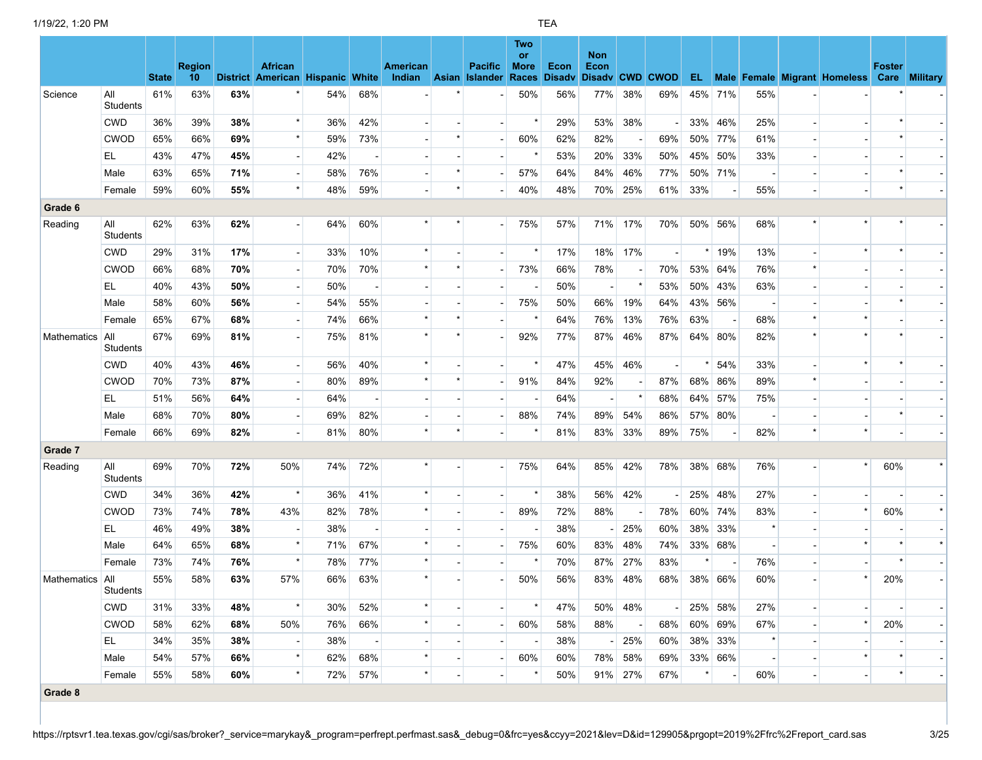|                    |                 | <b>State</b> | <b>Region</b><br>10 |     | <b>African</b><br>District American Hispanic White |     |                          | American<br>Indian Asian | <b>Pacific</b><br><b>Islander</b> | Two<br><b>or</b><br><b>More</b><br>Races | Econ<br><b>Disady</b> | <b>Non</b><br>Econ<br>Disady CWD CWOD |         |     |         |                          |         |                          | <b>EL</b> Male Female Migrant Homeless Care | <b>Foster</b> | <b>Military</b> |
|--------------------|-----------------|--------------|---------------------|-----|----------------------------------------------------|-----|--------------------------|--------------------------|-----------------------------------|------------------------------------------|-----------------------|---------------------------------------|---------|-----|---------|--------------------------|---------|--------------------------|---------------------------------------------|---------------|-----------------|
| Science            | All             | 61%          | 63%                 | 63% |                                                    | 54% | 68%                      |                          |                                   | 50%                                      | 56%                   | 77%                                   | 38%     | 69% |         | 45% 71%                  | 55%     |                          |                                             |               |                 |
|                    | Students        |              |                     |     | $\star$                                            |     |                          |                          |                                   |                                          |                       |                                       |         |     |         |                          |         |                          |                                             |               |                 |
|                    | <b>CWD</b>      | 36%          | 39%                 | 38% | $\star$                                            | 36% | 42%                      |                          |                                   |                                          | 29%                   | 53%                                   | 38%     |     |         | 33% 46%                  | 25%     |                          |                                             |               |                 |
|                    | <b>CWOD</b>     | 65%          | 66%                 | 69% |                                                    | 59% | 73%                      |                          |                                   | 60%                                      | 62%                   | 82%                                   |         | 69% |         | 50% 77%                  | 61%     |                          |                                             |               |                 |
|                    | EL              | 43%          | 47%                 | 45% | $\overline{\phantom{a}}$                           | 42% | $\overline{\phantom{a}}$ |                          |                                   |                                          | 53%                   | 20%                                   | 33%     | 50% | 45%     | 50%                      | 33%     |                          |                                             |               |                 |
|                    | Male            | 63%          | 65%                 | 71% | $\star$                                            | 58% | 76%                      |                          |                                   | 57%                                      | 64%                   | 84%                                   | 46%     | 77% |         | 50% 71%                  |         |                          |                                             |               |                 |
|                    | Female          | 59%          | 60%                 | 55% |                                                    | 48% | 59%                      |                          |                                   | 40%                                      | 48%                   | 70%                                   | 25%     | 61% | 33%     |                          | 55%     |                          |                                             |               |                 |
| Grade 6            |                 |              |                     |     |                                                    |     |                          |                          |                                   |                                          |                       |                                       |         |     |         |                          |         |                          |                                             |               |                 |
| Reading            | All<br>Students | 62%          | 63%                 | 62% |                                                    | 64% | 60%                      |                          |                                   | 75%                                      | 57%                   | 71%                                   | 17%     | 70% |         | 50% 56%                  | 68%     |                          |                                             |               |                 |
|                    | <b>CWD</b>      | 29%          | 31%                 | 17% | $\overline{\phantom{a}}$                           | 33% | 10%                      | $\star$                  |                                   |                                          | 17%                   | 18%                                   | 17%     |     | $\star$ | 19%                      | 13%     |                          |                                             |               |                 |
|                    | <b>CWOD</b>     | 66%          | 68%                 | 70% |                                                    | 70% | 70%                      | $\star$                  |                                   | 73%                                      | 66%                   | 78%                                   |         | 70% |         | 53% 64%                  | 76%     | $\star$                  |                                             |               |                 |
|                    | EL              | 40%          | 43%                 | 50% |                                                    | 50% |                          |                          |                                   |                                          | 50%                   | $\overline{\phantom{a}}$              |         | 53% | 50%     | 43%                      | 63%     |                          |                                             |               |                 |
|                    | Male            | 58%          | 60%                 | 56% |                                                    | 54% | 55%                      |                          |                                   | 75%                                      | 50%                   | 66%                                   | 19%     | 64% |         | 43% 56%                  |         |                          |                                             |               |                 |
|                    | Female          | 65%          | 67%                 | 68% | $\overline{\phantom{a}}$                           | 74% | 66%                      |                          |                                   |                                          | 64%                   | 76%                                   | 13%     | 76% | 63%     |                          | 68%     | $\star$                  |                                             |               |                 |
| <b>Mathematics</b> | All<br>Students | 67%          | 69%                 | 81% |                                                    | 75% | 81%                      | $\star$                  |                                   | 92%                                      | 77%                   | 87%                                   | 46%     | 87% |         | 64% 80%                  | 82%     | $\star$                  | $\star$                                     |               |                 |
|                    | <b>CWD</b>      | 40%          | 43%                 | 46% |                                                    | 56% | 40%                      |                          |                                   |                                          | 47%                   | 45%                                   | 46%     |     |         | 54%                      | 33%     |                          |                                             |               |                 |
|                    | <b>CWOD</b>     | 70%          | 73%                 | 87% |                                                    | 80% | 89%                      | $\star$                  |                                   | 91%                                      | 84%                   | 92%                                   |         | 87% | 68%     | 86%                      | 89%     |                          |                                             |               |                 |
|                    | EL.             | 51%          | 56%                 | 64% | $\overline{\phantom{a}}$                           | 64% | $\overline{\phantom{a}}$ |                          |                                   |                                          | 64%                   | $\blacksquare$                        | $\star$ | 68% |         | 64% 57%                  | 75%     |                          |                                             |               |                 |
|                    | Male            | 68%          | 70%                 | 80% |                                                    | 69% | 82%                      |                          |                                   | 88%                                      | 74%                   | 89%                                   | 54%     | 86% |         | 57% 80%                  |         |                          |                                             |               |                 |
|                    | Female          | 66%          | 69%                 | 82% |                                                    | 81% | 80%                      | $\star$                  |                                   |                                          | 81%                   | 83%                                   | 33%     | 89% | 75%     |                          | 82%     |                          |                                             |               |                 |
| Grade 7            |                 |              |                     |     |                                                    |     |                          |                          |                                   |                                          |                       |                                       |         |     |         |                          |         |                          |                                             |               |                 |
| Reading            | All<br>Students | 69%          | 70%                 | 72% | 50%                                                | 74% | 72%                      |                          |                                   | 75%                                      | 64%                   | 85%                                   | 42%     | 78% |         | 38% 68%                  | 76%     |                          | $\star$                                     | 60%           |                 |
|                    | <b>CWD</b>      | 34%          | 36%                 | 42% | $\star$                                            | 36% | 41%                      |                          |                                   |                                          | 38%                   | 56%                                   | 42%     |     | 25%     | 48%                      | 27%     | $\overline{a}$           |                                             |               |                 |
|                    | <b>CWOD</b>     | 73%          | 74%                 | 78% | 43%                                                | 82% | 78%                      |                          |                                   | 89%                                      | 72%                   | 88%                                   |         | 78% | 60%     | 74%                      | 83%     |                          | $\star$                                     | 60%           |                 |
|                    | EL.             | 46%          | 49%                 | 38% | $\overline{\phantom{a}}$                           | 38% |                          |                          |                                   |                                          | 38%                   |                                       | 25%     | 60% | 38%     | 33%                      | $\star$ |                          |                                             |               |                 |
|                    | Male            | 64%          | 65%                 | 68% | $\star$                                            | 71% | 67%                      |                          |                                   | 75%                                      | 60%                   | 83%                                   | 48%     | 74% | 33%     | 68%                      |         |                          |                                             |               | $\star$         |
|                    | Female          | 73%          | 74%                 | 76% | $\star$                                            | 78% | 77%                      | $\star$                  |                                   |                                          | 70%                   | 87%                                   | 27%     | 83% | $\star$ | $\overline{\phantom{a}}$ | 76%     | $\overline{\phantom{0}}$ |                                             |               |                 |
| <b>Mathematics</b> | All<br>Students | 55%          | 58%                 | 63% | 57%                                                | 66% | 63%                      | $\star$                  |                                   | 50%                                      | 56%                   | 83%                                   | 48%     | 68% |         | 38% 66%                  | 60%     |                          | $\star$                                     | 20%           |                 |
|                    | <b>CWD</b>      | 31%          | 33%                 | 48% | $\star$                                            | 30% | 52%                      |                          |                                   |                                          | 47%                   | 50%                                   | 48%     |     |         | 25% 58%                  | 27%     |                          |                                             |               |                 |
|                    | <b>CWOD</b>     | 58%          | 62%                 | 68% | 50%                                                | 76% | 66%                      | $\star$                  |                                   | 60%                                      | 58%                   | 88%                                   |         | 68% |         | 60% 69%                  | 67%     | $\overline{a}$           | $\star$                                     | 20%           |                 |
|                    | EL.             | 34%          | 35%                 | 38% | $\overline{\phantom{a}}$                           | 38% | $\overline{\phantom{a}}$ |                          |                                   |                                          | 38%                   |                                       | $-25%$  | 60% |         | 38% 33%                  |         |                          | $\blacksquare$                              |               |                 |
|                    | Male            | 54%          | 57%                 | 66% | $\star$                                            | 62% | 68%                      |                          |                                   | 60%                                      | 60%                   |                                       | 78% 58% | 69% |         | 33% 66%                  |         |                          | $\star$                                     |               |                 |
|                    | Female          | 55%          | 58%                 | 60% | $\star$                                            | 72% | 57%                      | $\star$                  |                                   |                                          | 50%                   |                                       | 91% 27% | 67% | $\star$ | $\overline{\phantom{a}}$ | 60%     | $\blacksquare$           | $\overline{\phantom{a}}$                    |               |                 |
| Grade 8            |                 |              |                     |     |                                                    |     |                          |                          |                                   |                                          |                       |                                       |         |     |         |                          |         |                          |                                             |               |                 |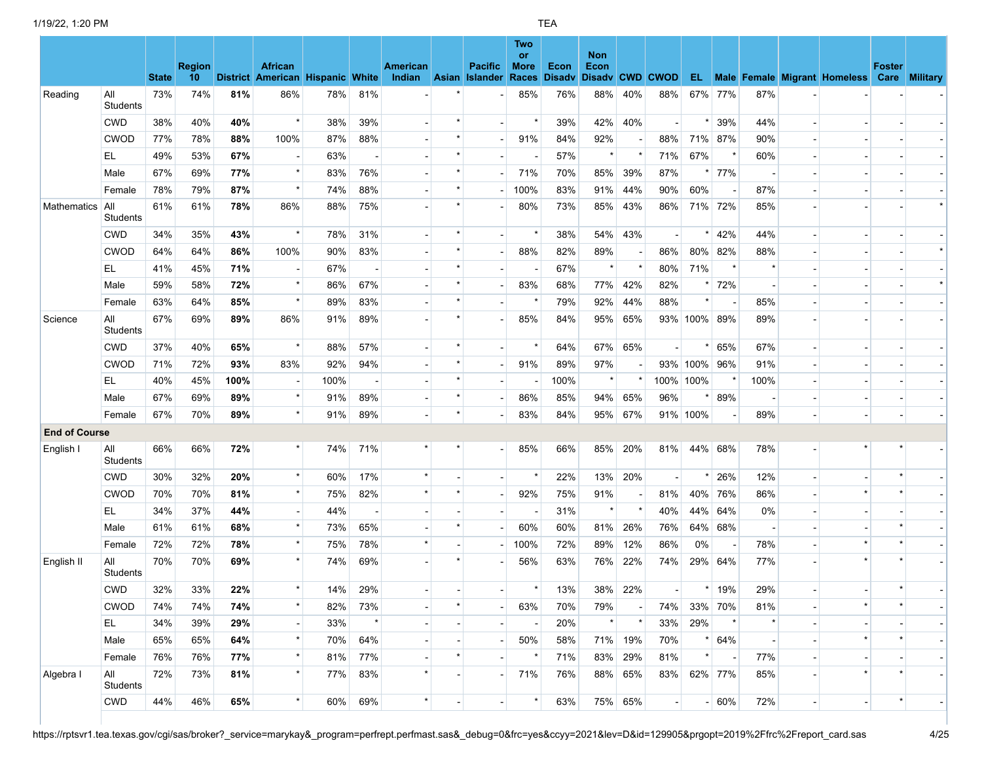|                      |                        | <b>State</b> | <b>Region</b><br>10 <sup>°</sup> |      | <b>African</b><br>District American Hispanic White |      |     | American<br><b>Indian</b> | <b>Asian</b>             | <b>Pacific</b><br><b>Islander</b> | Two<br>or<br><b>More</b><br>Races | <b>Econ</b><br><b>Disadv</b> | <b>Non</b><br>Econ |         | Disadv CWD CWOD |              |         |      |                          | EL Male Female Migrant Homeless Care Military | <b>Foster</b> |  |
|----------------------|------------------------|--------------|----------------------------------|------|----------------------------------------------------|------|-----|---------------------------|--------------------------|-----------------------------------|-----------------------------------|------------------------------|--------------------|---------|-----------------|--------------|---------|------|--------------------------|-----------------------------------------------|---------------|--|
| Reading              | All<br>Students        | 73%          | 74%                              | 81%  | 86%                                                | 78%  | 81% |                           |                          |                                   | 85%                               | 76%                          | 88%                | 40%     | 88%             |              | 67% 77% | 87%  |                          |                                               |               |  |
|                      | <b>CWD</b>             | 38%          | 40%                              | 40%  | $\star$                                            | 38%  | 39% |                           |                          |                                   |                                   | 39%                          | 42%                | 40%     |                 |              | 39%     | 44%  |                          |                                               |               |  |
|                      | <b>CWOD</b>            | 77%          | 78%                              | 88%  | 100%                                               | 87%  | 88% |                           |                          |                                   | 91%                               | 84%                          | 92%                |         | 88%             |              | 71% 87% | 90%  |                          |                                               |               |  |
|                      | EL                     | 49%          | 53%                              | 67%  |                                                    | 63%  |     |                           |                          |                                   |                                   | 57%                          |                    |         | 71%             | 67%          |         | 60%  |                          |                                               |               |  |
|                      | Male                   | 67%          | 69%                              | 77%  | $\star$                                            | 83%  | 76% |                           |                          |                                   | 71%                               | 70%                          | 85%                | 39%     | 87%             |              | 77%     |      |                          |                                               |               |  |
|                      | Female                 | 78%          | 79%                              | 87%  | $\star$                                            | 74%  | 88% |                           |                          |                                   | 100%                              | 83%                          | 91%                | 44%     | 90%             | 60%          |         | 87%  |                          |                                               |               |  |
| <b>Mathematics</b>   | All<br>Students        | 61%          | 61%                              | 78%  | 86%                                                | 88%  | 75% |                           |                          |                                   | 80%                               | 73%                          | 85%                | 43%     | 86%             |              | 71% 72% | 85%  |                          |                                               |               |  |
|                      | <b>CWD</b>             | 34%          | 35%                              | 43%  | $\star$                                            | 78%  | 31% |                           | $\star$                  |                                   |                                   | 38%                          | 54%                | 43%     |                 | $\star$      | 42%     | 44%  |                          |                                               |               |  |
|                      | <b>CWOD</b>            | 64%          | 64%                              | 86%  | 100%                                               | 90%  | 83% |                           |                          |                                   | 88%                               | 82%                          | 89%                |         | 86%             | 80%          | 82%     | 88%  |                          |                                               |               |  |
|                      | EL.                    | 41%          | 45%                              | 71%  |                                                    | 67%  |     |                           |                          |                                   |                                   | 67%                          | $\star$            | $\star$ | 80%             | 71%          | $\star$ |      |                          |                                               |               |  |
|                      | Male                   | 59%          | 58%                              | 72%  | $\star$                                            | 86%  | 67% |                           |                          |                                   | 83%                               | 68%                          | 77%                | 42%     | 82%             |              | 72%     |      |                          |                                               |               |  |
|                      | Female                 | 63%          | 64%                              | 85%  | $\star$                                            | 89%  | 83% |                           |                          |                                   |                                   | 79%                          | 92%                | 44%     | 88%             |              |         | 85%  |                          |                                               |               |  |
| Science              | All<br><b>Students</b> | 67%          | 69%                              | 89%  | 86%                                                | 91%  | 89% |                           |                          |                                   | 85%                               | 84%                          | 95%                | 65%     |                 | 93% 100% 89% |         | 89%  |                          |                                               |               |  |
|                      | <b>CWD</b>             | 37%          | 40%                              | 65%  | $\star$                                            | 88%  | 57% |                           | $\star$                  |                                   |                                   | 64%                          | 67%                | 65%     |                 | $\star$      | 65%     | 67%  |                          |                                               |               |  |
|                      | <b>CWOD</b>            | 71%          | 72%                              | 93%  | 83%                                                | 92%  | 94% |                           |                          |                                   | 91%                               | 89%                          | 97%                |         |                 | 93% 100% 96% |         | 91%  |                          |                                               |               |  |
|                      | EL                     | 40%          | 45%                              | 100% |                                                    | 100% |     |                           | $\star$                  |                                   |                                   | 100%                         | $\star$            | $\star$ | 100%            | 100%         |         | 100% |                          |                                               |               |  |
|                      | Male                   | 67%          | 69%                              | 89%  | $\star$                                            | 91%  | 89% |                           | $\star$                  |                                   | 86%                               | 85%                          | 94%                | 65%     | 96%             |              | 89%     |      |                          |                                               |               |  |
|                      | Female                 | 67%          | 70%                              | 89%  | $\star$                                            | 91%  | 89% |                           |                          |                                   | 83%                               | 84%                          | 95%                | 67%     |                 | 91% 100%     |         | 89%  |                          |                                               |               |  |
| <b>End of Course</b> |                        |              |                                  |      |                                                    |      |     |                           |                          |                                   |                                   |                              |                    |         |                 |              |         |      |                          |                                               |               |  |
| English I            | All<br>Students        | 66%          | 66%                              | 72%  |                                                    | 74%  | 71% |                           |                          |                                   | 85%                               | 66%                          | 85%                | 20%     | 81%             |              | 44% 68% | 78%  |                          |                                               |               |  |
|                      | <b>CWD</b>             | 30%          | 32%                              | 20%  | $\star$                                            | 60%  | 17% |                           |                          |                                   |                                   | 22%                          | 13%                | 20%     |                 |              | 26%     | 12%  |                          |                                               |               |  |
|                      | <b>CWOD</b>            | 70%          | 70%                              | 81%  | $\star$                                            | 75%  | 82% |                           |                          |                                   | 92%                               | 75%                          | 91%                |         | 81%             |              | 40% 76% | 86%  |                          |                                               |               |  |
|                      | EL.                    | 34%          | 37%                              | 44%  |                                                    | 44%  |     |                           |                          |                                   |                                   | 31%                          | $^\star$           |         | 40%             |              | 44% 64% | 0%   |                          |                                               |               |  |
|                      | Male                   | 61%          | 61%                              | 68%  | $\star$                                            | 73%  | 65% |                           |                          |                                   | 60%                               | 60%                          | 81%                | 26%     | 76%             |              | 64% 68% |      |                          |                                               |               |  |
|                      | Female                 | 72%          | 72%                              | 78%  | $\star$                                            | 75%  | 78% |                           |                          |                                   | 100%                              | 72%                          | 89%                | 12%     | 86%             | 0%           |         | 78%  |                          |                                               |               |  |
| English II           | All<br>Students        | 70%          | 70%                              | 69%  | $\star$                                            | 74%  | 69% |                           |                          |                                   | 56%                               | 63%                          | 76%                | 22%     | 74%             |              | 29% 64% | 77%  |                          |                                               |               |  |
|                      | <b>CWD</b>             | 32%          | 33%                              | 22%  | $\star$                                            | 14%  | 29% |                           |                          |                                   | $\star$                           | 13%                          | 38%                | 22%     |                 | $\star$      | 19%     | 29%  |                          |                                               |               |  |
|                      | <b>CWOD</b>            | 74%          | 74%                              | 74%  |                                                    | 82%  | 73% |                           |                          |                                   | 63%                               | 70%                          | 79%                |         | 74%             |              | 33% 70% | 81%  |                          |                                               |               |  |
|                      | EL.                    | 34%          | 39%                              | 29%  |                                                    | 33%  |     |                           |                          |                                   |                                   | 20%                          |                    |         | 33%             | 29%          | $\star$ |      |                          |                                               |               |  |
|                      | Male                   | 65%          | 65%                              | 64%  | $\star$                                            | 70%  | 64% |                           |                          |                                   | 50%                               | 58%                          | 71%                | 19%     | 70%             |              | 64%     |      |                          | $\star$                                       |               |  |
|                      | Female                 | 76%          | 76%                              | 77%  |                                                    | 81%  | 77% |                           |                          |                                   |                                   | 71%                          | 83%                | 29%     | 81%             |              |         | 77%  |                          |                                               |               |  |
| Algebra I            | All<br>Students        | 72%          | 73%                              | 81%  |                                                    | 77%  | 83% |                           |                          |                                   | 71%                               | 76%                          |                    | 88% 65% | 83%             |              | 62% 77% | 85%  |                          |                                               |               |  |
|                      | <b>CWD</b>             | 44%          | 46%                              | 65%  | $\star$                                            | 60%  | 69% | $\star$                   | $\overline{\phantom{a}}$ |                                   | $\star$                           | 63%                          |                    | 75% 65% |                 |              | $- 60%$ | 72%  | $\overline{\phantom{a}}$ | $\blacksquare$                                |               |  |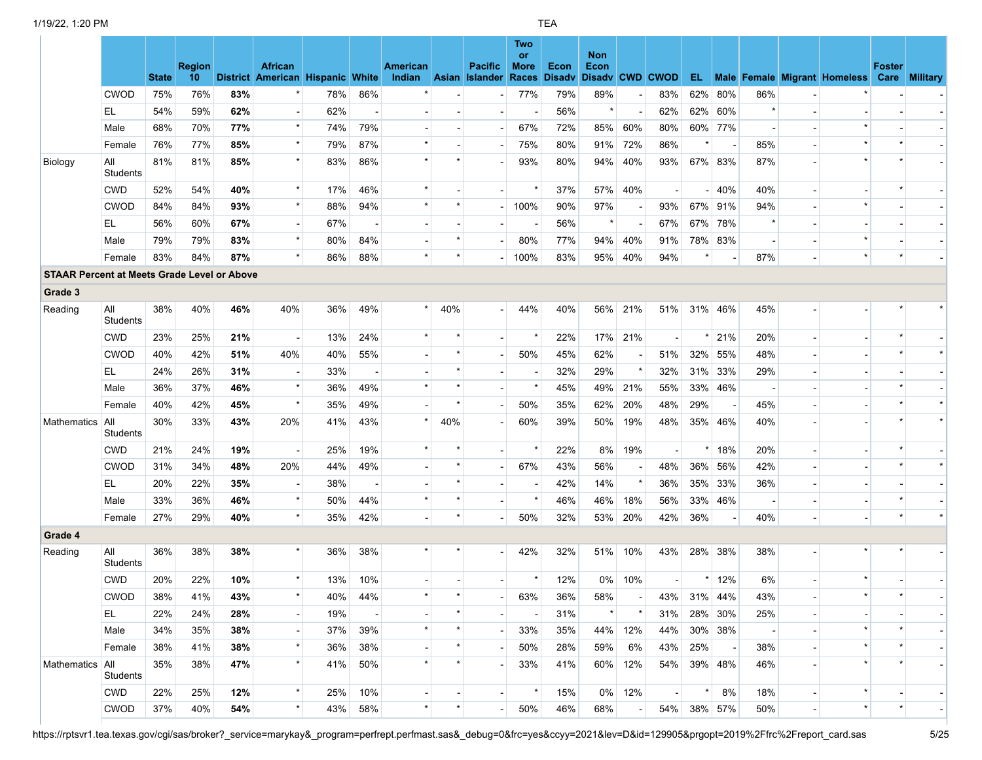|                                                    |                        | <b>State</b> | <b>Region</b><br>10 |     | <b>African</b><br>District American Hispanic White |     |                          | American<br>Indian | <b>Asian</b> | <b>Pacific</b><br><b>Islander</b> | Two<br>or<br><b>More</b><br>Races | Econ<br><b>Disady</b> | <b>Non</b><br>Econ |         | Disady CWD CWOD |             |         |         |                          | EL Male Female Migrant Homeless Care Military | <b>Foster</b> |  |
|----------------------------------------------------|------------------------|--------------|---------------------|-----|----------------------------------------------------|-----|--------------------------|--------------------|--------------|-----------------------------------|-----------------------------------|-----------------------|--------------------|---------|-----------------|-------------|---------|---------|--------------------------|-----------------------------------------------|---------------|--|
|                                                    | <b>CWOD</b>            | 75%          | 76%                 | 83% |                                                    | 78% | 86%                      |                    |              |                                   | 77%                               | 79%                   | 89%                |         | 83%             | 62%         | 80%     | 86%     |                          |                                               |               |  |
|                                                    | EL                     | 54%          | 59%                 | 62% |                                                    | 62% |                          |                    |              |                                   |                                   | 56%                   | $\star$            |         | 62%             | 62%         | 60%     | $\star$ |                          |                                               |               |  |
|                                                    | Male                   | 68%          | 70%                 | 77% | $\star$                                            | 74% | 79%                      |                    |              |                                   | 67%                               | 72%                   | 85%                | 60%     | 80%             |             | 60% 77% |         |                          |                                               |               |  |
|                                                    | Female                 | 76%          | 77%                 | 85% | $\star$                                            | 79% | 87%                      |                    |              |                                   | 75%                               | 80%                   | 91%                | 72%     | 86%             |             |         | 85%     |                          |                                               |               |  |
| Biology                                            | All<br>Students        | 81%          | 81%                 | 85% | $\star$                                            | 83% | 86%                      |                    |              |                                   | 93%                               | 80%                   | 94%                | 40%     | 93%             |             | 67% 83% | 87%     |                          |                                               |               |  |
|                                                    | <b>CWD</b>             | 52%          | 54%                 | 40% | $\star$                                            | 17% | 46%                      | $\star$            |              |                                   |                                   | 37%                   | 57%                | 40%     |                 |             | 40%     | 40%     |                          |                                               |               |  |
|                                                    | <b>CWOD</b>            | 84%          | 84%                 | 93% | $\star$                                            | 88% | 94%                      |                    |              |                                   | 100%                              | 90%                   | 97%                |         | 93%             | 67%         | 91%     | 94%     |                          |                                               |               |  |
|                                                    | EL                     | 56%          | 60%                 | 67% |                                                    | 67% |                          |                    |              |                                   |                                   | 56%                   | $\star$            |         | 67%             | 67%         | 78%     |         |                          |                                               |               |  |
|                                                    | Male                   | 79%          | 79%                 | 83% | $\star$                                            | 80% | 84%                      |                    |              |                                   | 80%                               | 77%                   | 94%                | 40%     | 91%             |             | 78% 83% |         |                          | $\star$                                       |               |  |
|                                                    | Female                 | 83%          | 84%                 | 87% | $\star$                                            | 86% | 88%                      | $\star$            | $\star$      |                                   | 100%                              | 83%                   | 95%                | 40%     | 94%             |             |         | 87%     |                          | $\star$                                       |               |  |
| <b>STAAR Percent at Meets Grade Level or Above</b> |                        |              |                     |     |                                                    |     |                          |                    |              |                                   |                                   |                       |                    |         |                 |             |         |         |                          |                                               |               |  |
| Grade 3                                            |                        |              |                     |     |                                                    |     |                          |                    |              |                                   |                                   |                       |                    |         |                 |             |         |         |                          |                                               |               |  |
| Reading                                            | All<br>Students        | 38%          | 40%                 | 46% | 40%                                                | 36% | 49%                      | $\star$            | 40%          |                                   | 44%                               | 40%                   | 56%                | 21%     | 51%             |             | 31% 46% | 45%     |                          |                                               |               |  |
|                                                    | <b>CWD</b>             | 23%          | 25%                 | 21% | $\overline{\phantom{a}}$                           | 13% | 24%                      |                    |              |                                   |                                   | 22%                   | 17%                | 21%     |                 |             | 21%     | 20%     |                          |                                               |               |  |
|                                                    | <b>CWOD</b>            | 40%          | 42%                 | 51% | 40%                                                | 40% | 55%                      |                    | $\star$      |                                   | 50%                               | 45%                   | 62%                |         | 51%             | 32%         | 55%     | 48%     |                          |                                               |               |  |
|                                                    | EL.                    | 24%          | 26%                 | 31% |                                                    | 33% |                          |                    | $\star$      |                                   |                                   | 32%                   | 29%                | $\star$ | 32%             | 31%         | 33%     | 29%     |                          |                                               |               |  |
|                                                    | Male                   | 36%          | 37%                 | 46% | $\star$                                            | 36% | 49%                      | $\star$            |              |                                   |                                   | 45%                   | 49%                | 21%     | 55%             | 33%         | 46%     |         |                          |                                               |               |  |
|                                                    | Female                 | 40%          | 42%                 | 45% | $\star$                                            | 35% | 49%                      |                    |              |                                   | 50%                               | 35%                   | 62%                | 20%     | 48%             | 29%         |         | 45%     |                          |                                               |               |  |
| Mathematics                                        | All<br><b>Students</b> | 30%          | 33%                 | 43% | 20%                                                | 41% | 43%                      |                    | 40%          |                                   | 60%                               | 39%                   | 50%                | 19%     | 48%             |             | 35% 46% | 40%     |                          |                                               |               |  |
|                                                    | <b>CWD</b>             | 21%          | 24%                 | 19% | $\blacksquare$                                     | 25% | 19%                      |                    |              |                                   |                                   | 22%                   | 8%                 | 19%     |                 |             | 18%     | 20%     |                          |                                               |               |  |
|                                                    | <b>CWOD</b>            | 31%          | 34%                 | 48% | 20%                                                | 44% | 49%                      |                    |              |                                   | 67%                               | 43%                   | 56%                |         | 48%             | 36%         | 56%     | 42%     |                          |                                               |               |  |
|                                                    | EL                     | 20%          | 22%                 | 35% |                                                    | 38% | $\overline{\phantom{a}}$ |                    |              |                                   |                                   | 42%                   | 14%                | $\star$ | 36%             | 35%         | 33%     | 36%     |                          |                                               |               |  |
|                                                    | Male                   | 33%          | 36%                 | 46% | $\star$                                            | 50% | 44%                      | $\star$            |              |                                   |                                   | 46%                   | 46%                | 18%     | 56%             | 33%         | 46%     |         |                          |                                               |               |  |
|                                                    | Female                 | 27%          | 29%                 | 40% | $\star$                                            | 35% | 42%                      |                    |              |                                   | 50%                               | 32%                   | 53%                | 20%     | 42%             | 36%         |         | 40%     |                          |                                               |               |  |
| Grade 4                                            |                        |              |                     |     |                                                    |     |                          |                    |              |                                   |                                   |                       |                    |         |                 |             |         |         |                          |                                               |               |  |
| Reading                                            | All<br><b>Students</b> | 36%          | 38%                 | 38% |                                                    | 36% | 38%                      |                    |              |                                   | 42%                               | 32%                   | 51%                | 10%     | 43%             |             | 28% 38% | 38%     |                          |                                               |               |  |
|                                                    | <b>CWD</b>             | 20%          | 22%                 | 10% | $\star$                                            | 13% | 10%                      |                    |              |                                   | $\star$                           | 12%                   | 0%                 | 10%     |                 |             | 12%     | 6%      |                          |                                               |               |  |
|                                                    | <b>CWOD</b>            | 38%          | 41%                 | 43% | $\star$                                            | 40% | 44%                      |                    |              |                                   | 63%                               | 36%                   | 58%                |         | 43%             |             | 31% 44% | 43%     |                          |                                               |               |  |
|                                                    | EL.                    | 22%          | 24%                 | 28% | $\overline{\phantom{a}}$                           | 19% |                          |                    |              |                                   |                                   | 31%                   |                    |         | 31%             |             | 28% 30% | 25%     |                          |                                               |               |  |
|                                                    | Male                   | 34%          | 35%                 | 38% |                                                    | 37% | 39%                      |                    |              |                                   | 33%                               | 35%                   | 44%                | 12%     | 44%             |             | 30% 38% |         |                          |                                               |               |  |
|                                                    | Female                 | 38%          | 41%                 | 38% |                                                    | 36% | 38%                      |                    |              |                                   | 50%                               | 28%                   | 59%                | 6%      | 43%             | 25%         |         | 38%     |                          |                                               |               |  |
| Mathematics All                                    | Students               | 35%          | 38%                 | 47% |                                                    | 41% | 50%                      |                    |              |                                   | 33%                               | 41%                   |                    | 60% 12% | 54%             |             | 39% 48% | 46%     |                          |                                               |               |  |
|                                                    | <b>CWD</b>             | 22%          | 25%                 | 12% | $\star$                                            | 25% | 10%                      |                    |              |                                   |                                   | 15%                   | $0\%$              | 12%     |                 |             | 8%      | 18%     |                          | $\star$                                       |               |  |
|                                                    | <b>CWOD</b>            | 37%          | 40%                 | 54% |                                                    | 43% | 58%                      | $\star$            |              |                                   | 50%                               | 46%                   | 68%                |         |                 | 54% 38% 57% |         | 50%     | $\overline{\phantom{a}}$ | $\star$                                       |               |  |

https://rptsvr1.tea.texas.gov/cgi/sas/broker?\_service=marykay&\_program=perfrept.perfmast.sas&\_debug=0&frc=yes&ccyy=2021&lev=D&id=129905&prgopt=2019%2Ffrc%2Freport\_card.sas 5/25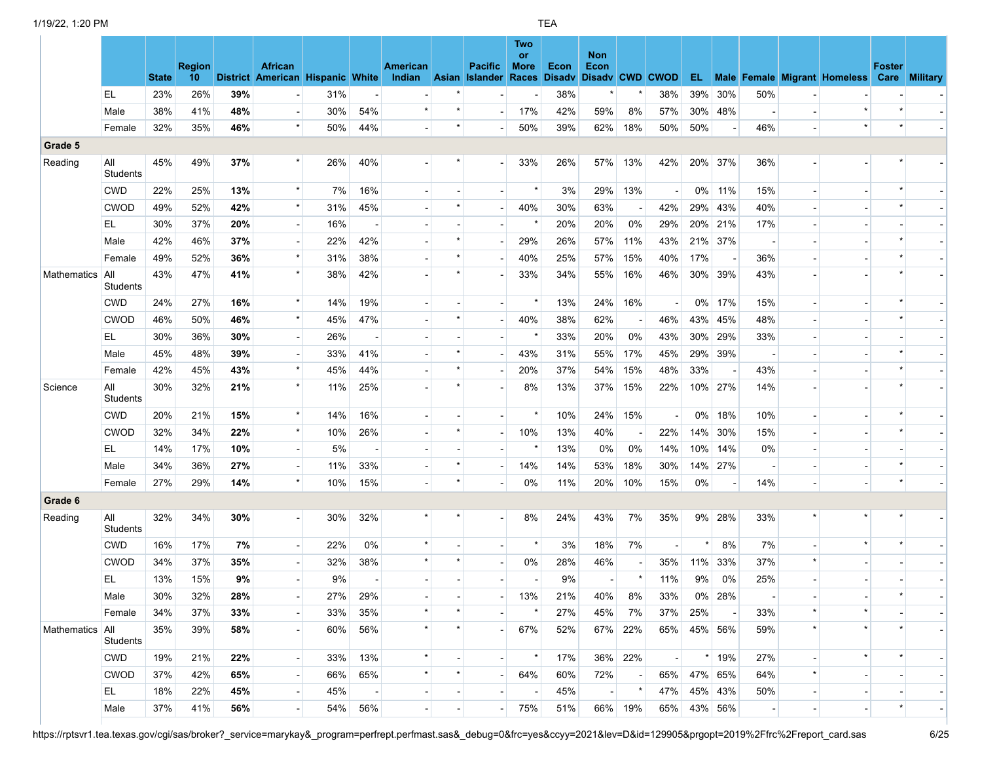|                    |                        |              | <b>Region</b>   |     | <b>African</b>                   |     |                          | American                 |         | <b>Pacific</b> | <b>Two</b><br>or<br><b>More</b> | Econ | <b>Non</b><br>Econ     |                          |                             |         |           |                |                |                                                      | <b>Foster</b> |  |
|--------------------|------------------------|--------------|-----------------|-----|----------------------------------|-----|--------------------------|--------------------------|---------|----------------|---------------------------------|------|------------------------|--------------------------|-----------------------------|---------|-----------|----------------|----------------|------------------------------------------------------|---------------|--|
|                    |                        | <b>State</b> | 10 <sup>°</sup> |     | District American Hispanic White |     |                          | Indian Asian Islander    |         |                | <b>Races</b>                    |      | Disady Disady CWD CWOD |                          |                             |         |           |                |                | <b>EL</b> Male Female Migrant Homeless Care Military |               |  |
|                    | EL                     | 23%          | 26%             | 39% |                                  | 31% |                          |                          |         |                |                                 | 38%  |                        |                          | 38%                         | 39%     | 30%       | 50%            |                |                                                      |               |  |
|                    | Male                   | 38%          | 41%             | 48% |                                  | 30% | 54%                      | $\star$                  |         |                | 17%                             | 42%  | 59%                    | 8%                       | 57%                         |         | 30% 48%   |                |                | $\star$<br>$\star$                                   |               |  |
|                    | Female                 | 32%          | 35%             | 46% | $\star$                          | 50% | 44%                      |                          | $\star$ |                | 50%                             | 39%  | 62%                    | 18%                      | 50%                         | 50%     |           | 46%            |                |                                                      |               |  |
| Grade 5            |                        |              |                 |     |                                  |     |                          |                          |         |                |                                 |      |                        |                          |                             |         |           |                |                |                                                      |               |  |
| Reading            | All<br>Students        | 45%          | 49%             | 37% |                                  | 26% | 40%                      |                          |         |                | 33%                             | 26%  | 57%                    | 13%                      | 42%                         | 20% 37% |           | 36%            |                |                                                      |               |  |
|                    | <b>CWD</b>             | 22%          | 25%             | 13% | $\star$                          | 7%  | 16%                      |                          |         |                | $\star$                         | 3%   | 29%                    | 13%                      |                             | $0\%$   | 11%       | 15%            |                |                                                      |               |  |
|                    | <b>CWOD</b>            | 49%          | 52%             | 42% | $\star$                          | 31% | 45%                      |                          |         |                | 40%                             | 30%  | 63%                    |                          | 42%                         |         | 29% 43%   | 40%            |                |                                                      |               |  |
|                    | EL                     | 30%          | 37%             | 20% | $\overline{\phantom{a}}$         | 16% |                          |                          |         |                |                                 | 20%  | 20%                    | 0%                       | 29%                         |         | 20% 21%   | 17%            |                |                                                      |               |  |
|                    | Male                   | 42%          | 46%             | 37% |                                  | 22% | 42%                      |                          |         |                | 29%                             | 26%  | 57%                    | 11%                      | 43%                         |         | 21% 37%   |                |                |                                                      |               |  |
|                    | Female                 | 49%          | 52%             | 36% | $\star$                          | 31% | 38%                      |                          |         |                | 40%                             | 25%  | 57%                    | 15%                      | 40%                         | 17%     |           | 36%            |                |                                                      |               |  |
| <b>Mathematics</b> | All<br><b>Students</b> | 43%          | 47%             | 41% | $\star$                          | 38% | 42%                      |                          |         |                | 33%                             | 34%  | 55%                    | 16%                      | 46%                         |         | 30% 39%   | 43%            |                |                                                      |               |  |
|                    | <b>CWD</b>             | 24%          | 27%             | 16% | $\star$                          | 14% | 19%                      |                          |         |                |                                 | 13%  | 24%                    | 16%                      |                             |         | 0% 17%    | 15%            |                |                                                      |               |  |
|                    | <b>CWOD</b>            | 46%          | 50%             | 46% | $\star$                          | 45% | 47%                      |                          |         |                | 40%                             | 38%  | 62%                    |                          | 46%                         |         | 43% 45%   | 48%            |                |                                                      |               |  |
|                    | EL                     | 30%          | 36%             | 30% | $\overline{\phantom{a}}$         | 26% | $\overline{\phantom{a}}$ |                          |         |                |                                 | 33%  | 20%                    | 0%                       | 43%                         |         | 30% 29%   | 33%            |                |                                                      |               |  |
|                    | Male                   | 45%          | 48%             | 39% |                                  | 33% | 41%                      |                          |         |                | 43%                             | 31%  | 55%                    | 17%                      | 45%                         |         | 29% 39%   |                |                |                                                      |               |  |
|                    | Female                 | 42%          | 45%             | 43% |                                  | 45% | 44%                      |                          |         |                | 20%                             | 37%  | 54%                    | 15%                      | 48%                         | 33%     |           | 43%            |                |                                                      |               |  |
| Science            | All<br>Students        | 30%          | 32%             | 21% | $\star$                          | 11% | 25%                      |                          |         |                | 8%                              | 13%  | 37%                    | 15%                      | 22%                         |         | 10% 27%   | 14%            |                |                                                      |               |  |
|                    | <b>CWD</b>             | 20%          | 21%             | 15% | $\star$                          | 14% | 16%                      |                          |         |                |                                 | 10%  | 24%                    | 15%                      |                             | $0\%$   | 18%       | 10%            |                |                                                      |               |  |
|                    | <b>CWOD</b>            | 32%          | 34%             | 22% | $\star$                          | 10% | 26%                      |                          |         |                | 10%                             | 13%  | 40%                    |                          | 22%                         |         | 14% 30%   | 15%            |                |                                                      |               |  |
|                    | EL.                    | 14%          | 17%             | 10% |                                  | 5%  |                          |                          |         |                |                                 | 13%  | 0%                     | 0%                       | 14%                         | 10%     | 14%       | 0%             |                |                                                      |               |  |
|                    | Male                   | 34%          | 36%             | 27% | $\overline{\phantom{a}}$         | 11% | 33%                      |                          |         |                | 14%                             | 14%  | 53%                    | 18%                      | 30%                         |         | 14% 27%   |                |                |                                                      |               |  |
|                    | Female                 | 27%          | 29%             | 14% | $\star$                          | 10% | 15%                      |                          |         |                | 0%                              | 11%  | 20%                    | 10%                      | 15%                         | 0%      |           | 14%            |                |                                                      |               |  |
| Grade 6            |                        |              |                 |     |                                  |     |                          |                          |         |                |                                 |      |                        |                          |                             |         |           |                |                |                                                      |               |  |
| Reading            | All<br><b>Students</b> | 32%          | 34%             | 30% |                                  | 30% | 32%                      |                          |         |                | 8%                              | 24%  | 43%                    | 7%                       | 35%                         |         | 9% 28%    | 33%            |                |                                                      |               |  |
|                    | <b>CWD</b>             | 16%          | 17%             | 7%  | $\overline{\phantom{a}}$         | 22% | 0%                       |                          |         |                |                                 | 3%   | 18%                    | 7%                       |                             |         | 8%        | 7%             |                |                                                      |               |  |
|                    | <b>CWOD</b>            | 34%          | 37%             | 35% |                                  | 32% | 38%                      |                          |         |                | $0\%$                           | 28%  | 46%                    |                          | 35%                         | 11%     | 33%       | 37%            | *              |                                                      |               |  |
|                    | EL.                    | 13%          | 15%             | 9%  |                                  | 9%  |                          |                          |         |                |                                 | 9%   |                        | $\star$                  | 11%                         | 9%      | 0%        | 25%            |                |                                                      |               |  |
|                    | Male                   | 30%          | 32%             | 28% |                                  | 27% | 29%                      |                          |         |                | 13%                             | 21%  | 40%                    | 8%                       | 33%                         |         | $0\%$ 28% |                |                |                                                      |               |  |
|                    | Female                 | 34%          | 37%             | 33% |                                  | 33% | 35%                      |                          |         |                |                                 | 27%  | 45%                    | 7%                       | 37%                         | 25%     |           | 33%            | $\star$        | $\star$                                              |               |  |
| Mathematics All    | <b>Students</b>        | 35%          | 39%             | 58% |                                  | 60% | 56%                      |                          |         |                | 67%                             | 52%  | 67%                    | 22%                      | 65%                         | 45% 56% |           | 59%            | $\star$        |                                                      |               |  |
|                    | <b>CWD</b>             | 19%          | 21%             | 22% | $\overline{\phantom{a}}$         | 33% | 13%                      |                          |         |                |                                 | 17%  | 36%                    | 22%                      | $\mathcal{L}_{\mathcal{A}}$ |         | $*$ 19%   | 27%            |                |                                                      |               |  |
|                    | <b>CWOD</b>            | 37%          | 42%             | 65% |                                  | 66% | 65%                      |                          |         |                | 64%                             | 60%  | 72%                    | $\overline{\phantom{a}}$ | 65%                         | 47% 65% |           | 64%            | *              |                                                      |               |  |
|                    | EL.                    | 18%          | 22%             | 45% |                                  | 45% |                          |                          |         |                |                                 | 45%  |                        |                          | 47%                         | 45% 43% |           | 50%            |                |                                                      |               |  |
|                    | Male                   | 37%          | 41%             | 56% | $\overline{\phantom{a}}$         | 54% | 56%                      | $\overline{\phantom{a}}$ |         |                | 75%                             | 51%  |                        | 66% 19%                  | 65%                         | 43% 56% |           | $\blacksquare$ | $\blacksquare$ | $\overline{\phantom{a}}$                             |               |  |

https://rptsvr1.tea.texas.gov/cgi/sas/broker?\_service=marykay&\_program=perfrept.perfmast.sas&\_debug=0&frc=yes&ccyy=2021&lev=D&id=129905&prgopt=2019%2Ffrc%2Freport\_card.sas 6/25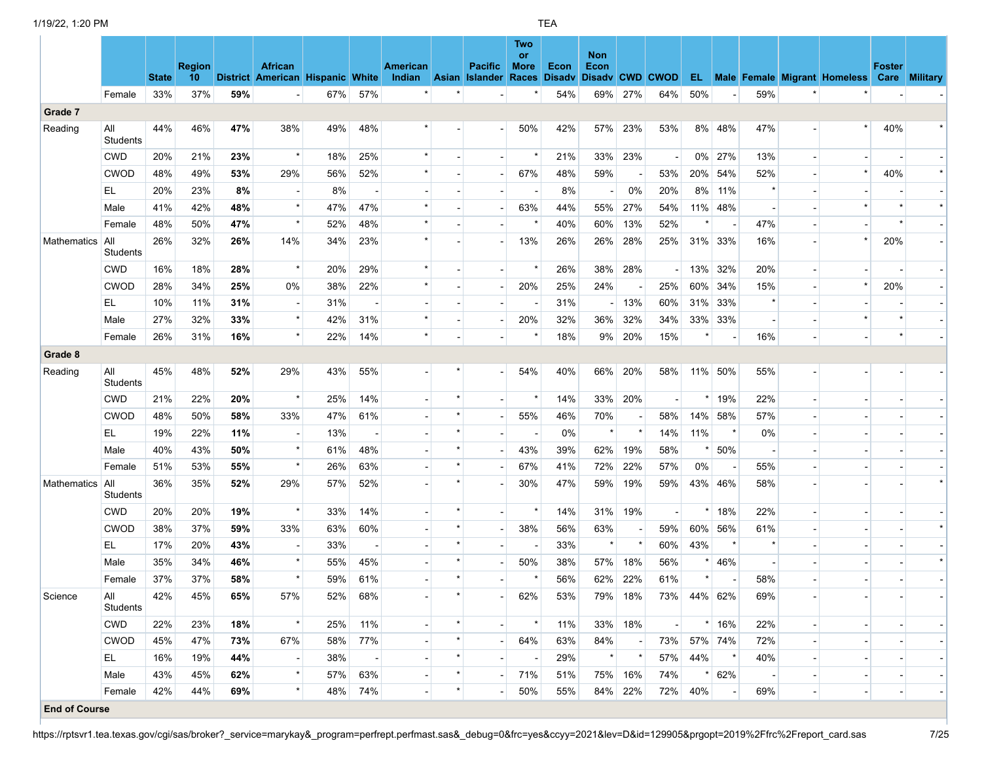|             |                        | <b>State</b> | <b>Region</b><br>10 <sup>°</sup> |     | <b>African</b><br>District American Hispanic White |     |                          | American<br>Indian Asian Islander Races |         | <b>Pacific</b> | Two<br>or<br><b>More</b> | Econ<br><b>Disady</b> | <b>Non</b><br>Econ<br>Disady CWD CWOD |         |     |             |         |         | <b>EL</b> Male Female Migrant Homeless Care Military | <b>Foster</b> |  |
|-------------|------------------------|--------------|----------------------------------|-----|----------------------------------------------------|-----|--------------------------|-----------------------------------------|---------|----------------|--------------------------|-----------------------|---------------------------------------|---------|-----|-------------|---------|---------|------------------------------------------------------|---------------|--|
|             | Female                 | 33%          | 37%                              | 59% | $\sim$                                             | 67% | 57%                      |                                         |         |                |                          | 54%                   | 69%                                   | 27%     | 64% | 50%         |         | 59%     |                                                      |               |  |
| Grade 7     |                        |              |                                  |     |                                                    |     |                          |                                         |         |                |                          |                       |                                       |         |     |             |         |         |                                                      |               |  |
| Reading     | All<br><b>Students</b> | 44%          | 46%                              | 47% | 38%                                                | 49% | 48%                      |                                         |         |                | 50%                      | 42%                   | 57%                                   | 23%     | 53% |             | 8% 48%  | 47%     | $\star$                                              | 40%           |  |
|             | <b>CWD</b>             | 20%          | 21%                              | 23% | $\star$                                            | 18% | 25%                      |                                         |         |                |                          | 21%                   | 33%                                   | 23%     |     |             | 0% 27%  | 13%     |                                                      |               |  |
|             | <b>CWOD</b>            | 48%          | 49%                              | 53% | 29%                                                | 56% | 52%                      |                                         |         |                | 67%                      | 48%                   | 59%                                   |         | 53% |             | 20% 54% | 52%     | $\star$                                              | 40%           |  |
|             | EL.                    | 20%          | 23%                              | 8%  | $\overline{\phantom{a}}$                           | 8%  | $\overline{\phantom{a}}$ |                                         |         |                |                          | 8%                    | $\blacksquare$                        | 0%      | 20% | 8%          | 11%     | $\star$ |                                                      |               |  |
|             | Male                   | 41%          | 42%                              | 48% | $\star$                                            | 47% | 47%                      |                                         |         |                | 63%                      | 44%                   | 55%                                   | 27%     | 54% |             | 11% 48% |         |                                                      |               |  |
|             | Female                 | 48%          | 50%                              | 47% | $\star$                                            | 52% | 48%                      |                                         |         |                |                          | 40%                   | 60%                                   | 13%     | 52% |             |         | 47%     |                                                      |               |  |
| Mathematics | All<br>Students        | 26%          | 32%                              | 26% | 14%                                                | 34% | 23%                      |                                         |         |                | 13%                      | 26%                   | 26%                                   | 28%     | 25% |             | 31% 33% | 16%     |                                                      | 20%           |  |
|             | <b>CWD</b>             | 16%          | 18%                              | 28% | $\star$                                            | 20% | 29%                      | $\star$                                 |         |                |                          | 26%                   | 38%                                   | 28%     |     |             | 13% 32% | 20%     |                                                      |               |  |
|             | <b>CWOD</b>            | 28%          | 34%                              | 25% | 0%                                                 | 38% | 22%                      |                                         |         |                | 20%                      | 25%                   | 24%                                   |         | 25% | 60%         | 34%     | 15%     | $\star$                                              | 20%           |  |
|             | EL.                    | 10%          | 11%                              | 31% | $\overline{\phantom{a}}$                           | 31% |                          |                                         |         |                |                          | 31%                   |                                       | 13%     | 60% | 31%         | 33%     | $\star$ |                                                      |               |  |
|             | Male                   | 27%          | 32%                              | 33% | $\star$                                            | 42% | 31%                      |                                         |         |                | 20%                      | 32%                   | 36%                                   | 32%     | 34% |             | 33% 33% |         |                                                      |               |  |
|             | Female                 | 26%          | 31%                              | 16% | $\star$                                            | 22% | 14%                      | $\star$                                 |         |                |                          | 18%                   | 9%                                    | 20%     | 15% | $\star$     |         | 16%     |                                                      |               |  |
| Grade 8     |                        |              |                                  |     |                                                    |     |                          |                                         |         |                |                          |                       |                                       |         |     |             |         |         |                                                      |               |  |
| Reading     | All<br>Students        | 45%          | 48%                              | 52% | 29%                                                | 43% | 55%                      |                                         |         |                | 54%                      | 40%                   | 66%                                   | 20%     | 58% |             | 11% 50% | 55%     |                                                      |               |  |
|             | <b>CWD</b>             | 21%          | 22%                              | 20% | $\star$                                            | 25% | 14%                      |                                         |         |                |                          | 14%                   | 33%                                   | 20%     |     | $\star$     | 19%     | 22%     |                                                      |               |  |
|             | <b>CWOD</b>            | 48%          | 50%                              | 58% | 33%                                                | 47% | 61%                      |                                         |         |                | 55%                      | 46%                   | 70%                                   |         | 58% |             | 14% 58% | 57%     |                                                      |               |  |
|             | EL                     | 19%          | 22%                              | 11% | $\overline{\phantom{a}}$                           | 13% | $\overline{\phantom{a}}$ |                                         |         |                |                          | 0%                    | $\star$                               |         | 14% | 11%         | $\star$ | 0%      |                                                      |               |  |
|             | Male                   | 40%          | 43%                              | 50% | $\star$                                            | 61% | 48%                      |                                         |         |                | 43%                      | 39%                   | 62%                                   | 19%     | 58% |             | 50%     |         |                                                      |               |  |
|             | Female                 | 51%          | 53%                              | 55% | $\star$                                            | 26% | 63%                      |                                         |         |                | 67%                      | 41%                   | 72%                                   | 22%     | 57% | 0%          |         | 55%     |                                                      |               |  |
| Mathematics | All<br>Students        | 36%          | 35%                              | 52% | 29%                                                | 57% | 52%                      |                                         |         |                | 30%                      | 47%                   | 59%                                   | 19%     | 59% |             | 43% 46% | 58%     |                                                      |               |  |
|             | <b>CWD</b>             | 20%          | 20%                              | 19% | $\star$                                            | 33% | 14%                      |                                         |         |                |                          | 14%                   | 31%                                   | 19%     |     |             | $*$ 18% | 22%     |                                                      |               |  |
|             | <b>CWOD</b>            | 38%          | 37%                              | 59% | 33%                                                | 63% | 60%                      |                                         | $\star$ |                | 38%                      | 56%                   | 63%                                   |         | 59% |             | 60% 56% | 61%     |                                                      |               |  |
|             | EL.                    | 17%          | 20%                              | 43% |                                                    | 33% |                          |                                         | $\star$ |                |                          | 33%                   | $\star$                               | $\star$ | 60% | 43%         | $\star$ | $\star$ |                                                      |               |  |
|             | Male                   | 35%          | 34%                              | 46% | $\star$                                            | 55% | 45%                      |                                         | $\star$ |                | 50%                      | 38%                   | 57%                                   | 18%     | 56% | $\star$     | 46%     |         |                                                      |               |  |
|             | Female                 | 37%          | 37%                              | 58% | $\star$                                            | 59% | 61%                      |                                         |         |                |                          | 56%                   | 62%                                   | 22%     | 61% | $\star$     |         | 58%     |                                                      |               |  |
| Science     | ail<br>Students        | 42%          | 45%                              | 65% | 57%                                                | 52% | 68%                      |                                         |         |                | 62%                      | 53%                   |                                       | 79% 18% |     | 73% 44% 62% |         | 69%     |                                                      |               |  |
|             | <b>CWD</b>             | 22%          | 23%                              | 18% | $\star$                                            | 25% | 11%                      |                                         |         |                |                          | 11%                   |                                       | 33% 18% |     |             | $*$ 16% | 22%     |                                                      |               |  |
|             | <b>CWOD</b>            | 45%          | 47%                              | 73% | 67%                                                | 58% | 77%                      |                                         |         |                | 64%                      | 63%                   | 84%                                   |         | 73% |             | 57% 74% | 72%     |                                                      |               |  |
|             | EL.                    | 16%          | 19%                              | 44% |                                                    | 38% | $\overline{\phantom{a}}$ |                                         | $\star$ |                |                          | 29%                   | $\star$                               |         | 57% | 44%         | $\star$ | 40%     |                                                      |               |  |
|             | Male                   | 43%          | 45%                              | 62% |                                                    | 57% | 63%                      |                                         |         |                | 71%                      | 51%                   |                                       | 75% 16% | 74% | $\star$     | 62%     |         |                                                      |               |  |
|             | Female                 | 42%          | 44%                              | 69% |                                                    | 48% | 74%                      |                                         |         |                | 50%                      | 55%                   |                                       | 84% 22% | 72% | 40%         |         | 69%     |                                                      |               |  |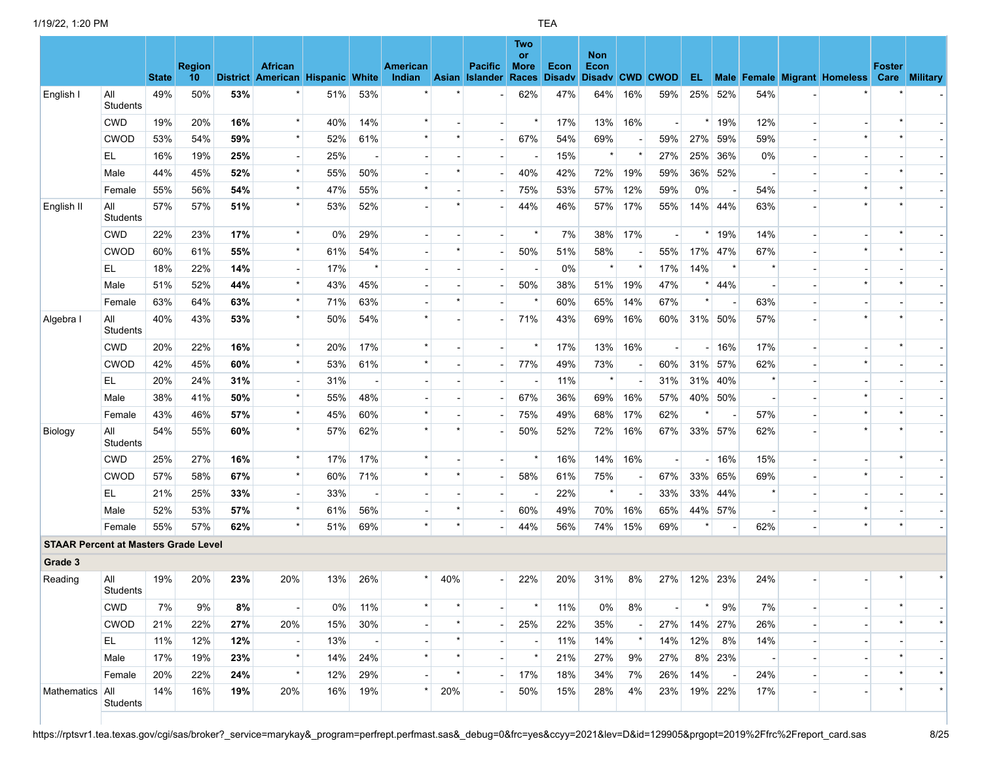|                                             |                        | <b>State</b> | <b>Region</b><br>10 |     | <b>African</b><br>District American Hispanic White |     |         | <b>American</b><br>Indian |         | <b>Pacific</b><br>Asian Islander | Two<br><b>or</b><br><b>More</b><br>Races | Econ<br><b>Disadv</b> | <b>Non</b><br>Econ<br>Disady CWD CWOD |                          |     |     |         |         |                          | <b>Foster</b><br><b>EL</b> Male Female Migrant Homeless Care | <b>Military</b> |
|---------------------------------------------|------------------------|--------------|---------------------|-----|----------------------------------------------------|-----|---------|---------------------------|---------|----------------------------------|------------------------------------------|-----------------------|---------------------------------------|--------------------------|-----|-----|---------|---------|--------------------------|--------------------------------------------------------------|-----------------|
| English I                                   | All<br>Students        | 49%          | 50%                 | 53% |                                                    | 51% | 53%     |                           |         |                                  | 62%                                      | 47%                   | 64%                                   | 16%                      | 59% |     | 25% 52% | 54%     |                          |                                                              |                 |
|                                             | <b>CWD</b>             | 19%          | 20%                 | 16% | $\star$                                            | 40% | 14%     |                           |         |                                  |                                          | 17%                   | 13%                                   | 16%                      |     |     | 19%     | 12%     |                          |                                                              |                 |
|                                             | <b>CWOD</b>            | 53%          | 54%                 | 59% | $\star$                                            | 52% | 61%     |                           |         |                                  | 67%                                      | 54%                   | 69%                                   |                          | 59% | 27% | 59%     | 59%     |                          | $\star$                                                      |                 |
|                                             | EL                     | 16%          | 19%                 | 25% | $\overline{\phantom{a}}$                           | 25% |         |                           |         |                                  |                                          | 15%                   | $\star$                               |                          | 27% | 25% | 36%     | 0%      |                          |                                                              |                 |
|                                             | Male                   | 44%          | 45%                 | 52% | $\star$                                            | 55% | 50%     |                           | $\star$ |                                  | 40%                                      | 42%                   | 72%                                   | 19%                      | 59% | 36% | 52%     |         |                          |                                                              |                 |
|                                             | Female                 | 55%          | 56%                 | 54% | $\star$                                            | 47% | 55%     |                           |         |                                  | 75%                                      | 53%                   | 57%                                   | 12%                      | 59% | 0%  |         | 54%     |                          | $\star$                                                      |                 |
| English II                                  | All<br>Students        | 57%          | 57%                 | 51% | $\star$                                            | 53% | 52%     |                           |         |                                  | 44%                                      | 46%                   | 57%                                   | 17%                      | 55% |     | 14% 44% | 63%     |                          |                                                              |                 |
|                                             | <b>CWD</b>             | 22%          | 23%                 | 17% | $\star$                                            | 0%  | 29%     |                           |         |                                  |                                          | 7%                    | 38%                                   | 17%                      |     |     | 19%     | 14%     |                          |                                                              |                 |
|                                             | <b>CWOD</b>            | 60%          | 61%                 | 55% | $\star$                                            | 61% | 54%     |                           |         |                                  | 50%                                      | 51%                   | 58%                                   |                          | 55% | 17% | 47%     | 67%     |                          | $\star$                                                      |                 |
|                                             | EL.                    | 18%          | 22%                 | 14% | $\overline{\phantom{a}}$                           | 17% | $\star$ |                           |         |                                  |                                          | 0%                    | $\star$                               | $\star$                  | 17% | 14% |         |         |                          |                                                              |                 |
|                                             | Male                   | 51%          | 52%                 | 44% | $\star$                                            | 43% | 45%     |                           |         |                                  | 50%                                      | 38%                   | 51%                                   | 19%                      | 47% |     | 44%     |         |                          |                                                              |                 |
|                                             | Female                 | 63%          | 64%                 | 63% | $\star$                                            | 71% | 63%     |                           | $\star$ |                                  |                                          | 60%                   | 65%                                   | 14%                      | 67% |     |         | 63%     |                          |                                                              |                 |
| Algebra I                                   | All<br>Students        | 40%          | 43%                 | 53% | $\star$                                            | 50% | 54%     |                           |         |                                  | 71%                                      | 43%                   | 69%                                   | 16%                      | 60% |     | 31% 50% | 57%     |                          |                                                              |                 |
|                                             | <b>CWD</b>             | 20%          | 22%                 | 16% | $\star$                                            | 20% | 17%     | $\star$                   |         |                                  |                                          | 17%                   | 13%                                   | 16%                      |     |     | 16%     | 17%     |                          |                                                              |                 |
|                                             | <b>CWOD</b>            | 42%          | 45%                 | 60% | $\star$                                            | 53% | 61%     |                           |         |                                  | 77%                                      | 49%                   | 73%                                   | $\overline{\phantom{a}}$ | 60% | 31% | 57%     | 62%     |                          | $\star$                                                      |                 |
|                                             | EL                     | 20%          | 24%                 | 31% | $\overline{\phantom{a}}$                           | 31% |         |                           |         |                                  |                                          | 11%                   | $\star$                               |                          | 31% | 31% | 40%     | $\star$ |                          |                                                              |                 |
|                                             | Male                   | 38%          | 41%                 | 50% | $\star$                                            | 55% | 48%     |                           |         |                                  | 67%                                      | 36%                   | 69%                                   | 16%                      | 57% |     | 40% 50% |         |                          | $\star$                                                      |                 |
|                                             | Female                 | 43%          | 46%                 | 57% | $\star$                                            | 45% | 60%     |                           |         |                                  | 75%                                      | 49%                   | 68%                                   | 17%                      | 62% |     |         | 57%     |                          | $\star$                                                      |                 |
| Biology                                     | All<br>Students        | 54%          | 55%                 | 60% | $\star$                                            | 57% | 62%     |                           |         |                                  | 50%                                      | 52%                   | 72%                                   | 16%                      | 67% |     | 33% 57% | 62%     |                          |                                                              |                 |
|                                             | <b>CWD</b>             | 25%          | 27%                 | 16% | $\star$                                            | 17% | 17%     | $\star$                   |         |                                  |                                          | 16%                   | 14%                                   | 16%                      |     |     | 16%     | 15%     |                          |                                                              |                 |
|                                             | <b>CWOD</b>            | 57%          | 58%                 | 67% | $\star$                                            | 60% | 71%     | $\star$                   | $\star$ |                                  | 58%                                      | 61%                   | 75%                                   | $\overline{\phantom{a}}$ | 67% |     | 33% 65% | 69%     |                          | $\star$                                                      |                 |
|                                             | EL                     | 21%          | 25%                 | 33% | $\overline{\phantom{a}}$                           | 33% |         |                           |         |                                  |                                          | 22%                   | $\star$                               |                          | 33% |     | 33% 44% | $\star$ |                          |                                                              |                 |
|                                             | Male                   | 52%          | 53%                 | 57% | $\star$                                            | 61% | 56%     |                           |         |                                  | 60%                                      | 49%                   | 70%                                   | 16%                      | 65% |     | 44% 57% |         |                          |                                                              |                 |
|                                             | Female                 | 55%          | 57%                 | 62% | $\star$                                            | 51% | 69%     | $\star$                   | $\star$ |                                  | 44%                                      | 56%                   | 74%                                   | 15%                      | 69% |     |         | 62%     | $\overline{\phantom{a}}$ | $\star$                                                      |                 |
| <b>STAAR Percent at Masters Grade Level</b> |                        |              |                     |     |                                                    |     |         |                           |         |                                  |                                          |                       |                                       |                          |     |     |         |         |                          |                                                              |                 |
| Grade 3                                     |                        |              |                     |     |                                                    |     |         |                           |         |                                  |                                          |                       |                                       |                          |     |     |         |         |                          |                                                              |                 |
| Reading                                     | All<br>Students        | 19%          | 20%                 | 23% | 20%                                                | 13% | 26%     |                           | 40%     |                                  | 22%                                      | 20%                   | 31%                                   | 8%                       | 27% |     | 12% 23% | 24%     |                          |                                                              |                 |
|                                             | CWD                    | 7%           | 9%                  | 8%  |                                                    | 0%  | 11%     |                           |         |                                  |                                          | 11%                   | 0%                                    | 8%                       |     |     | 9%      | 7%      |                          |                                                              |                 |
|                                             | <b>CWOD</b>            | 21%          | 22%                 | 27% | 20%                                                | 15% | 30%     |                           |         |                                  | 25%                                      | 22%                   | 35%                                   | $\overline{\phantom{a}}$ | 27% |     | 14% 27% | 26%     | $\overline{\phantom{a}}$ |                                                              | $\star$         |
|                                             | EL.                    | 11%          | 12%                 | 12% |                                                    | 13% |         |                           |         |                                  |                                          | 11%                   | 14%                                   | $\star$                  | 14% | 12% | 8%      | 14%     |                          |                                                              |                 |
|                                             | Male                   | 17%          | 19%                 | 23% | $\star$                                            | 14% | 24%     | $\star$                   | $\star$ |                                  |                                          | 21%                   | 27%                                   | 9%                       | 27% |     | 8% 23%  |         |                          |                                                              |                 |
|                                             | Female                 | 20%          | 22%                 | 24% | $\star$                                            | 12% | 29%     |                           |         |                                  | 17%                                      | 18%                   | 34%                                   | 7%                       | 26% | 14% |         | 24%     |                          |                                                              | $\star$         |
| Mathematics                                 | <b>AII</b><br>Students | 14%          | 16%                 | 19% | 20%                                                | 16% | 19%     |                           | 20%     |                                  | 50%                                      | 15%                   | 28%                                   | 4%                       | 23% |     | 19% 22% | 17%     | $\overline{\phantom{a}}$ |                                                              |                 |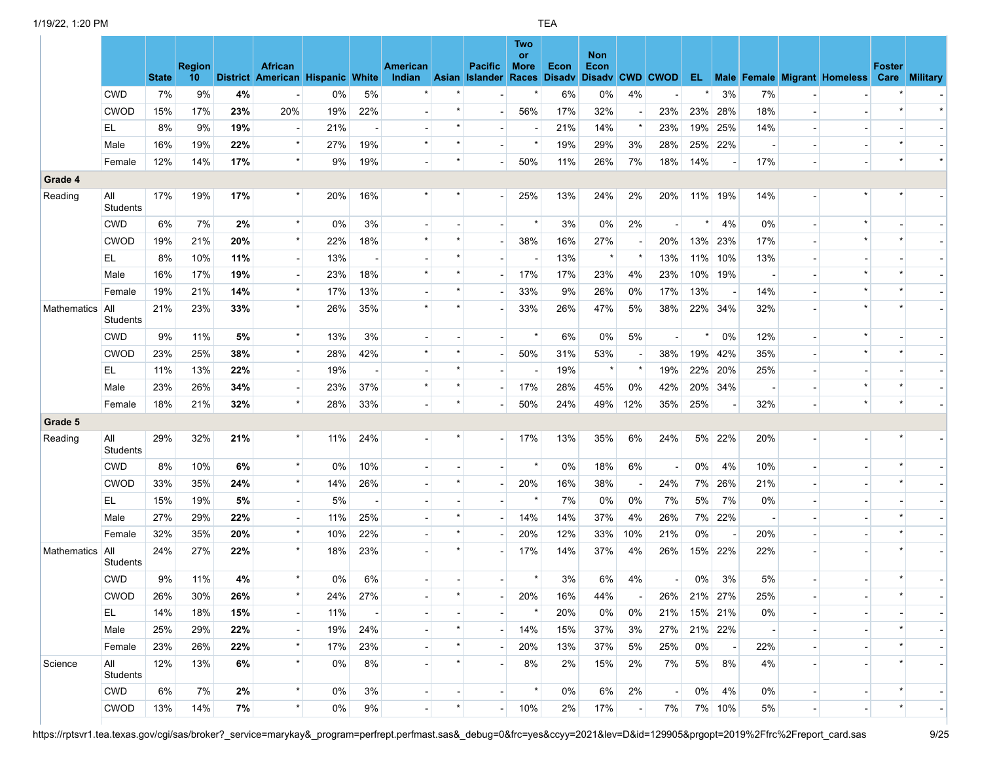|             |                        | <b>State</b> | <b>Region</b><br>10 |     | <b>African</b><br>District American Hispanic White |       |     | American<br>Indian |         | <b>Pacific</b><br><b>Asian Islander</b> | <b>Two</b><br><b>or</b><br><b>More</b><br><b>Races</b> | Econ<br><b>Disadv</b> | <b>Non</b><br>Econ<br>Disadv CWD CWOD |                          |     |     |                |     | <b>EL Male Female Migrant Homeless Care Military</b> | <b>Foster</b> |  |
|-------------|------------------------|--------------|---------------------|-----|----------------------------------------------------|-------|-----|--------------------|---------|-----------------------------------------|--------------------------------------------------------|-----------------------|---------------------------------------|--------------------------|-----|-----|----------------|-----|------------------------------------------------------|---------------|--|
|             | <b>CWD</b>             | 7%           | 9%                  | 4%  |                                                    | 0%    | 5%  |                    |         |                                         |                                                        | 6%                    | $0\%$                                 | 4%                       |     |     | 3%             | 7%  |                                                      |               |  |
|             | <b>CWOD</b>            | 15%          | 17%                 | 23% | 20%                                                | 19%   | 22% |                    |         |                                         | 56%                                                    | 17%                   | 32%                                   | $\blacksquare$           | 23% | 23% | 28%            | 18% |                                                      |               |  |
|             | EL.                    | 8%           | 9%                  | 19% |                                                    | 21%   |     |                    |         |                                         |                                                        | 21%                   | 14%                                   | $\star$                  | 23% | 19% | 25%            | 14% |                                                      |               |  |
|             | Male                   | 16%          | 19%                 | 22% | $\star$                                            | 27%   | 19% |                    |         |                                         |                                                        | 19%                   | 29%                                   | 3%                       | 28% | 25% | 22%            |     |                                                      |               |  |
|             | Female                 | 12%          | 14%                 | 17% | $\star$                                            | 9%    | 19% |                    | $\star$ |                                         | 50%                                                    | 11%                   | 26%                                   | 7%                       | 18% | 14% |                | 17% |                                                      |               |  |
| Grade 4     |                        |              |                     |     |                                                    |       |     |                    |         |                                         |                                                        |                       |                                       |                          |     |     |                |     |                                                      |               |  |
| Reading     | All<br><b>Students</b> | 17%          | 19%                 | 17% | $\star$                                            | 20%   | 16% |                    |         |                                         | 25%                                                    | 13%                   | 24%                                   | 2%                       | 20% |     | 11% 19%        | 14% |                                                      |               |  |
|             | <b>CWD</b>             | 6%           | 7%                  | 2%  | $\star$                                            | 0%    | 3%  |                    |         |                                         |                                                        | 3%                    | $0\%$                                 | 2%                       |     |     | 4%             | 0%  |                                                      |               |  |
|             | <b>CWOD</b>            | 19%          | 21%                 | 20% | $\star$                                            | 22%   | 18% |                    |         |                                         | 38%                                                    | 16%                   | 27%                                   |                          | 20% | 13% | 23%            | 17% |                                                      |               |  |
|             | EL.                    | 8%           | 10%                 | 11% |                                                    | 13%   |     |                    |         |                                         |                                                        | 13%                   |                                       | $\star$                  | 13% | 11% | 10%            | 13% |                                                      |               |  |
|             | Male                   | 16%          | 17%                 | 19% |                                                    | 23%   | 18% |                    |         |                                         | 17%                                                    | 17%                   | 23%                                   | 4%                       | 23% | 10% | 19%            |     |                                                      |               |  |
|             | Female                 | 19%          | 21%                 | 14% | $\star$                                            | 17%   | 13% |                    |         |                                         | 33%                                                    | 9%                    | 26%                                   | 0%                       | 17% | 13% |                | 14% |                                                      |               |  |
| Mathematics | All<br>Students        | 21%          | 23%                 | 33% | $\star$                                            | 26%   | 35% |                    |         |                                         | 33%                                                    | 26%                   | 47%                                   | 5%                       | 38% | 22% | 34%            | 32% |                                                      |               |  |
|             | <b>CWD</b>             | 9%           | 11%                 | 5%  | $\star$                                            | 13%   | 3%  |                    |         |                                         |                                                        | 6%                    | $0\%$                                 | 5%                       |     |     | 0%             | 12% |                                                      |               |  |
|             | <b>CWOD</b>            | 23%          | 25%                 | 38% | $\star$                                            | 28%   | 42% |                    |         |                                         | 50%                                                    | 31%                   | 53%                                   |                          | 38% | 19% | 42%            | 35% |                                                      |               |  |
|             | EL                     | 11%          | 13%                 | 22% |                                                    | 19%   |     |                    |         |                                         |                                                        | 19%                   |                                       | $\star$                  | 19% | 22% | 20%            | 25% |                                                      |               |  |
|             | Male                   | 23%          | 26%                 | 34% |                                                    | 23%   | 37% |                    |         |                                         | 17%                                                    | 28%                   | 45%                                   | 0%                       | 42% | 20% | 34%            |     |                                                      |               |  |
|             | Female                 | 18%          | 21%                 | 32% | $\star$                                            | 28%   | 33% |                    | $\star$ |                                         | 50%                                                    | 24%                   | 49%                                   | 12%                      | 35% | 25% |                | 32% |                                                      |               |  |
| Grade 5     |                        |              |                     |     |                                                    |       |     |                    |         |                                         |                                                        |                       |                                       |                          |     |     |                |     |                                                      |               |  |
| Reading     | All<br>Students        | 29%          | 32%                 | 21% | $\star$                                            | 11%   | 24% |                    |         |                                         | 17%                                                    | 13%                   | 35%                                   | 6%                       | 24% | 5%  | 22%            | 20% |                                                      |               |  |
|             | <b>CWD</b>             | 8%           | 10%                 | 6%  | $\star$                                            | 0%    | 10% |                    |         |                                         |                                                        | 0%                    | 18%                                   | 6%                       |     | 0%  | 4%             | 10% |                                                      |               |  |
|             | <b>CWOD</b>            | 33%          | 35%                 | 24% | $\star$                                            | 14%   | 26% |                    |         |                                         | 20%                                                    | 16%                   | 38%                                   | $\overline{\phantom{a}}$ | 24% | 7%  | 26%            | 21% |                                                      |               |  |
|             | EL.                    | 15%          | 19%                 | 5%  | $\overline{\phantom{a}}$                           | 5%    |     |                    |         |                                         |                                                        | 7%                    | 0%                                    | 0%                       | 7%  | 5%  | 7%             | 0%  |                                                      |               |  |
|             | Male                   | 27%          | 29%                 | 22% | $\overline{\phantom{a}}$                           | 11%   | 25% |                    |         |                                         | 14%                                                    | 14%                   | 37%                                   | 4%                       | 26% | 7%  | 22%            |     |                                                      |               |  |
|             | Female                 | 32%          | 35%                 | 20% | $\star$                                            | 10%   | 22% |                    |         |                                         | 20%                                                    | 12%                   | 33%                                   | 10%                      | 21% | 0%  |                | 20% |                                                      |               |  |
| Mathematics | All<br>Students        | 24%          | 27%                 | 22% | $\star$                                            | 18%   | 23% |                    | $\star$ |                                         | 17%                                                    | 14%                   | 37%                                   | 4%                       | 26% | 15% | 22%            | 22% |                                                      |               |  |
|             | <b>CWD</b>             | 9%           | 11%                 | 4%  | $\star$                                            | $0\%$ | 6%  |                    |         |                                         | $\star$                                                | 3%                    | 6%                                    | 4%                       |     | 0%  | 3%             | 5%  |                                                      |               |  |
|             | CWOD                   | 26%          | 30%                 | 26% | $\rightarrow$                                      | 24%   | 27% |                    |         |                                         | 20%                                                    | 16%                   | 44%                                   |                          | 26% | 21% | 27%            | 25% |                                                      |               |  |
|             | EL                     | 14%          | 18%                 | 15% |                                                    | 11%   |     |                    |         |                                         |                                                        | 20%                   | 0%                                    | 0%                       | 21% |     | 15% 21%        | 0%  |                                                      |               |  |
|             | Male                   | 25%          | 29%                 | 22% |                                                    | 19%   | 24% |                    |         |                                         | 14%                                                    | 15%                   | 37%                                   | 3%                       | 27% |     | 21% 22%        |     |                                                      |               |  |
|             | Female                 | 23%          | 26%                 | 22% | $\star$                                            | 17%   | 23% |                    |         |                                         | 20%                                                    | 13%                   | 37%                                   | 5%                       | 25% | 0%  | $\blacksquare$ | 22% |                                                      |               |  |
| Science     | All<br>Students        | 12%          | 13%                 | 6%  | $\star$                                            | 0%    | 8%  |                    |         |                                         | 8%                                                     | 2%                    | 15%                                   | 2%                       | 7%  | 5%  | 8%             | 4%  |                                                      |               |  |
|             | <b>CWD</b>             | 6%           | 7%                  | 2%  | $\star$                                            | 0%    | 3%  |                    |         | $\overline{\phantom{a}}$                | $\star$                                                | 0%                    | 6%                                    | 2%                       |     | 0%  | 4%             | 0%  |                                                      |               |  |
|             | <b>CWOD</b>            | 13%          | 14%                 | 7%  | $\star$                                            | 0%    | 9%  |                    |         |                                         | 10%                                                    | 2%                    | 17%                                   |                          | 7%  |     | 7% 10%         | 5%  |                                                      |               |  |

https://rptsvr1.tea.texas.gov/cgi/sas/broker?\_service=marykay&\_program=perfrept.perfmast.sas&\_debug=0&frc=yes&ccyy=2021&lev=D&id=129905&prgopt=2019%2Ffrc%2Freport\_card.sas 9/25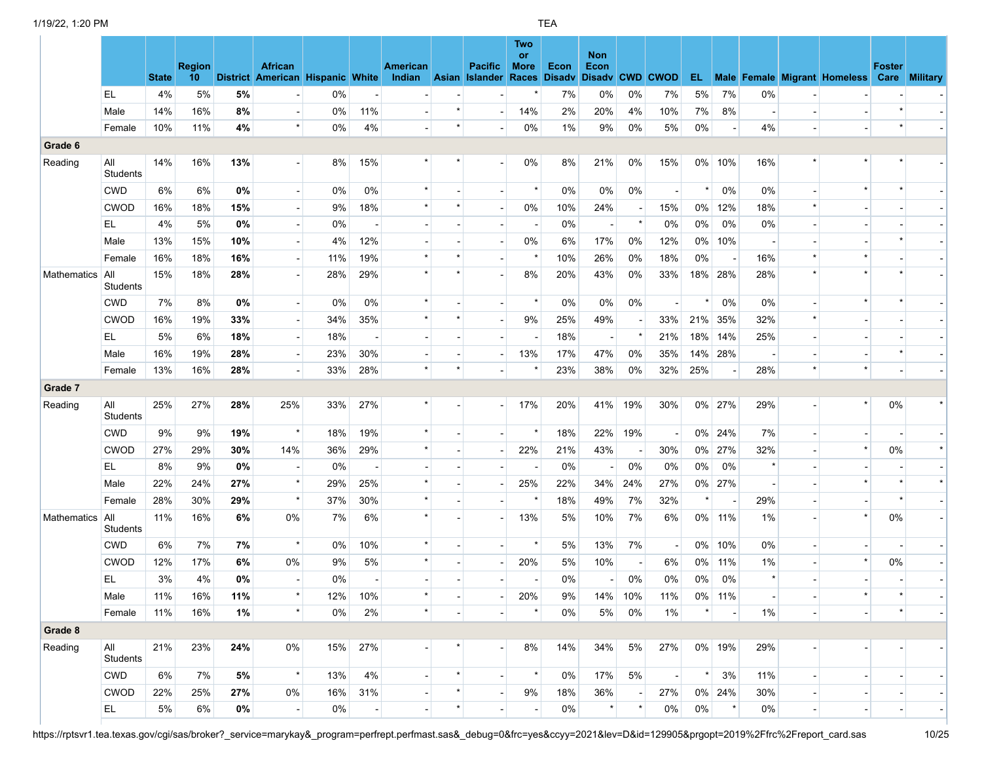|                 |                        | <b>State</b> | <b>Region</b><br>10 |     | <b>African</b><br>District American Hispanic White |     |                          | American<br>Indian Asian Islander Races Disadv |         | <b>Pacific</b> | <b>Two</b><br>or<br><b>More</b> | Econ  | <b>Non</b><br>Econ<br>Disadv CWD CWOD |                          |                          |         |                |         |                          | EL Male Female Migrant Homeless Care Military | <b>Foster</b> |  |
|-----------------|------------------------|--------------|---------------------|-----|----------------------------------------------------|-----|--------------------------|------------------------------------------------|---------|----------------|---------------------------------|-------|---------------------------------------|--------------------------|--------------------------|---------|----------------|---------|--------------------------|-----------------------------------------------|---------------|--|
|                 | EL                     | 4%           | 5%                  | 5%  |                                                    | 0%  |                          |                                                |         |                |                                 | 7%    | 0%                                    | 0%                       | 7%                       | 5%      | 7%             | 0%      |                          |                                               |               |  |
|                 | Male                   | 14%          | 16%                 | 8%  |                                                    | 0%  | 11%                      |                                                |         |                | 14%                             | 2%    | 20%                                   | 4%                       | 10%                      | 7%      | 8%             |         |                          |                                               |               |  |
|                 | Female                 | 10%          | 11%                 | 4%  | $\star$                                            | 0%  | 4%                       |                                                | $\star$ |                | 0%                              | $1\%$ | 9%                                    | 0%                       | 5%                       | 0%      | $\blacksquare$ | 4%      |                          |                                               |               |  |
| Grade 6         |                        |              |                     |     |                                                    |     |                          |                                                |         |                |                                 |       |                                       |                          |                          |         |                |         |                          |                                               |               |  |
| Reading         | All<br><b>Students</b> | 14%          | 16%                 | 13% |                                                    | 8%  | 15%                      |                                                |         |                | 0%                              | 8%    | 21%                                   | 0%                       | 15%                      |         | 0% 10%         | 16%     |                          |                                               |               |  |
|                 | <b>CWD</b>             | $6\%$        | 6%                  | 0%  |                                                    | 0%  | $0\%$                    | $\star$                                        |         |                | $\star$                         | 0%    | $0\%$                                 | 0%                       | $\overline{\phantom{a}}$ | $\star$ | 0%             | 0%      |                          |                                               |               |  |
|                 | <b>CWOD</b>            | 16%          | 18%                 | 15% |                                                    | 9%  | 18%                      | $\star$                                        |         |                | 0%                              | 10%   | 24%                                   |                          | 15%                      | 0%      | 12%            | 18%     |                          |                                               |               |  |
|                 | EL                     | 4%           | 5%                  | 0%  |                                                    | 0%  |                          |                                                |         |                |                                 | 0%    | $\overline{\phantom{a}}$              | $\star$                  | 0%                       | 0%      | 0%             | 0%      |                          |                                               |               |  |
|                 | Male                   | 13%          | 15%                 | 10% |                                                    | 4%  | 12%                      |                                                |         |                | 0%                              | 6%    | 17%                                   | 0%                       | 12%                      | $0\%$   | 10%            |         |                          |                                               |               |  |
|                 | Female                 | 16%          | 18%                 | 16% | $\blacksquare$                                     | 11% | 19%                      |                                                |         |                | $\star$                         | 10%   | 26%                                   | 0%                       | 18%                      | 0%      |                | 16%     |                          |                                               |               |  |
| Mathematics All | Students               | 15%          | 18%                 | 28% |                                                    | 28% | 29%                      | $\star$                                        |         |                | 8%                              | 20%   | 43%                                   | 0%                       | 33%                      |         | 18% 28%        | 28%     |                          | $\star$                                       |               |  |
|                 | <b>CWD</b>             | 7%           | 8%                  | 0%  |                                                    | 0%  | 0%                       |                                                |         |                | $\star$                         | 0%    | 0%                                    | 0%                       |                          |         | 0%             | 0%      |                          |                                               |               |  |
|                 | <b>CWOD</b>            | 16%          | 19%                 | 33% | $\blacksquare$                                     | 34% | 35%                      | $\star$                                        |         |                | 9%                              | 25%   | 49%                                   |                          | 33%                      | 21%     | 35%            | 32%     |                          |                                               |               |  |
|                 | EL.                    | 5%           | 6%                  | 18% | $\overline{\phantom{a}}$                           | 18% | $\overline{\phantom{a}}$ |                                                |         |                |                                 | 18%   | $\blacksquare$                        | $\star$                  | 21%                      |         | 18% 14%        | 25%     |                          |                                               |               |  |
|                 | Male                   | 16%          | 19%                 | 28% | $\blacksquare$                                     | 23% | 30%                      |                                                |         |                | 13%                             | 17%   | 47%                                   | 0%                       | 35%                      |         | 14% 28%        |         |                          |                                               |               |  |
|                 | Female                 | 13%          | 16%                 | 28% |                                                    | 33% | 28%                      | $\star$                                        |         |                |                                 | 23%   | 38%                                   | 0%                       | 32%                      | 25%     |                | 28%     |                          |                                               |               |  |
| Grade 7         |                        |              |                     |     |                                                    |     |                          |                                                |         |                |                                 |       |                                       |                          |                          |         |                |         |                          |                                               |               |  |
| Reading         | All<br>Students        | 25%          | 27%                 | 28% | 25%                                                | 33% | 27%                      | $\star$                                        |         |                | 17%                             | 20%   | 41%                                   | 19%                      | 30%                      |         | 0% 27%         | 29%     |                          | $\star$                                       | 0%            |  |
|                 | <b>CWD</b>             | 9%           | 9%                  | 19% | $\star$                                            | 18% | 19%                      | $\star$                                        |         |                | $\star$                         | 18%   | 22%                                   | 19%                      |                          |         | $0\%$ 24%      | 7%      |                          |                                               |               |  |
|                 | <b>CWOD</b>            | 27%          | 29%                 | 30% | 14%                                                | 36% | 29%                      |                                                |         |                | 22%                             | 21%   | 43%                                   |                          | 30%                      | $0\%$   | 27%            | 32%     |                          | $\star$                                       | 0%            |  |
|                 | EL.                    | 8%           | 9%                  | 0%  |                                                    | 0%  |                          |                                                |         |                |                                 | 0%    | $\overline{\phantom{a}}$              | 0%                       | 0%                       | 0%      | 0%             | $\star$ |                          |                                               |               |  |
|                 | Male                   | 22%          | 24%                 | 27% | $\star$                                            | 29% | 25%                      | $\star$                                        |         |                | 25%                             | 22%   | 34%                                   | 24%                      | 27%                      |         | 0% 27%         |         |                          |                                               |               |  |
|                 | Female                 | 28%          | 30%                 | 29% | $\star$                                            | 37% | 30%                      | $\star$                                        |         |                | $\star$                         | 18%   | 49%                                   | 7%                       | 32%                      | $\star$ | $\overline{a}$ | 29%     |                          |                                               |               |  |
| Mathematics     | All<br>Students        | 11%          | 16%                 | 6%  | 0%                                                 | 7%  | 6%                       | $\star$                                        |         |                | 13%                             | 5%    | 10%                                   | 7%                       | 6%                       |         | 0% 11%         | 1%      |                          | $\star$                                       | 0%            |  |
|                 | <b>CWD</b>             | 6%           | 7%                  | 7%  | $\star$                                            | 0%  | 10%                      |                                                |         |                | $\star$                         | 5%    | 13%                                   | 7%                       | $\overline{\phantom{a}}$ |         | 0% 10%         | 0%      |                          |                                               |               |  |
|                 | <b>CWOD</b>            | 12%          | 17%                 | 6%  | 0%                                                 | 9%  | 5%                       | $\star$                                        |         |                | 20%                             | 5%    | 10%                                   | $\overline{\phantom{a}}$ | 6%                       | 0%      | 11%            | 1%      |                          | $\star$                                       | 0%            |  |
|                 | EL.                    | 3%           | 4%                  | 0%  |                                                    | 0%  |                          |                                                |         |                |                                 | 0%    |                                       | 0%                       | 0%                       | 0%      | 0%             |         |                          |                                               |               |  |
|                 | Male                   | 11%          | 16%                 | 11% |                                                    | 12% | 10%                      |                                                |         |                | 20%                             | 9%    | 14%                                   | 10%                      | 11%                      | $0\%$   | 11%            |         |                          |                                               |               |  |
|                 | Female                 | 11%          | 16%                 | 1%  | $\star$                                            | 0%  | 2%                       | $\star$                                        |         |                | $\star$                         | 0%    | 5%                                    | 0%                       | 1%                       |         |                | 1%      | $\overline{\phantom{a}}$ |                                               |               |  |
| Grade 8         |                        |              |                     |     |                                                    |     |                          |                                                |         |                |                                 |       |                                       |                          |                          |         |                |         |                          |                                               |               |  |
| Reading         | All<br><b>Students</b> | 21%          | 23%                 | 24% | 0%                                                 | 15% | 27%                      |                                                |         |                | 8%                              | 14%   | 34%                                   | 5%                       | 27%                      |         | 0% 19%         | 29%     |                          |                                               |               |  |
|                 | <b>CWD</b>             | 6%           | 7%                  | 5%  | $\star$                                            | 13% | 4%                       |                                                | $\star$ |                | $\star$                         | 0%    | 17%                                   | 5%                       | $\blacksquare$           | $\star$ | 3%             | 11%     |                          |                                               |               |  |
|                 | <b>CWOD</b>            | 22%          | 25%                 | 27% | 0%                                                 | 16% | 31%                      |                                                |         |                | 9%                              | 18%   | 36%                                   |                          | 27%                      |         | 0% 24%         | 30%     |                          |                                               |               |  |
|                 | EL.                    | 5%           | 6%                  | 0%  | $\overline{\phantom{a}}$                           | 0%  | $\overline{\phantom{a}}$ | $\overline{\phantom{a}}$                       |         |                |                                 | 0%    |                                       |                          | 0%                       | 0%      | $\star$        | 0%      | $\blacksquare$           | $\overline{\phantom{a}}$                      |               |  |

https://rptsvr1.tea.texas.gov/cgi/sas/broker?\_service=marykay&\_program=perfrept.perfmast.sas&\_debug=0&frc=yes&ccyy=2021&lev=D&id=129905&prgopt=2019%2Ffrc%2Freport\_card.sas 10/25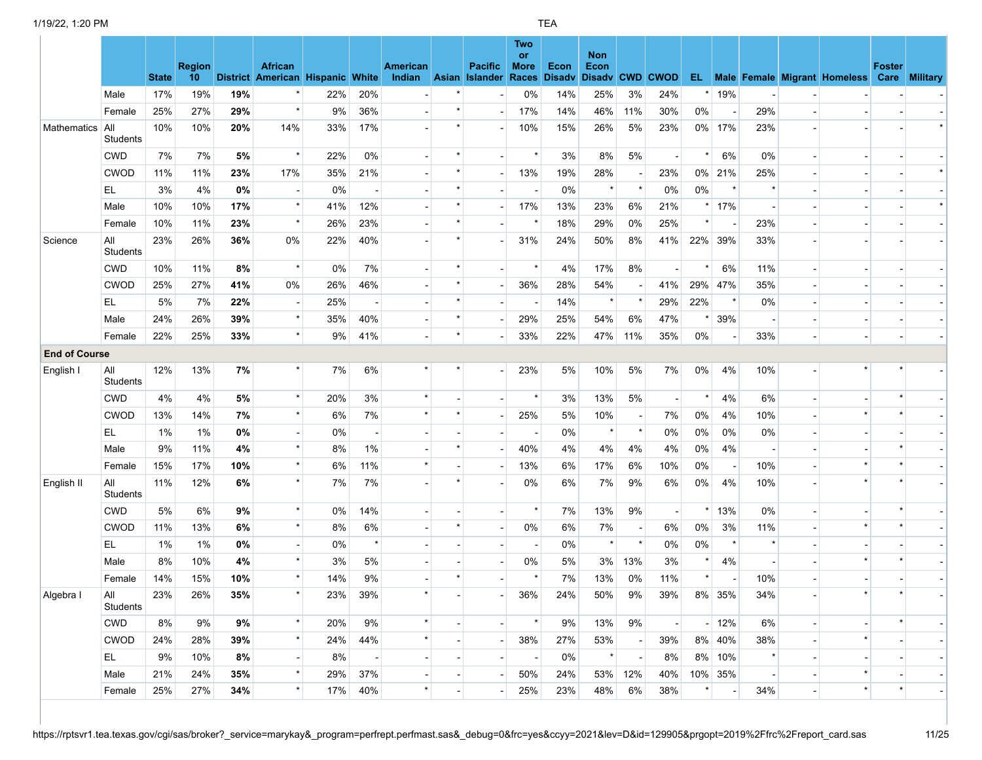|                      |                        | <b>State</b> | <b>Region</b><br>10 |        | <b>African</b><br>District American Hispanic White |     |         | American<br>Indian Asian Islander Races |                          | <b>Pacific</b> | Two<br><b>or</b><br><b>More</b> | Econ | <b>Non</b><br>Econ<br>Disady Disady CWD CWOD |                          |                          |          |                |         |                | EL Male Female Migrant Homeless Care Military | <b>Foster</b> |  |
|----------------------|------------------------|--------------|---------------------|--------|----------------------------------------------------|-----|---------|-----------------------------------------|--------------------------|----------------|---------------------------------|------|----------------------------------------------|--------------------------|--------------------------|----------|----------------|---------|----------------|-----------------------------------------------|---------------|--|
|                      | Male                   | 17%          | 19%                 | 19%    |                                                    | 22% | 20%     |                                         |                          |                | 0%                              | 14%  | 25%                                          | 3%                       | 24%                      |          | 19%            |         |                |                                               |               |  |
|                      | Female                 | 25%          | 27%                 | 29%    | $\star$                                            | 9%  | 36%     |                                         |                          |                | 17%                             | 14%  | 46%                                          | 11%                      | 30%                      | 0%       |                | 29%     |                |                                               |               |  |
| Mathematics          | All<br><b>Students</b> | 10%          | 10%                 | 20%    | 14%                                                | 33% | 17%     |                                         |                          |                | 10%                             | 15%  | 26%                                          | 5%                       | 23%                      |          | 0% 17%         | 23%     |                |                                               |               |  |
|                      | <b>CWD</b>             | 7%           | 7%                  | 5%     | $\star$                                            | 22% | 0%      |                                         |                          |                |                                 | 3%   | 8%                                           | 5%                       |                          | $\star$  | 6%             | 0%      |                |                                               |               |  |
|                      | <b>CWOD</b>            | 11%          | 11%                 | 23%    | 17%                                                | 35% | 21%     | $\overline{\phantom{a}}$                | $\star$                  |                | 13%                             | 19%  | 28%                                          | $\overline{\phantom{a}}$ | 23%                      |          | 0% 21%         | 25%     |                |                                               |               |  |
|                      | EL.                    | 3%           | 4%                  | 0%     |                                                    | 0%  |         |                                         | $\star$                  |                |                                 | 0%   | $\star$                                      | $\star$                  | 0%                       | 0%       | $\star$        |         |                |                                               |               |  |
|                      | Male                   | 10%          | 10%                 | 17%    | $\star$                                            | 41% | 12%     |                                         |                          |                | 17%                             | 13%  | 23%                                          | 6%                       | 21%                      |          | 17%            |         |                |                                               |               |  |
|                      | Female                 | 10%          | 11%                 | 23%    | $\star$                                            | 26% | 23%     |                                         |                          |                |                                 | 18%  | 29%                                          | 0%                       | 25%                      | $\star$  |                | 23%     |                |                                               |               |  |
| Science              | All<br><b>Students</b> | 23%          | 26%                 | 36%    | 0%                                                 | 22% | 40%     |                                         | $\star$                  |                | 31%                             | 24%  | 50%                                          | 8%                       | 41%                      |          | 22% 39%        | 33%     |                |                                               |               |  |
|                      | <b>CWD</b>             | 10%          | 11%                 | 8%     | $\star$                                            | 0%  | 7%      |                                         | $\star$                  |                | $\star$                         | 4%   | 17%                                          | 8%                       |                          |          | 6%             | 11%     |                |                                               |               |  |
|                      | <b>CWOD</b>            | 25%          | 27%                 | 41%    | 0%                                                 | 26% | 46%     |                                         |                          |                | 36%                             | 28%  | 54%                                          |                          | 41%                      |          | 29% 47%        | 35%     |                |                                               |               |  |
|                      | EL.                    | 5%           | 7%                  | 22%    |                                                    | 25% |         |                                         | $\star$                  |                |                                 | 14%  | $\star$                                      |                          | 29%                      | 22%      | $\star$        | 0%      |                |                                               |               |  |
|                      | Male                   | 24%          | 26%                 | 39%    | $\star$                                            | 35% | 40%     |                                         |                          |                | 29%                             | 25%  | 54%                                          | 6%                       | 47%                      |          | 39%            |         |                |                                               |               |  |
|                      | Female                 | 22%          | 25%                 | 33%    | $\star$                                            | 9%  | 41%     |                                         | $\star$                  |                | 33%                             | 22%  | 47%                                          | 11%                      | 35%                      | 0%       |                | 33%     |                |                                               |               |  |
| <b>End of Course</b> |                        |              |                     |        |                                                    |     |         |                                         |                          |                |                                 |      |                                              |                          |                          |          |                |         |                |                                               |               |  |
| English I            | All<br><b>Students</b> | 12%          | 13%                 | 7%     | $\star$                                            | 7%  | 6%      | $\star$                                 |                          |                | 23%                             | 5%   | 10%                                          | 5%                       | 7%                       | 0%       | 4%             | 10%     |                |                                               |               |  |
|                      | <b>CWD</b>             | 4%           | 4%                  | 5%     | $\star$                                            | 20% | 3%      | $\star$                                 |                          |                | $\star$                         | 3%   | 13%                                          | 5%                       | $\blacksquare$           | $\star$  | 4%             | 6%      |                |                                               |               |  |
|                      | <b>CWOD</b>            | 13%          | 14%                 | 7%     | $\star$                                            | 6%  | 7%      | $\star$                                 |                          |                | 25%                             | 5%   | 10%                                          | $\overline{\phantom{a}}$ | 7%                       | 0%       | 4%             | 10%     |                |                                               |               |  |
|                      | EL.                    | 1%           | 1%                  | $0\%$  |                                                    | 0%  |         |                                         |                          |                |                                 | 0%   | $^\star$                                     | $\star$                  | 0%                       | 0%       | 0%             | 0%      |                |                                               |               |  |
|                      | Male                   | 9%           | 11%                 | 4%     |                                                    | 8%  | 1%      |                                         |                          |                | 40%                             | 4%   | 4%                                           | 4%                       | 4%                       | 0%       | 4%             |         |                |                                               |               |  |
|                      | Female                 | 15%          | 17%                 | 10%    | $\star$                                            | 6%  | 11%     | $\star$                                 |                          |                | 13%                             | 6%   | 17%                                          | 6%                       | 10%                      | 0%       |                | 10%     |                |                                               |               |  |
| English II           | All<br>Students        | 11%          | 12%                 | 6%     | $\star$                                            | 7%  | 7%      |                                         |                          |                | $0\%$                           | 6%   | 7%                                           | 9%                       | 6%                       | 0%       | 4%             | 10%     |                |                                               |               |  |
|                      | <b>CWD</b>             | 5%           | 6%                  | 9%     |                                                    | 0%  | 14%     |                                         |                          |                |                                 | 7%   | 13%                                          | 9%                       |                          | $\star$  | 13%            | 0%      |                |                                               |               |  |
|                      | <b>CWOD</b>            | 11%          | 13%                 | 6%     |                                                    | 8%  | 6%      |                                         |                          |                | $0\%$                           | 6%   | 7%                                           | $\overline{\phantom{a}}$ | 6%                       | 0%       | 3%             | 11%     |                |                                               |               |  |
|                      | EL                     | 1%           | 1%                  | $0\%$  |                                                    | 0%  | $\star$ |                                         |                          |                |                                 | 0%   | $\star$                                      | $\pmb{\star}$            | 0%                       | 0%       |                | $\star$ |                |                                               |               |  |
|                      | Male                   | 8%           | 10%                 | $4\%$  | $\star$                                            | 3%  | 5%      |                                         |                          |                | $0\%$                           | 5%   | 3%                                           | 13%                      | 3%                       |          | 4%             |         |                |                                               |               |  |
|                      | Female                 | 14%          | 15%                 | 10%    | $\star$                                            | 14% | 9%      |                                         |                          |                |                                 | 7%   | 13%                                          | 0%                       | 11%                      |          |                | 10%     |                |                                               |               |  |
| Algebra I            | All<br>Students        | 23%          | 26%                 | $35\%$ | $\star$                                            | 23% | 39%     | $\star$                                 |                          |                | 36%                             | 24%  | 50%                                          | $9\%$                    | 39%                      |          | 8% 35%         | 34%     |                |                                               |               |  |
|                      | <b>CWD</b>             | 8%           | 9%                  | 9%     | $\star$                                            | 20% | 9%      | $\star$                                 |                          |                | $\star$                         | 9%   | 13%                                          | 9%                       | $\overline{\phantom{a}}$ |          | $-12%$         | 6%      |                | $\overline{\phantom{a}}$                      |               |  |
|                      | <b>CWOD</b>            | 24%          | 28%                 | 39%    | $\star$                                            | 24% | 44%     | $\star$                                 |                          |                | 38%                             | 27%  | 53%                                          | $\overline{\phantom{a}}$ | 39%                      |          | 8% 40%         | 38%     |                | $\star$                                       |               |  |
|                      | EL.                    | 9%           | 10%                 | 8%     | $\overline{\phantom{a}}$                           | 8%  |         | $\blacksquare$                          |                          | $\blacksquare$ |                                 | 0%   | $\star$                                      | $\blacksquare$           | 8%                       |          | 8% 10%         |         |                |                                               |               |  |
|                      | Male                   | 21%          | 24%                 | 35%    | $\star$                                            | 29% | 37%     |                                         |                          |                | 50%                             | 24%  | 53%                                          | 12%                      | 40%                      |          | 10% 35%        |         |                | $\star$                                       |               |  |
|                      | Female                 | 25%          | 27%                 | 34%    | $\star$                                            | 17% | 40%     | $\star$                                 | $\overline{\phantom{a}}$ |                | 25%                             | 23%  | 48%                                          | 6%                       | 38%                      | $^\star$ | $\blacksquare$ | 34%     | $\blacksquare$ | $\star$                                       |               |  |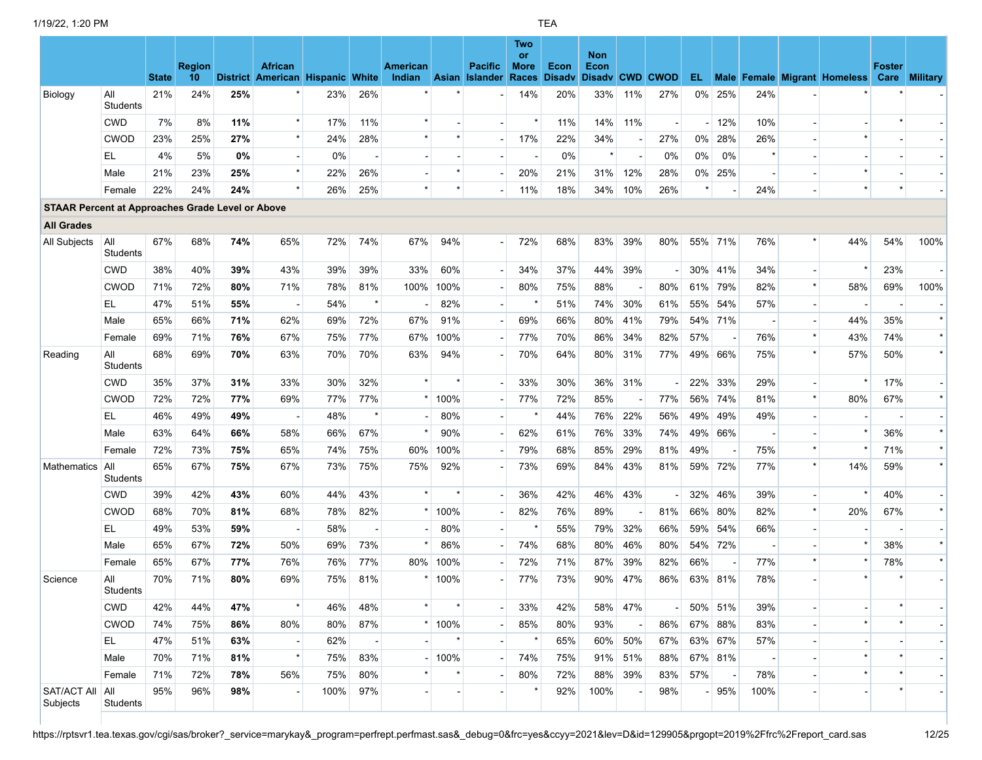|                                                         |                        | <b>State</b> | <b>Region</b><br>10 |     | <b>African</b><br>District American Hispanic White |      |         | <b>American</b><br>Indian |          | <b>Pacific</b><br><b>Asian Islander</b> | Two<br>or<br><b>More</b><br>Races | Econ<br><b>Disadv</b> | <b>Non</b><br>Econ<br>Disady CWD CWOD |                          |     |     |                          |         |         | EL Male Female Migrant Homeless Care Military | <b>Foster</b> |         |
|---------------------------------------------------------|------------------------|--------------|---------------------|-----|----------------------------------------------------|------|---------|---------------------------|----------|-----------------------------------------|-----------------------------------|-----------------------|---------------------------------------|--------------------------|-----|-----|--------------------------|---------|---------|-----------------------------------------------|---------------|---------|
| Biology                                                 | All<br><b>Students</b> | 21%          | 24%                 | 25% |                                                    | 23%  | 26%     |                           |          |                                         | 14%                               | 20%                   | 33%                                   | 11%                      | 27% |     | 0% 25%                   | 24%     |         |                                               |               |         |
|                                                         | <b>CWD</b>             | 7%           | 8%                  | 11% | $\star$                                            | 17%  | 11%     | $\star$                   |          |                                         |                                   | 11%                   | 14%                                   | 11%                      |     |     | 12%                      | 10%     |         |                                               |               |         |
|                                                         | <b>CWOD</b>            | 23%          | 25%                 | 27% |                                                    | 24%  | 28%     |                           |          |                                         | 17%                               | 22%                   | 34%                                   | $\overline{\phantom{a}}$ | 27% | 0%  | 28%                      | 26%     |         |                                               |               |         |
|                                                         | EL                     | 4%           | 5%                  | 0%  |                                                    | 0%   |         |                           |          |                                         |                                   | $0\%$                 | $\star$                               |                          | 0%  | 0%  | 0%                       | $\star$ |         |                                               |               |         |
|                                                         | Male                   | 21%          | 23%                 | 25% | $\star$                                            | 22%  | 26%     |                           | $\star$  |                                         | 20%                               | 21%                   | 31%                                   | 12%                      | 28% |     | 0% 25%                   |         |         |                                               |               |         |
|                                                         | Female                 | 22%          | 24%                 | 24% | $\star$                                            | 26%  | 25%     | $\star$                   |          |                                         | 11%                               | 18%                   | 34%                                   | 10%                      | 26% |     |                          | 24%     |         | $\star$                                       |               |         |
| <b>STAAR Percent at Approaches Grade Level or Above</b> |                        |              |                     |     |                                                    |      |         |                           |          |                                         |                                   |                       |                                       |                          |     |     |                          |         |         |                                               |               |         |
| <b>All Grades</b>                                       |                        |              |                     |     |                                                    |      |         |                           |          |                                         |                                   |                       |                                       |                          |     |     |                          |         |         |                                               |               |         |
| All Subjects                                            | All<br><b>Students</b> | 67%          | 68%                 | 74% | 65%                                                | 72%  | 74%     | 67%                       | 94%      |                                         | 72%                               | 68%                   | 83%                                   | 39%                      | 80% |     | 55% 71%                  | 76%     |         | 44%                                           | 54%           | 100%    |
|                                                         | <b>CWD</b>             | 38%          | 40%                 | 39% | 43%                                                | 39%  | 39%     | 33%                       | 60%      |                                         | 34%                               | 37%                   | 44%                                   | 39%                      |     |     | 30% 41%                  | 34%     |         |                                               | 23%           |         |
|                                                         | <b>CWOD</b>            | 71%          | 72%                 | 80% | 71%                                                | 78%  | 81%     | 100%                      | 100%     |                                         | 80%                               | 75%                   | 88%                                   |                          | 80% | 61% | 79%                      | 82%     | $\star$ | 58%                                           | 69%           | 100%    |
|                                                         | EL                     | 47%          | 51%                 | 55% |                                                    | 54%  | $\star$ |                           | 82%      |                                         |                                   | 51%                   | 74%                                   | 30%                      | 61% | 55% | 54%                      | 57%     |         |                                               |               |         |
|                                                         | Male                   | 65%          | 66%                 | 71% | 62%                                                | 69%  | 72%     | 67%                       | 91%      |                                         | 69%                               | 66%                   | 80%                                   | 41%                      | 79% |     | 54% 71%                  |         |         | 44%                                           | 35%           | $\star$ |
|                                                         | Female                 | 69%          | 71%                 | 76% | 67%                                                | 75%  | 77%     | 67%                       | 100%     |                                         | 77%                               | 70%                   | 86%                                   | 34%                      | 82% | 57% |                          | 76%     |         | 43%                                           | 74%           | $\star$ |
| Reading                                                 | All<br><b>Students</b> | 68%          | 69%                 | 70% | 63%                                                | 70%  | 70%     | 63%                       | 94%      |                                         | 70%                               | 64%                   | 80%                                   | 31%                      | 77% |     | 49% 66%                  | 75%     |         | 57%                                           | 50%           |         |
|                                                         | CWD                    | 35%          | 37%                 | 31% | 33%                                                | 30%  | 32%     |                           |          |                                         | 33%                               | 30%                   | 36%                                   | 31%                      |     | 22% | 33%                      | 29%     |         |                                               | 17%           |         |
|                                                         | <b>CWOD</b>            | 72%          | 72%                 | 77% | 69%                                                | 77%  | 77%     |                           | $*$ 100% |                                         | 77%                               | 72%                   | 85%                                   |                          | 77% |     | 56% 74%                  | 81%     |         | 80%                                           | 67%           | $\star$ |
|                                                         | EL                     | 46%          | 49%                 | 49% | $\overline{\phantom{a}}$                           | 48%  |         |                           | 80%      |                                         |                                   | 44%                   | 76%                                   | 22%                      | 56% | 49% | 49%                      | 49%     |         |                                               |               |         |
|                                                         | Male                   | 63%          | 64%                 | 66% | 58%                                                | 66%  | 67%     |                           | 90%      |                                         | 62%                               | 61%                   | 76%                                   | 33%                      | 74% |     | 49% 66%                  |         |         |                                               | 36%           | $\star$ |
|                                                         | Female                 | 72%          | 73%                 | 75% | 65%                                                | 74%  | 75%     | 60%                       | 100%     |                                         | 79%                               | 68%                   | 85%                                   | 29%                      | 81% | 49% |                          | 75%     |         |                                               | 71%           | $\star$ |
| Mathematics                                             | All<br><b>Students</b> | 65%          | 67%                 | 75% | 67%                                                | 73%  | 75%     | 75%                       | 92%      |                                         | 73%                               | 69%                   | 84%                                   | 43%                      | 81% |     | 59% 72%                  | 77%     |         | 14%                                           | 59%           | $\star$ |
|                                                         | <b>CWD</b>             | 39%          | 42%                 | 43% | 60%                                                | 44%  | 43%     | $\star$                   |          |                                         | 36%                               | 42%                   | 46%                                   | 43%                      |     | 32% | 46%                      | 39%     |         |                                               | 40%           |         |
|                                                         | <b>CWOD</b>            | 68%          | 70%                 | 81% | 68%                                                | 78%  | 82%     |                           | $*100\%$ |                                         | 82%                               | 76%                   | 89%                                   |                          | 81% | 66% | 80%                      | 82%     | $\star$ | 20%                                           | 67%           | $\star$ |
|                                                         | EL                     | 49%          | 53%                 | 59% |                                                    | 58%  |         |                           | 80%      |                                         |                                   | 55%                   | 79%                                   | 32%                      | 66% | 59% | 54%                      | 66%     |         |                                               |               |         |
|                                                         | Male                   | 65%          | 67%                 | 72% | 50%                                                | 69%  | 73%     |                           | 86%      |                                         | 74%                               | 68%                   | 80%                                   | 46%                      | 80% |     | 54% 72%                  |         |         |                                               | 38%           | $\star$ |
|                                                         | Female                 | 65%          | 67%                 | 77% | 76%                                                | 76%  | 77%     | 80%                       | 100%     |                                         | 72%                               | 71%                   | 87%                                   | 39%                      | 82% | 66% |                          | 77%     |         |                                               | 78%           |         |
| Science                                                 | All<br>Students        | 70%          | 71%                 | 80% | 69%                                                | 75%  | 81%     |                           | $*100\%$ |                                         | 77%                               | 73%                   | 90%                                   | 47%                      | 86% |     | 63% 81%                  | 78%     |         |                                               |               |         |
|                                                         | <b>CWD</b>             | 42%          | 44%                 | 47% |                                                    | 46%  | 48%     |                           |          |                                         | 33%                               | 42%                   |                                       | 58% 47%                  |     |     | 50% 51%                  | 39%     |         |                                               |               |         |
|                                                         | <b>CWOD</b>            | 74%          | 75%                 | 86% | 80%                                                | 80%  | 87%     |                           | $*$ 100% |                                         | 85%                               | 80%                   | 93%                                   |                          | 86% |     | 67% 88%                  | 83%     |         |                                               |               |         |
|                                                         | EL.                    | 47%          | 51%                 | 63% |                                                    | 62%  |         |                           |          |                                         |                                   | 65%                   |                                       | 60% 50%                  | 67% |     | 63% 67%                  | 57%     |         |                                               |               |         |
|                                                         | Male                   | 70%          | 71%                 | 81% | $\star$                                            | 75%  | 83%     |                           | $-100%$  |                                         | 74%                               | 75%                   | 91%                                   | 51%                      | 88% |     | 67% 81%                  |         |         |                                               |               |         |
|                                                         | Female                 | 71%          | 72%                 | 78% | 56%                                                | 75%  | 80%     |                           |          |                                         | 80%                               | 72%                   | 88%                                   | 39%                      | 83% | 57% | $\overline{\phantom{a}}$ | 78%     |         |                                               |               |         |
| SAT/ACT All<br>Subjects                                 | All<br>Students        | 95%          | 96%                 | 98% |                                                    | 100% | 97%     |                           |          |                                         |                                   | 92%                   | 100%                                  |                          | 98% |     | 95%                      | 100%    |         |                                               |               |         |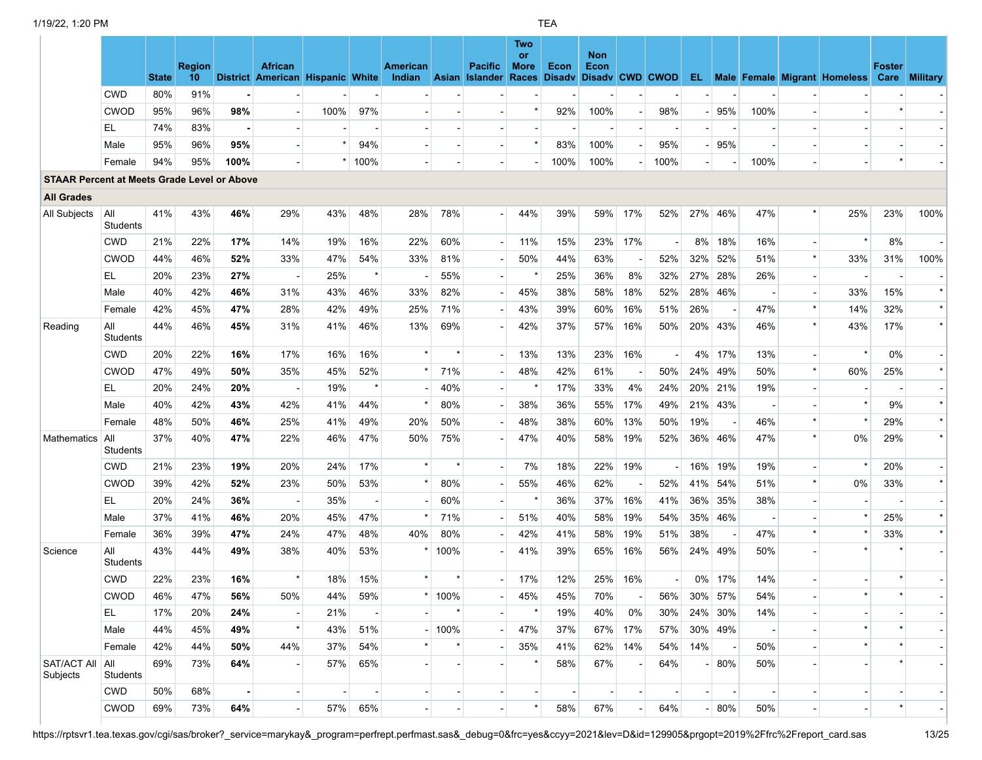|                                                    |                 | <b>State</b> | <b>Region</b><br>10 |      | <b>African</b><br>District American Hispanic White |                          |         | American<br>Indian |                | <b>Pacific</b><br>Asian Islander | Two<br><b>or</b><br>More<br>Races | Econ<br><b>Disadv</b>    | <b>Non</b><br>Econ<br>Disady CWD CWOD |                          |                          |                |                        |                          | <b>EL</b> Male Female Migrant Homeless | <b>Foster</b><br>Care | <b>Military</b> |
|----------------------------------------------------|-----------------|--------------|---------------------|------|----------------------------------------------------|--------------------------|---------|--------------------|----------------|----------------------------------|-----------------------------------|--------------------------|---------------------------------------|--------------------------|--------------------------|----------------|------------------------|--------------------------|----------------------------------------|-----------------------|-----------------|
|                                                    | <b>CWD</b>      | 80%          | 91%                 |      |                                                    |                          |         |                    |                |                                  |                                   |                          |                                       |                          |                          |                |                        |                          |                                        |                       |                 |
|                                                    | <b>CWOD</b>     | 95%          | 96%                 | 98%  |                                                    | 100%                     | 97%     |                    |                |                                  |                                   | 92%                      | 100%                                  | $\overline{\phantom{a}}$ | 98%                      |                | 95%                    | 100%                     |                                        |                       |                 |
|                                                    | EL              | 74%          | 83%                 |      |                                                    |                          |         |                    |                |                                  |                                   |                          |                                       | $\overline{a}$           |                          |                |                        |                          |                                        |                       |                 |
|                                                    | Male            | 95%          | 96%                 | 95%  |                                                    | $\star$                  | 94%     |                    |                |                                  |                                   | 83%                      | 100%                                  | $\blacksquare$           | 95%                      |                | 95%                    |                          |                                        |                       |                 |
|                                                    | Female          | 94%          | 95%                 | 100% |                                                    |                          | $*100%$ |                    |                |                                  |                                   | 100%                     | 100%                                  | $\blacksquare$           | 100%                     |                |                        | 100%                     |                                        | $\star$               |                 |
| <b>STAAR Percent at Meets Grade Level or Above</b> |                 |              |                     |      |                                                    |                          |         |                    |                |                                  |                                   |                          |                                       |                          |                          |                |                        |                          |                                        |                       |                 |
| <b>All Grades</b>                                  |                 |              |                     |      |                                                    |                          |         |                    |                |                                  |                                   |                          |                                       |                          |                          |                |                        |                          |                                        |                       |                 |
| All Subjects                                       | All<br>Students | 41%          | 43%                 | 46%  | 29%                                                | 43%                      | 48%     | 28%                | 78%            |                                  | 44%                               | 39%                      | 59%                                   | 17%                      | 52%                      |                | 27% 46%                | 47%                      | 25%                                    | 23%                   | 100%            |
|                                                    | <b>CWD</b>      | 21%          | 22%                 | 17%  | 14%                                                | 19%                      | 16%     | 22%                | 60%            |                                  | 11%                               | 15%                      | 23%                                   | 17%                      |                          | 8%             | 18%                    | 16%                      |                                        | 8%                    |                 |
|                                                    | CWOD            | 44%          | 46%                 | 52%  | 33%                                                | 47%                      | 54%     | 33%                | 81%            |                                  | 50%                               | 44%                      | 63%                                   | $\overline{\phantom{a}}$ | 52%                      | 32%            | 52%                    | 51%                      | 33%                                    | 31%                   | 100%            |
|                                                    | EL              | 20%          | 23%                 | 27%  | $\overline{\phantom{a}}$                           | 25%                      |         |                    | 55%            |                                  |                                   | 25%                      | 36%                                   | 8%                       | 32%                      | 27%            | 28%                    | 26%                      |                                        |                       |                 |
|                                                    | Male            | 40%          | 42%                 | 46%  | 31%                                                | 43%                      | 46%     | 33%                | 82%            |                                  | 45%                               | 38%                      | 58%                                   | 18%                      | 52%                      |                | 28% 46%                |                          | 33%                                    | 15%                   | $\star$         |
|                                                    | Female          | 42%          | 45%                 | 47%  | 28%                                                | 42%                      | 49%     | 25%                | 71%            |                                  | 43%                               | 39%                      | 60%                                   | 16%                      | 51%                      | 26%            |                        | 47%                      | 14%                                    | 32%                   | $\star$         |
| Reading                                            | All<br>Students | 44%          | 46%                 | 45%  | 31%                                                | 41%                      | 46%     | 13%                | 69%            |                                  | 42%                               | 37%                      | 57%                                   | 16%                      | 50%                      |                | 20% 43%                | 46%                      | 43%                                    | 17%                   | $\star$         |
|                                                    | <b>CWD</b>      | 20%          | 22%                 | 16%  | 17%                                                | 16%                      | 16%     | $\star$            | $\star$        |                                  | 13%                               | 13%                      | 23%                                   | 16%                      | $\overline{\phantom{a}}$ |                | 4% 17%                 | 13%                      | $\star$                                | 0%                    |                 |
|                                                    | <b>CWOD</b>     | 47%          | 49%                 | 50%  | 35%                                                | 45%                      | 52%     |                    | 71%            |                                  | 48%                               | 42%                      | 61%                                   | $\overline{\phantom{a}}$ | 50%                      |                | 24% 49%                | 50%                      | 60%                                    | 25%                   | $\star$         |
|                                                    | EL              | 20%          | 24%                 | 20%  |                                                    | 19%                      |         |                    | 40%            |                                  |                                   | 17%                      | 33%                                   | 4%                       | 24%                      |                | 20% 21%                | 19%                      |                                        |                       |                 |
|                                                    | Male            | 40%          | 42%                 | 43%  | 42%                                                | 41%                      | 44%     |                    | 80%            |                                  | 38%                               | 36%                      | 55%                                   | 17%                      | 49%                      |                | 21% 43%                |                          |                                        | 9%                    | $\star$         |
|                                                    | Female          | 48%          | 50%                 | 46%  | 25%                                                | 41%                      | 49%     | 20%                | 50%            |                                  | 48%                               | 38%                      | 60%                                   | 13%                      | 50%                      | 19%            |                        | 46%                      | $\star$                                | 29%                   | $\star$         |
| Mathematics                                        | All<br>Students | 37%          | 40%                 | 47%  | 22%                                                | 46%                      | 47%     | 50%                | 75%            |                                  | 47%                               | 40%                      | 58%                                   | 19%                      | 52%                      |                | 36% 46%                | 47%                      | 0%                                     | 29%                   | $\star$         |
|                                                    | <b>CWD</b>      | 21%          | 23%                 | 19%  | 20%                                                | 24%                      | 17%     | $\star$            | $\star$        |                                  | 7%                                | 18%                      | 22%                                   | 19%                      |                          | 16%            | 19%                    | 19%                      | $\star$                                | 20%                   |                 |
|                                                    | <b>CWOD</b>     | 39%          | 42%                 | 52%  | 23%                                                | 50%                      | 53%     |                    | 80%            |                                  | 55%                               | 46%                      | 62%                                   | $\overline{\phantom{a}}$ | 52%                      | 41%            | 54%                    | 51%                      | $0\%$                                  | 33%                   | $\star$         |
|                                                    | EL              | 20%          | 24%                 | 36%  |                                                    | 35%                      |         |                    | 60%            |                                  |                                   | 36%                      | 37%                                   | 16%                      | 41%                      | 36%            | 35%                    | 38%                      |                                        |                       |                 |
|                                                    | Male            | 37%          | 41%                 | 46%  | 20%                                                | 45%                      | 47%     |                    | 71%            |                                  | 51%                               | 40%                      | 58%                                   | 19%                      | 54%                      |                | 35% 46%                | $\overline{\phantom{a}}$ |                                        | 25%                   | $\star$         |
|                                                    | Female          | 36%          | 39%                 | 47%  | 24%                                                | 47%                      | 48%     | 40%                | 80%            |                                  | 42%                               | 41%                      | 58%                                   | 19%                      | 51%                      | 38%            |                        | 47%                      |                                        | 33%                   |                 |
| Science                                            | All<br>Students | 43%          | 44%                 | 49%  | 38%                                                | 40%                      | 53%     |                    | 100%           |                                  | 41%                               | 39%                      | 65%                                   | 16%                      | 56%                      |                | 24% 49%                | 50%                      |                                        |                       |                 |
|                                                    | <b>CWD</b>      | 22%          | 23%                 | 16%  | $\star$                                            | 18%                      | 15%     |                    | $\star$        |                                  | 17%                               | 12%                      | 25%                                   | 16%                      |                          |                | 0% 17%                 | 14%                      |                                        |                       |                 |
|                                                    | CWOD            | 46%          | 47%                 | 56%  | 50%                                                | 44%                      | 59%     |                    | $*$ 100%       |                                  | 45%                               | 45%                      | 70%                                   |                          | 56%                      |                | 30% 57%                | 54%                      |                                        |                       |                 |
|                                                    | EL              | 17%          | 20%                 | 24%  |                                                    | 21%                      |         |                    |                |                                  |                                   | 19%                      | 40%                                   | 0%                       | 30%                      |                | 24% 30%                | 14%                      |                                        |                       |                 |
|                                                    | Male            | 44%          | 45%                 | 49%  | $\star$                                            | 43%                      | 51%     |                    | 100%           |                                  | 47%                               | 37%                      |                                       | 67% 17%                  | 57%                      |                | 30% 49%                | $\overline{\phantom{a}}$ | $\star$                                |                       |                 |
|                                                    | Female          | 42%          | 44%                 | 50%  | 44%                                                | 37%                      | 54%     |                    |                |                                  | 35%                               | 41%                      |                                       | 62% 14%                  | 54%                      | 14%            | $\left  \cdot \right $ | 50%                      |                                        |                       |                 |
| SAT/ACT All<br>Subjects                            | All<br>Students | 69%          | 73%                 | 64%  |                                                    | 57%                      | 65%     |                    |                |                                  |                                   | 58%                      | 67%                                   |                          | 64%                      |                | 80%                    | 50%                      |                                        |                       |                 |
|                                                    | <b>CWD</b>      | 50%          | 68%                 |      |                                                    | $\overline{\phantom{a}}$ |         |                    | $\blacksquare$ |                                  |                                   | $\overline{\phantom{a}}$ | $\blacksquare$                        | $\blacksquare$           | $\blacksquare$           | $\blacksquare$ | $\sim$                 | $\overline{\phantom{a}}$ |                                        |                       |                 |
|                                                    | CWOD            | 69%          | 73%                 | 64%  |                                                    | 57%                      | 65%     |                    |                |                                  |                                   | 58%                      | 67%                                   |                          | 64%                      |                | $-80%$                 | 50%                      |                                        |                       |                 |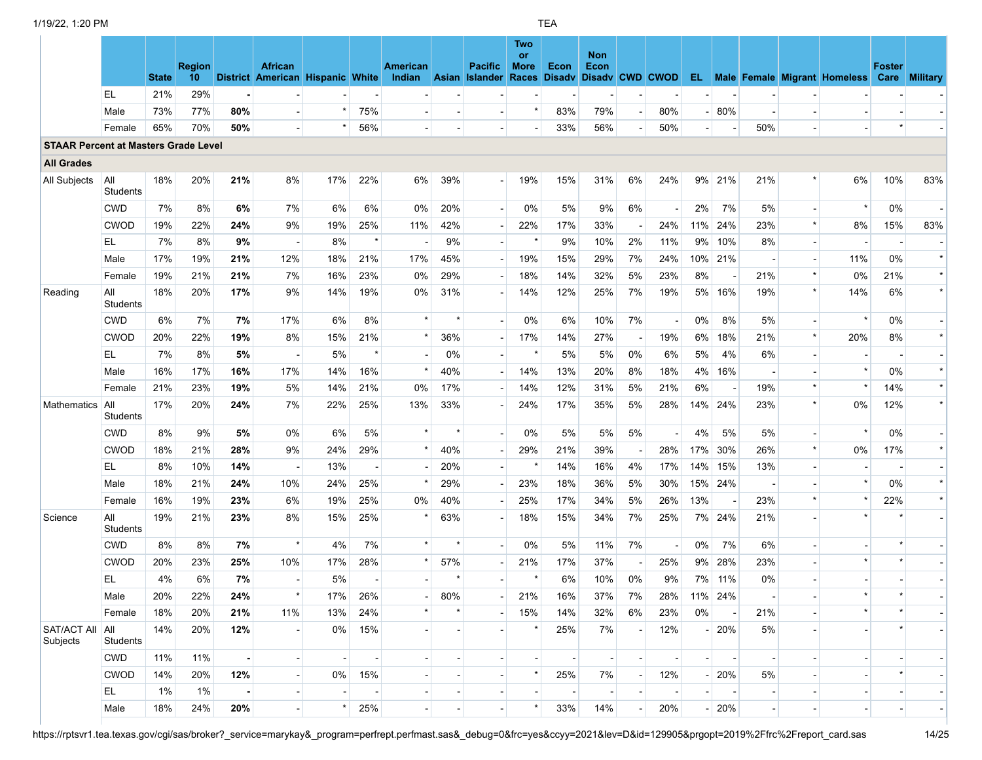|                                             |                        | <b>State</b> | <b>Region</b><br>10 <sup>°</sup> |     | <b>African</b><br>District American Hispanic White |                |         | <b>American</b><br>Indian |         | <b>Pacific</b><br>Asian Islander | Two<br><b>or</b><br><b>More</b><br>Races | Econ | <b>Non</b><br><b>Econ</b><br>Disady Disady CWD CWOD |                          |                          |                          |            |                          | <b>EL</b> Male Female Migrant Homeless | <b>Foster</b><br>Care | <b>Military</b> |
|---------------------------------------------|------------------------|--------------|----------------------------------|-----|----------------------------------------------------|----------------|---------|---------------------------|---------|----------------------------------|------------------------------------------|------|-----------------------------------------------------|--------------------------|--------------------------|--------------------------|------------|--------------------------|----------------------------------------|-----------------------|-----------------|
|                                             | EL                     | 21%          | 29%                              |     |                                                    |                |         |                           |         |                                  |                                          |      |                                                     |                          |                          |                          |            |                          |                                        |                       |                 |
|                                             | Male                   | 73%          | 77%                              | 80% | $\overline{\phantom{a}}$                           | $\star$        | 75%     |                           |         |                                  |                                          | 83%  | 79%                                                 | $\overline{\phantom{a}}$ | 80%                      |                          | 80%        |                          |                                        |                       |                 |
|                                             | Female                 | 65%          | 70%                              | 50% | $\blacksquare$                                     | $\star$        | 56%     |                           |         | $\overline{\phantom{a}}$         |                                          | 33%  | 56%                                                 |                          | 50%                      | $\overline{\phantom{a}}$ |            | 50%                      |                                        |                       |                 |
| <b>STAAR Percent at Masters Grade Level</b> |                        |              |                                  |     |                                                    |                |         |                           |         |                                  |                                          |      |                                                     |                          |                          |                          |            |                          |                                        |                       |                 |
| <b>All Grades</b>                           |                        |              |                                  |     |                                                    |                |         |                           |         |                                  |                                          |      |                                                     |                          |                          |                          |            |                          |                                        |                       |                 |
| All Subjects                                | All<br><b>Students</b> | 18%          | 20%                              | 21% | 8%                                                 | 17%            | 22%     | 6%                        | 39%     | $\blacksquare$                   | 19%                                      | 15%  | 31%                                                 | 6%                       | 24%                      |                          | 9% 21%     | 21%                      | 6%                                     | 10%                   | 83%             |
|                                             | <b>CWD</b>             | 7%           | 8%                               | 6%  | 7%                                                 | 6%             | 6%      | 0%                        | 20%     |                                  | 0%                                       | 5%   | 9%                                                  | 6%                       |                          | 2%                       | 7%         | 5%                       |                                        | 0%                    |                 |
|                                             | CWOD                   | 19%          | 22%                              | 24% | 9%                                                 | 19%            | 25%     | 11%                       | 42%     |                                  | 22%                                      | 17%  | 33%                                                 |                          | 24%                      |                          | 11% 24%    | 23%                      | 8%                                     | 15%                   | 83%             |
|                                             | EL                     | 7%           | 8%                               | 9%  | $\overline{\phantom{a}}$                           | 8%             |         |                           | 9%      |                                  |                                          | 9%   | 10%                                                 | 2%                       | 11%                      | 9%                       | 10%        | 8%                       |                                        |                       |                 |
|                                             | Male                   | 17%          | 19%                              | 21% | 12%                                                | 18%            | 21%     | 17%                       | 45%     |                                  | 19%                                      | 15%  | 29%                                                 | 7%                       | 24%                      |                          | 10% 21%    |                          | 11%                                    | 0%                    | $\star$         |
|                                             | Female                 | 19%          | 21%                              | 21% | 7%                                                 | 16%            | 23%     | 0%                        | 29%     |                                  | 18%                                      | 14%  | 32%                                                 | 5%                       | 23%                      | 8%                       |            | 21%                      | 0%                                     | 21%                   | $\star$         |
| Reading                                     | All<br>Students        | 18%          | 20%                              | 17% | 9%                                                 | 14%            | 19%     | 0%                        | 31%     |                                  | 14%                                      | 12%  | 25%                                                 | 7%                       | 19%                      |                          | 5% 16%     | 19%                      | 14%                                    | 6%                    |                 |
|                                             | <b>CWD</b>             | 6%           | 7%                               | 7%  | 17%                                                | 6%             | 8%      |                           |         |                                  | 0%                                       | 6%   | 10%                                                 | 7%                       | $\overline{\phantom{a}}$ | 0%                       | 8%         | 5%                       |                                        | 0%                    |                 |
|                                             | CWOD                   | 20%          | 22%                              | 19% | 8%                                                 | 15%            | 21%     | $\star$                   | 36%     |                                  | 17%                                      | 14%  | 27%                                                 | $\overline{\phantom{a}}$ | 19%                      | 6%                       | 18%        | 21%                      | 20%                                    | 8%                    | $\star$         |
|                                             | EL.                    | 7%           | 8%                               | 5%  | $\blacksquare$                                     | 5%             | $\star$ |                           | 0%      |                                  | $\star$                                  | 5%   | 5%                                                  | 0%                       | 6%                       | 5%                       | 4%         | 6%                       |                                        |                       |                 |
|                                             | Male                   | 16%          | 17%                              | 16% | 17%                                                | 14%            | 16%     | $\star$                   | 40%     |                                  | 14%                                      | 13%  | 20%                                                 | 8%                       | 18%                      | 4%                       | 16%        |                          |                                        | 0%                    | $\star$         |
|                                             | Female                 | 21%          | 23%                              | 19% | 5%                                                 | 14%            | 21%     | 0%                        | 17%     |                                  | 14%                                      | 12%  | 31%                                                 | 5%                       | 21%                      | 6%                       |            | 19%                      |                                        | 14%                   | $\star$         |
| Mathematics                                 | All<br><b>Students</b> | 17%          | 20%                              | 24% | 7%                                                 | 22%            | 25%     | 13%                       | 33%     |                                  | 24%                                      | 17%  | 35%                                                 | 5%                       | 28%                      |                          | 14% 24%    | 23%                      | 0%                                     | 12%                   | $\star$         |
|                                             | <b>CWD</b>             | 8%           | 9%                               | 5%  | $0\%$                                              | 6%             | 5%      | $\star$                   | $\star$ |                                  | 0%                                       | 5%   | 5%                                                  | 5%                       | $\overline{\phantom{a}}$ | 4%                       | 5%         | 5%                       |                                        | 0%                    |                 |
|                                             | CWOD                   | 18%          | 21%                              | 28% | 9%                                                 | 24%            | 29%     | $\star$                   | 40%     |                                  | 29%                                      | 21%  | 39%                                                 |                          | 28%                      | 17%                      | 30%        | 26%                      | $0\%$                                  | 17%                   | $\star$         |
|                                             | EL.                    | 8%           | 10%                              | 14% | $\overline{\phantom{a}}$                           | 13%            |         |                           | 20%     |                                  |                                          | 14%  | 16%                                                 | 4%                       | 17%                      | 14%                      | 15%        | 13%                      |                                        |                       |                 |
|                                             | Male                   | 18%          | 21%                              | 24% | 10%                                                | 24%            | 25%     | $\star$                   | 29%     |                                  | 23%                                      | 18%  | 36%                                                 | 5%                       | 30%                      |                          | 15% 24%    |                          |                                        | 0%                    | $\star$         |
|                                             | Female                 | 16%          | 19%                              | 23% | 6%                                                 | 19%            | 25%     | 0%                        | 40%     |                                  | 25%                                      | 17%  | 34%                                                 | 5%                       | 26%                      | 13%                      |            | 23%                      | $\star$                                | 22%                   | $\star$         |
| Science                                     | All<br>Students        | 19%          | 21%                              | 23% | 8%                                                 | 15%            | 25%     |                           | 63%     |                                  | 18%                                      | 15%  | 34%                                                 | 7%                       | 25%                      |                          | 7% 24%     | 21%                      |                                        |                       |                 |
|                                             | <b>CWD</b>             | 8%           | 8%                               | 7%  | $\star$                                            | 4%             | 7%      | $\star$                   |         |                                  | 0%                                       | 5%   | 11%                                                 | 7%                       | $\overline{\phantom{a}}$ | 0%                       | 7%         | 6%                       |                                        |                       |                 |
|                                             | <b>CWOD</b>            | 20%          | 23%                              | 25% | 10%                                                | 17%            | 28%     | $\star$                   | 57%     |                                  | 21%                                      | 17%  | 37%                                                 | $\overline{\phantom{a}}$ | 25%                      | 9%                       | 28%        | 23%                      |                                        |                       |                 |
|                                             | EL                     | 4%           | 6%                               | 7%  | $\blacksquare$                                     | 5%             |         |                           |         |                                  |                                          | 6%   | 10%                                                 | 0%                       | 9%                       |                          | 7% 11%     | 0%                       |                                        |                       |                 |
|                                             | Male                   | 20%          | 22%                              | 24% |                                                    | 17%            | 26%     |                           | 80%     |                                  | 21%                                      | 16%  | 37%                                                 | 7%                       | 28%                      |                          | $11\%$ 24% |                          |                                        |                       |                 |
|                                             | Female                 | 18%          | 20%                              | 21% | 11%                                                | 13%            | 24%     |                           |         |                                  | 15%                                      | 14%  | 32%                                                 | 6%                       | 23%                      | 0%                       |            | 21%                      |                                        |                       |                 |
| <b>SAT/ACT All</b><br>Subjects              | All<br>Students        | 14%          | 20%                              | 12% |                                                    | 0%             | 15%     |                           |         |                                  |                                          | 25%  | 7%                                                  |                          | 12%                      |                          | $- 20%$    | 5%                       |                                        |                       |                 |
|                                             | <b>CWD</b>             | 11%          | 11%                              |     | $\blacksquare$                                     | $\blacksquare$ |         |                           |         |                                  |                                          |      | $\blacksquare$                                      | $\overline{\phantom{a}}$ |                          |                          |            |                          |                                        |                       |                 |
|                                             | <b>CWOD</b>            | 14%          | 20%                              | 12% |                                                    | 0%             | 15%     |                           |         |                                  |                                          | 25%  | 7%                                                  | $\blacksquare$           | 12%                      |                          | $-120%$    | 5%                       |                                        |                       |                 |
|                                             | EL                     | 1%           | 1%                               |     |                                                    |                |         |                           |         |                                  |                                          |      |                                                     |                          |                          |                          |            |                          |                                        |                       |                 |
|                                             | Male                   | 18%          | 24%                              | 20% | $\overline{\phantom{a}}$                           |                | 25%     | $\blacksquare$            |         | $\overline{\phantom{a}}$         |                                          | 33%  | 14%                                                 |                          | 20%                      |                          | $- 20%$    | $\overline{\phantom{a}}$ |                                        |                       |                 |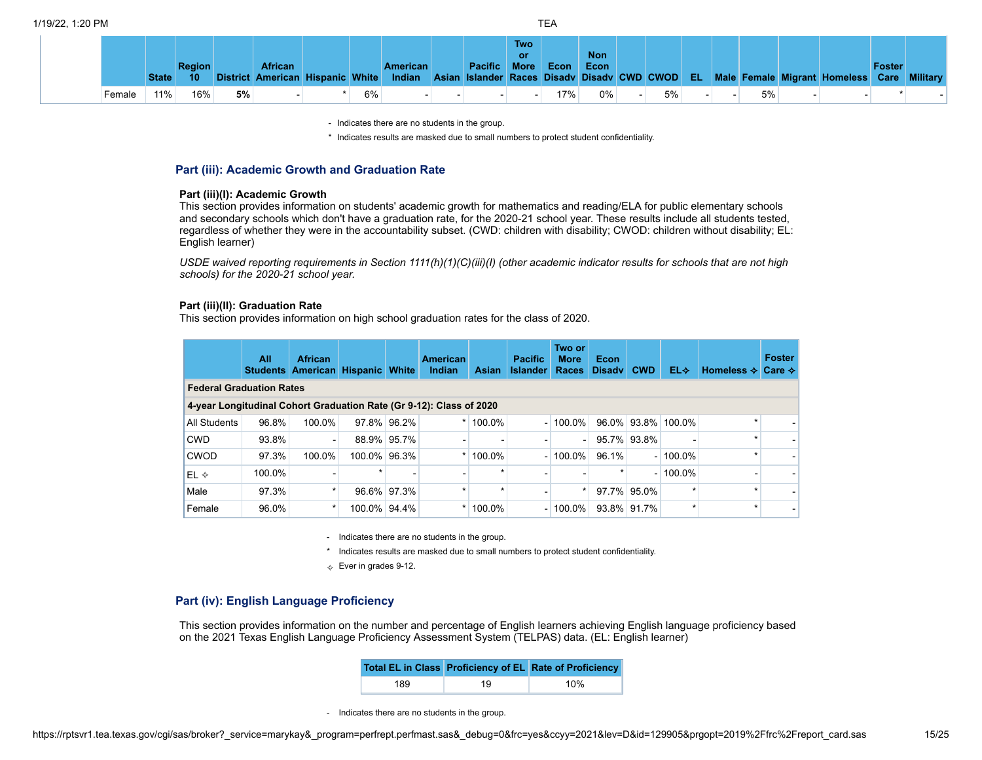|        | <b>State</b> | <b>Region</b><br>10 |    | <b>African</b> |    | <b>American</b> | <b>Pacific More</b> | <b>Two</b><br><b>or</b> | Econ | <b>Non</b><br>Econ |    |  |    | District American Hispanic White Indian Asian Islander Races Disady Disady CWD CWOD EL Male Female Migrant Homeless Care Military | <b>Foster</b> |  |
|--------|--------------|---------------------|----|----------------|----|-----------------|---------------------|-------------------------|------|--------------------|----|--|----|-----------------------------------------------------------------------------------------------------------------------------------|---------------|--|
| Female | 11%          | 16%                 | 5% |                | 6% |                 |                     |                         | 17%  | 0%                 | 5% |  | 5% |                                                                                                                                   |               |  |

\* Indicates results are masked due to small numbers to protect student confidentiality.

### **Part (iii): Academic Growth and Graduation Rate**

### **Part (iii)(I): Academic Growth**

This section provides information on students' academic growth for mathematics and reading/ELA for public elementary schools and secondary schools which don't have a graduation rate, for the 2020-21 school year. These results include all students tested, regardless of whether they were in the accountability subset. (CWD: children with disability; CWOD: children without disability; EL: English learner)

USDE waived reporting requirements in Section 1111(h)(1)(C)(iii)(l) (other academic indicator results for schools that are not high *schools) for the 2020-21 school year.*

### **Part (iii)(II): Graduation Rate**

This section provides information on high school graduation rates for the class of 2020.

|                                                                     | All    | <b>African</b><br><b>Students American</b> | <b>Hispanic White</b> |             | <b>American</b><br><b>Indian</b> | <b>Asian</b> | <b>Pacific</b><br><b>Islander</b> | Two or<br><b>More</b><br>Races | <b>Econ</b><br><b>Disady</b> | <b>CWD</b> | EL⊹                | Homeless $\lozenge$ | Foster<br>Care $\diamond$ |
|---------------------------------------------------------------------|--------|--------------------------------------------|-----------------------|-------------|----------------------------------|--------------|-----------------------------------|--------------------------------|------------------------------|------------|--------------------|---------------------|---------------------------|
| <b>Federal Graduation Rates</b>                                     |        |                                            |                       |             |                                  |              |                                   |                                |                              |            |                    |                     |                           |
| 4-year Longitudinal Cohort Graduation Rate (Gr 9-12): Class of 2020 |        |                                            |                       |             |                                  |              |                                   |                                |                              |            |                    |                     |                           |
| All Students                                                        | 96.8%  | 100.0%                                     |                       | 97.8% 96.2% | *                                | 100.0%       |                                   | $-100.0\%$                     |                              |            | 96.0% 93.8% 100.0% | $\star$             |                           |
| <b>CWD</b>                                                          | 93.8%  | ۰                                          |                       | 88.9% 95.7% |                                  |              |                                   |                                | 95.7% 93.8%                  |            |                    | ÷                   |                           |
| <b>CWOD</b>                                                         | 97.3%  | 100.0%                                     | 100.0% 96.3%          |             |                                  | 100.0%       |                                   | $-100.0\%$                     | 96.1%                        |            | $-100.0\%$         | ÷                   |                           |
| $EL \diamond$                                                       | 100.0% |                                            |                       |             |                                  |              |                                   |                                |                              |            | $-100.0\%$         |                     |                           |
| Male                                                                | 97.3%  | $\star$                                    |                       | 96.6% 97.3% | ÷                                | $\star$      |                                   |                                | 97.7% 95.0%                  |            |                    | ÷                   |                           |
| Female                                                              | 96.0%  | $\star$                                    | 100.0% 94.4%          |             |                                  | 100.0%       |                                   | $-100.0\%$                     | 93.8% 91.7%                  |            | $\star$            | ÷                   |                           |

- Indicates there are no students in the group.

\* Indicates results are masked due to small numbers to protect student confidentiality.

 $\Leftrightarrow$  Ever in grades 9-12.

### **Part (iv): English Language Proficiency**

This section provides information on the number and percentage of English learners achieving English language proficiency based on the 2021 Texas English Language Proficiency Assessment System (TELPAS) data. (EL: English learner)

|     |    | Total EL in Class Proficiency of EL Rate of Proficiency |
|-----|----|---------------------------------------------------------|
| 189 | 19 | 10%                                                     |

- Indicates there are no students in the group.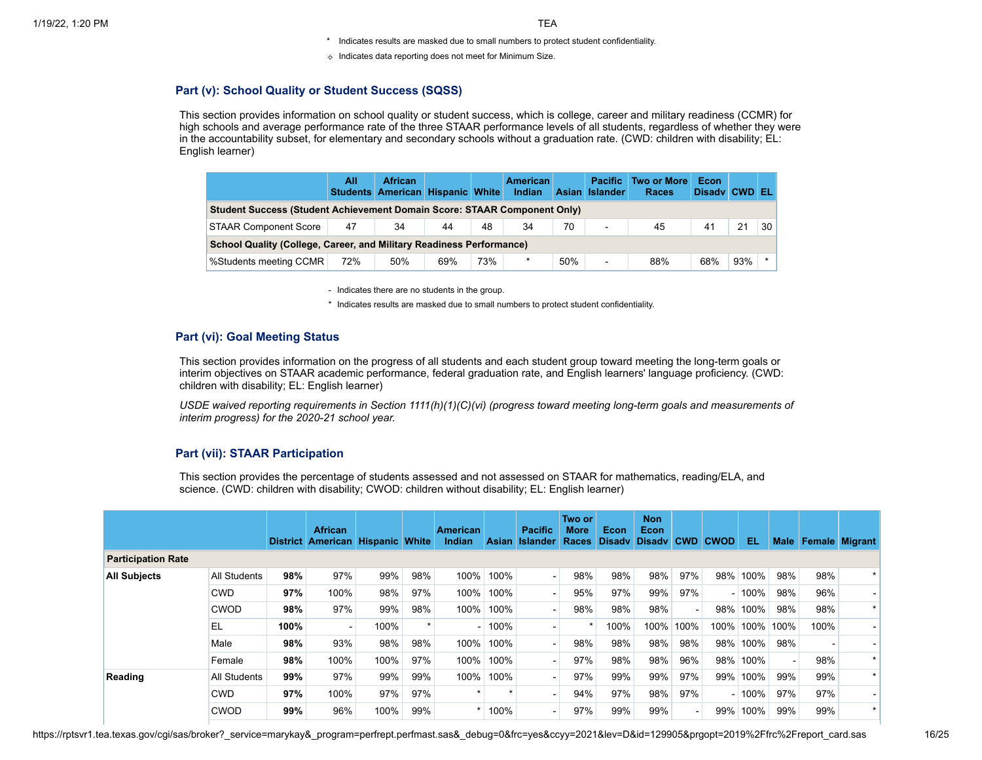- \* Indicates results are masked due to small numbers to protect student confidentiality.
- $\Diamond$  Indicates data reporting does not meet for Minimum Size.

# **Part (v): School Quality or Student Success (SQSS)**

This section provides information on school quality or student success, which is college, career and military readiness (CCMR) for high schools and average performance rate of the three STAAR performance levels of all students, regardless of whether they were in the accountability subset, for elementary and secondary schools without a graduation rate. (CWD: children with disability; EL: English learner)

|                                                                                 | All | <b>African</b><br>Students American Hispanic White |     |     | <b>American</b><br>Indian | <b>Asian</b> | <b>Pacific</b><br>Islander | <b>Two or More</b><br><b>Races</b> | Econ<br>Disady CWD |     | IEL.    |
|---------------------------------------------------------------------------------|-----|----------------------------------------------------|-----|-----|---------------------------|--------------|----------------------------|------------------------------------|--------------------|-----|---------|
| <b>Student Success (Student Achievement Domain Score: STAAR Component Only)</b> |     |                                                    |     |     |                           |              |                            |                                    |                    |     |         |
| <b>STAAR Component Score</b>                                                    | 47  | 34                                                 | 44  | 48  | 34                        | 70           | $\overline{\phantom{a}}$   | 45                                 | 41                 | 21  | 30      |
| School Quality (College, Career, and Military Readiness Performance)            |     |                                                    |     |     |                           |              |                            |                                    |                    |     |         |
| %Students meeting CCMR                                                          | 72% | 50%                                                | 69% | 73% | $\star$                   | 50%          | $\blacksquare$             | 88%                                | 68%                | 93% | $\star$ |

- Indicates there are no students in the group.

\* Indicates results are masked due to small numbers to protect student confidentiality.

# **Part (vi): Goal Meeting Status**

This section provides information on the progress of all students and each student group toward meeting the long-term goals or interim objectives on STAAR academic performance, federal graduation rate, and English learners' language proficiency. (CWD: children with disability; EL: English learner)

USDE waived reporting requirements in Section 1111(h)(1)(C)(vi) (progress toward meeting long-term goals and measurements of *interim progress) for the 2020-21 school year.*

# **Part (vii): STAAR Participation**

This section provides the percentage of students assessed and not assessed on STAAR for mathematics, reading/ELA, and science. (CWD: children with disability; CWOD: children without disability; EL: English learner)

|                           |                     |      | <b>African</b><br>District American Hispanic White |      |     | <b>American</b><br>Indian | <b>Asian</b> | <b>Pacific</b><br><b>Islander</b> | Two or<br><b>More</b><br>Races | Econ | <b>Non</b><br><b>Econ</b><br>Disady Disady |      | <b>CWD CWOD</b> | -EL     | Male           |      | <b>Female Migrant</b> |
|---------------------------|---------------------|------|----------------------------------------------------|------|-----|---------------------------|--------------|-----------------------------------|--------------------------------|------|--------------------------------------------|------|-----------------|---------|----------------|------|-----------------------|
| <b>Participation Rate</b> |                     |      |                                                    |      |     |                           |              |                                   |                                |      |                                            |      |                 |         |                |      |                       |
| <b>All Subjects</b>       | <b>All Students</b> | 98%  | 97%                                                | 99%  | 98% | 100%                      | 100%         |                                   | 98%                            | 98%  | 98%                                        | 97%  | 98%             | 100%    | 98%            | 98%  | $\star$               |
|                           | <b>CWD</b>          | 97%  | 100%                                               | 98%  | 97% | 100%                      | 100%         |                                   | 95%                            | 97%  | 99%                                        | 97%  |                 | $-100%$ | 98%            | 96%  |                       |
|                           | <b>CWOD</b>         | 98%  | 97%                                                | 99%  | 98% | 100%                      | 100%         |                                   | 98%                            | 98%  | 98%                                        |      | 98%             | 100%    | 98%            | 98%  | $\star$               |
|                           | EL                  | 100% | $\overline{\phantom{0}}$                           | 100% |     |                           | 100%         |                                   |                                | 100% | 100%                                       | 100% | 100%            | 100%    | 100%           | 100% |                       |
|                           | Male                | 98%  | 93%                                                | 98%  | 98% | 100%                      | 100%         |                                   | 98%                            | 98%  | 98%                                        | 98%  | 98%             | 100%    | 98%            |      |                       |
|                           | Female              | 98%  | 100%                                               | 100% | 97% | 100%                      | 100%         |                                   | 97%                            | 98%  | 98%                                        | 96%  | 98%             | 100%    | $\blacksquare$ | 98%  | $\star$               |
| Reading                   | <b>All Students</b> | 99%  | 97%                                                | 99%  | 99% | 100%                      | 100%         |                                   | 97%                            | 99%  | 99%                                        | 97%  | 99%             | 100%    | 99%            | 99%  | $\star$               |
|                           | <b>CWD</b>          | 97%  | 100%                                               | 97%  | 97% | $\star$                   |              |                                   | 94%                            | 97%  | 98%                                        | 97%  |                 | 100%    | 97%            | 97%  |                       |
|                           | <b>CWOD</b>         | 99%  | 96%                                                | 100% | 99% | ÷                         | 100%         |                                   | 97%                            | 99%  | 99%                                        |      | 99%             | 100%    | 99%            | 99%  | $\star$               |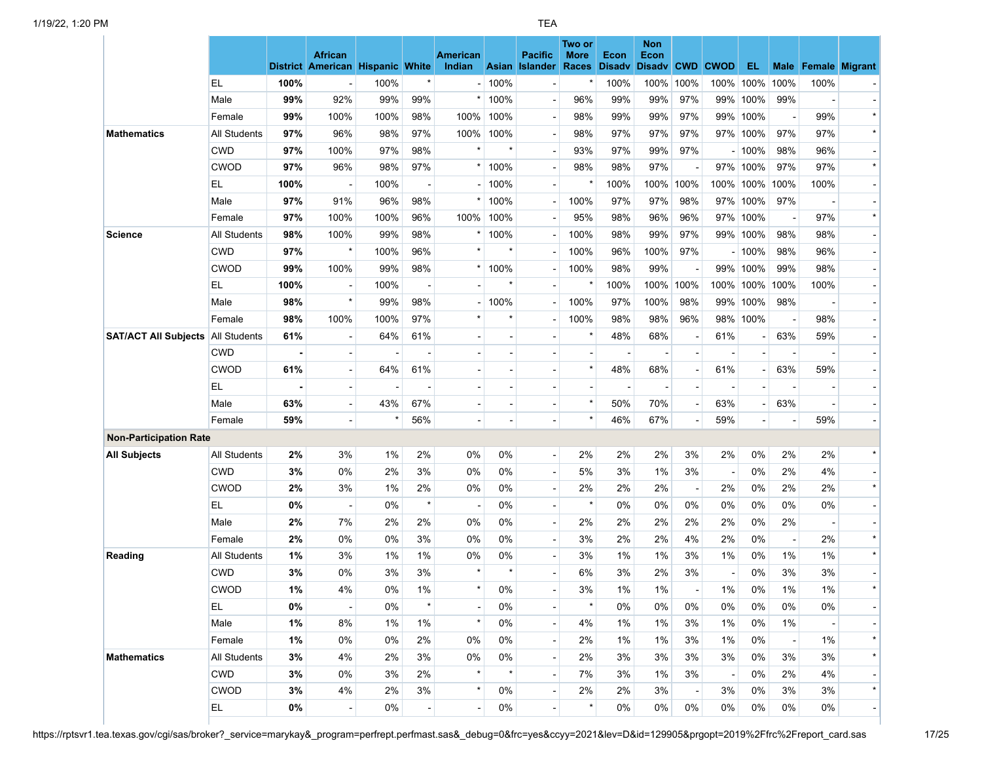|                               |                     |       |                                  |                |         |                           |                       |                | Two or      |                          | <b>Non</b>            |                          |                          |                     |                          |                               |                           |
|-------------------------------|---------------------|-------|----------------------------------|----------------|---------|---------------------------|-----------------------|----------------|-------------|--------------------------|-----------------------|--------------------------|--------------------------|---------------------|--------------------------|-------------------------------|---------------------------|
|                               |                     |       | <b>African</b>                   |                |         | <b>American</b><br>Indian |                       | <b>Pacific</b> | <b>More</b> | <b>Econ</b>              | <b>Econ</b>           | <b>CWD</b>               |                          | EL                  |                          |                               |                           |
|                               | EL                  | 100%  | District American Hispanic White | 100%           | $\star$ |                           | 100%                  | Asian Islander | Races       | <b>Disadv</b><br>100%    | <b>Disadv</b><br>100% | 100%                     | <b>CWOD</b><br>100%      | 100%                | Male<br>100%             | <b>Female Migrant</b><br>100% |                           |
|                               | Male                | 99%   | 92%                              | 99%            | 99%     |                           | 100%                  |                | 96%         | 99%                      | 99%                   | 97%                      | 99%                      | 100%                | 99%                      |                               |                           |
|                               | Female              | 99%   | 100%                             | 100%           | 98%     | 100%                      | 100%                  |                | 98%         | 99%                      | 99%                   | 97%                      | 99%                      | 100%                | $\overline{a}$           | 99%                           | $\blacksquare$<br>$\star$ |
|                               |                     | 97%   | 96%                              | 98%            | 97%     |                           | 100%                  |                |             | 97%                      | 97%                   | 97%                      | 97%                      |                     | 97%                      | 97%                           | $\star$                   |
| <b>Mathematics</b>            | All Students        |       |                                  |                |         | 100%                      | $\star$               |                | 98%         |                          |                       |                          |                          | 100%                |                          |                               |                           |
|                               | <b>CWD</b>          | 97%   | 100%                             | 97%            | 98%     |                           |                       |                | 93%         | 97%                      | 99%                   | 97%                      |                          | $-100%$<br>97% 100% | 98%                      | 96%                           | $\blacksquare$<br>$\star$ |
|                               | CWOD                | 97%   | 96%                              | 98%            | 97%     |                           | 100%                  |                | 98%         | 98%                      | 97%<br>100%           | 100%                     |                          |                     | 97%<br>100%              | 97%                           |                           |
|                               | EL                  | 100%  |                                  | 100%           |         |                           | 100%                  |                |             | 100%                     |                       |                          | 100%                     | 100%                |                          | 100%                          |                           |
|                               | Male                | 97%   | 91%                              | 96%            | 98%     |                           | 100%                  |                | 100%        | 97%                      | 97%                   | 98%                      | 97%                      | 100%                | 97%                      | $\overline{a}$                | - 1<br>$\star$            |
|                               | Female              | 97%   | 100%                             | 100%           | 96%     | 100%                      | 100%                  |                | 95%         | 98%                      | 96%                   | 96%                      | 97%                      | 100%                | $\overline{\phantom{a}}$ | 97%                           |                           |
| <b>Science</b>                | <b>All Students</b> | 98%   | 100%                             | 99%            | 98%     |                           | 100%                  |                | 100%        | 98%                      | 99%                   | 97%                      |                          | 99% 100%            | 98%                      | 98%                           | $\overline{\phantom{a}}$  |
|                               | CWD                 | 97%   | $\star$                          | 100%           | 96%     |                           | $\star$               |                | 100%        | 96%                      | 100%                  | 97%                      |                          | $-100%$             | 98%                      | 96%                           | - 1                       |
|                               | CWOD                | 99%   | 100%                             | 99%            | 98%     | $\star$                   | 100%                  |                | 100%        | 98%                      | 99%                   |                          | 99%                      | 100%                | 99%                      | 98%                           |                           |
|                               | EL                  | 100%  |                                  | 100%           |         |                           | $\star$               |                |             | 100%                     | 100%                  | 100%                     | 100%                     | 100%                | 100%                     | 100%                          | $\blacksquare$            |
|                               | Male                | 98%   | $\star$                          | 99%            | 98%     |                           | 100%                  |                | 100%        | 97%                      | 100%                  | 98%                      | 99%                      | 100%                | 98%                      |                               |                           |
|                               | Female              | 98%   | 100%                             | 100%           | 97%     | $\star$                   | $\star$               |                | 100%        | 98%                      | 98%                   | 96%                      | 98%                      | 100%                | $\blacksquare$           | 98%                           | $\blacksquare$            |
| <b>SAT/ACT All Subjects</b>   | <b>All Students</b> | 61%   |                                  | 64%            | 61%     |                           |                       |                |             | 48%                      | 68%                   |                          | 61%                      |                     | 63%                      | 59%                           |                           |
|                               | <b>CWD</b>          |       |                                  |                |         |                           |                       |                |             | $\overline{a}$           |                       |                          |                          |                     |                          |                               | $\blacksquare$            |
|                               | CWOD                | 61%   |                                  | 64%            | 61%     |                           |                       |                | $\star$     | 48%                      | 68%                   |                          | 61%                      |                     | 63%                      | 59%                           |                           |
|                               | EL                  |       | $\overline{\phantom{a}}$         | $\overline{a}$ |         |                           |                       |                |             | $\overline{\phantom{a}}$ |                       |                          |                          | $\overline{a}$      | $\overline{a}$           | $\overline{a}$                | $\blacksquare$            |
|                               | Male                | 63%   |                                  | 43%            | 67%     |                           |                       |                | $\star$     | 50%                      | 70%                   |                          | 63%                      |                     | 63%                      |                               |                           |
|                               | Female              | 59%   |                                  | $\star$        | 56%     |                           |                       |                |             | 46%                      | 67%                   |                          | 59%                      |                     | $\blacksquare$           | 59%                           | $\blacksquare$            |
| <b>Non-Participation Rate</b> |                     |       |                                  |                |         |                           |                       |                |             |                          |                       |                          |                          |                     |                          |                               |                           |
| <b>All Subjects</b>           | All Students        | 2%    | 3%                               | 1%             | 2%      | 0%                        | 0%                    |                | 2%          | 2%                       | 2%                    | 3%                       | 2%                       | 0%                  | 2%                       | 2%                            | $\star$                   |
|                               | <b>CWD</b>          | 3%    | 0%                               | 2%             | 3%      | 0%                        | 0%                    |                | 5%          | 3%                       | 1%                    | 3%                       | $\overline{\phantom{a}}$ | 0%                  | 2%                       | 4%                            | $\blacksquare$            |
|                               | <b>CWOD</b>         | 2%    | 3%                               | 1%             | 2%      | 0%                        | 0%                    |                | 2%          | 2%                       | 2%                    | $\overline{\phantom{a}}$ | 2%                       | 0%                  | 2%                       | 2%                            | $\star$                   |
|                               | EL                  | 0%    |                                  | 0%             | $\star$ |                           | 0%                    |                | $\star$     | 0%                       | 0%                    | 0%                       | 0%                       | 0%                  | 0%                       | 0%                            | $\blacksquare$            |
|                               | Male                | 2%    | 7%                               | 2%             | 2%      | 0%                        | 0%                    |                | 2%          | 2%                       | 2%                    | 2%                       | 2%                       | 0%                  | 2%                       |                               |                           |
|                               | Female              | 2%    | 0%                               | 0%             | 3%      | 0%                        | 0%                    |                | 3%          | 2%                       | 2%                    | 4%                       | 2%                       | 0%                  | $\overline{\phantom{a}}$ | 2%                            | $\star$                   |
| Reading                       | All Students        | 1%    | 3%                               | 1%             | 1%      | 0%                        | 0%                    |                | 3%          | $1\%$                    | 1%                    | 3%                       | 1%                       | 0%                  | 1%                       | 1%                            | $\star$                   |
|                               | <b>CWD</b>          | 3%    | 0%                               | 3%             | 3%      | $\star$                   | $\star$               |                | 6%          | 3%                       | 2%                    | 3%                       | $\overline{\phantom{a}}$ | 0%                  | 3%                       | 3%                            | - 1                       |
|                               | CWOD                | $1\%$ | 4%                               | $0\%$          | 1%      |                           | $0\%$                 |                | $3\%$       | $1\%$                    | $1\%$                 |                          | $1\%$                    | 0%                  | $1\%$                    | $1\%$                         | $\star$                   |
|                               | EL.                 | 0%    |                                  | 0%             | $\star$ |                           | 0%                    |                | $\star$     | 0%                       | 0%                    | 0%                       | 0%                       | 0%                  | 0%                       | 0%                            | - 1                       |
|                               | Male                | 1%    | 8%                               | 1%             | 1%      | $\star$                   | 0%                    |                | 4%          | 1%                       | 1%                    | 3%                       | 1%                       | 0%                  | 1%                       |                               |                           |
|                               | Female              | $1\%$ | 0%                               | 0%             | 2%      | 0%                        | 0%                    |                | 2%          | 1%                       | 1%                    | 3%                       | 1%                       | 0%                  | $\blacksquare$           | 1%                            | $\star$                   |
| <b>Mathematics</b>            | <b>All Students</b> | 3%    | 4%                               | 2%             | 3%      | 0%                        | 0%                    |                | 2%          | 3%                       | 3%                    | 3%                       | 3%                       | 0%                  | 3%                       | 3%                            | $\star$                   |
|                               | <b>CWD</b>          | 3%    | 0%                               | 3%             | 2%      | $\star$                   | $\qquad \qquad \star$ |                | 7%          | 3%                       | 1%                    | 3%                       | $\overline{\phantom{a}}$ | 0%                  | 2%                       | 4%                            | $\overline{\phantom{a}}$  |
|                               | <b>CWOD</b>         | 3%    | 4%                               | $2\%$          | 3%      | $\star$                   | 0%                    |                | $2\%$       | 2%                       | 3%                    | $\blacksquare$           | 3%                       | 0%                  | 3%                       | 3%                            | $\star$                   |
|                               | EL.                 | 0%    | $\blacksquare$                   | 0%             |         |                           | 0%                    |                | $\star$     | 0%                       | 0%                    | 0%                       | 0%                       | $0\%$               | 0%                       | 0%                            | - 1                       |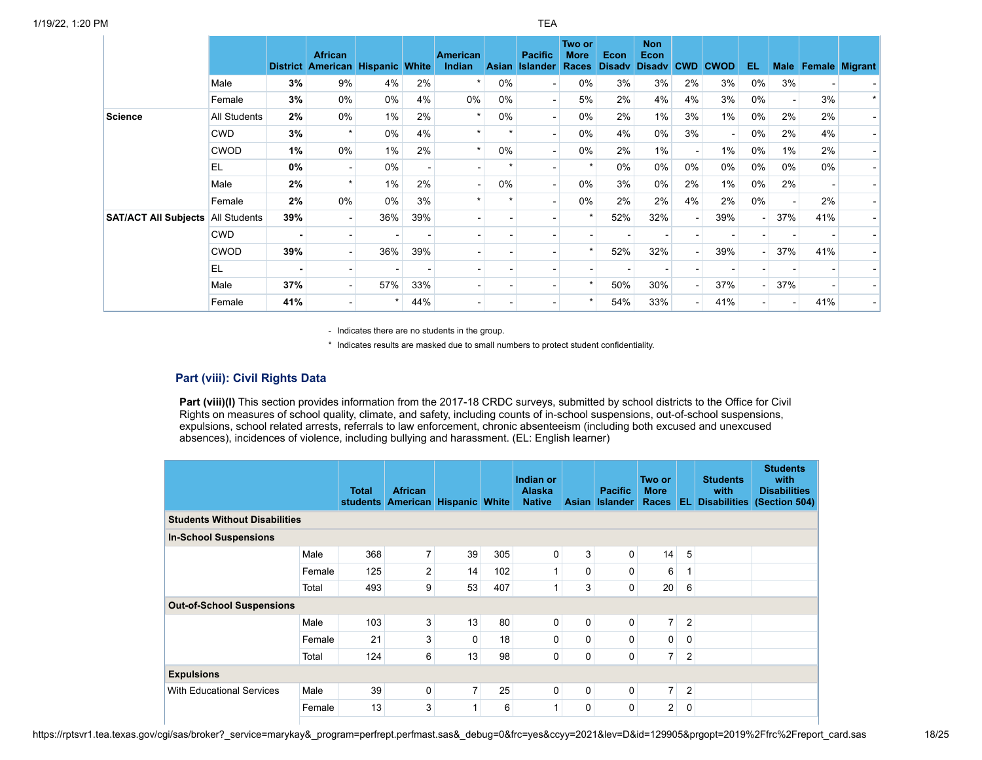|                                          |              | <b>District</b> | <b>African</b><br><b>American Hispanic White</b> |       |     | American<br>Indian | <b>Asian</b> | <b>Pacific</b><br>Islander | Two or<br><b>More</b><br><b>Races</b> | Econ<br><b>Disadv</b> | <b>Non</b><br>Econ<br><b>Disadv</b> | <b>CWD</b> | <b>CWOD</b>    | EL                       | <b>Male</b>    |     | <b>Female Migrant</b>    |
|------------------------------------------|--------------|-----------------|--------------------------------------------------|-------|-----|--------------------|--------------|----------------------------|---------------------------------------|-----------------------|-------------------------------------|------------|----------------|--------------------------|----------------|-----|--------------------------|
|                                          | Male         | 3%              | 9%                                               | 4%    | 2%  |                    | 0%           |                            | 0%                                    | 3%                    | 3%                                  | 2%         | 3%             | 0%                       | 3%             |     | $\sim$ .                 |
|                                          | Female       | 3%              | 0%                                               | 0%    | 4%  | 0%                 | 0%           |                            | 5%                                    | 2%                    | 4%                                  | 4%         | 3%             | $0\%$                    |                | 3%  | $\star$                  |
| Science                                  | All Students | 2%              | 0%                                               | $1\%$ | 2%  |                    | 0%           |                            | 0%                                    | 2%                    | 1%                                  | 3%         | 1%             | 0%                       | 2%             | 2%  |                          |
|                                          | <b>CWD</b>   | 3%              | $\star$                                          | 0%    | 4%  |                    |              |                            | 0%                                    | 4%                    | 0%                                  | 3%         | $\blacksquare$ | 0%                       | 2%             | 4%  | $\overline{\phantom{0}}$ |
|                                          | <b>CWOD</b>  | 1%              | 0%                                               | 1%    | 2%  |                    | 0%           |                            | 0%                                    | 2%                    | 1%                                  |            | 1%             | 0%                       | 1%             | 2%  |                          |
|                                          | <b>EL</b>    | 0%              | $\overline{\phantom{0}}$                         | 0%    |     |                    |              |                            |                                       | $0\%$                 | 0%                                  | 0%         | 0%             | 0%                       | 0%             | 0%  |                          |
|                                          | Male         | 2%              | $\star$                                          | 1%    | 2%  |                    | 0%           |                            | 0%                                    | 3%                    | 0%                                  | 2%         | 1%             | 0%                       | 2%             |     |                          |
|                                          | Female       | 2%              | 0%                                               | 0%    | 3%  |                    |              |                            | 0%                                    | 2%                    | 2%                                  | 4%         | 2%             | $0\%$                    |                | 2%  |                          |
| <b>SAT/ACT All Subjects All Students</b> |              | 39%             | $\blacksquare$                                   | 36%   | 39% |                    |              |                            |                                       | 52%                   | 32%                                 |            | 39%            | ٠                        | 37%            | 41% | $\sim$ .                 |
|                                          | <b>CWD</b>   |                 |                                                  |       |     |                    |              |                            |                                       |                       |                                     |            |                |                          |                |     |                          |
|                                          | <b>CWOD</b>  | 39%             |                                                  | 36%   | 39% |                    |              |                            |                                       | 52%                   | 32%                                 |            | 39%            | ٠                        | 37%            | 41% |                          |
|                                          | <b>EL</b>    |                 |                                                  |       |     |                    |              |                            |                                       |                       |                                     |            |                |                          |                |     |                          |
|                                          | Male         | 37%             |                                                  | 57%   | 33% |                    |              |                            |                                       | 50%                   | 30%                                 |            | 37%            | $\overline{\phantom{0}}$ | 37%            |     |                          |
|                                          | Female       | 41%             |                                                  |       | 44% |                    |              |                            |                                       | 54%                   | 33%                                 |            | 41%            |                          | $\blacksquare$ | 41% | - 1                      |

\* Indicates results are masked due to small numbers to protect student confidentiality.

## **Part (viii): Civil Rights Data**

Part (viii)(I) This section provides information from the 2017-18 CRDC surveys, submitted by school districts to the Office for Civil Rights on measures of school quality, climate, and safety, including counts of in-school suspensions, out-of-school suspensions, expulsions, school related arrests, referrals to law enforcement, chronic absenteeism (including both excused and unexcused absences), incidences of violence, including bullying and harassment. (EL: English learner)

|                                      |        | <b>Total</b><br><b>students</b> | <b>African</b><br><b>American</b> | <b>Hispanic White</b> |     | Indian or<br><b>Alaska</b><br><b>Native</b> | <b>Asian</b> | <b>Pacific</b><br><b>Islander</b> | Two or<br><b>More</b><br><b>Races</b> | EL.            | <b>Students</b><br>with<br><b>Disabilities</b> | <b>Students</b><br>with<br><b>Disabilities</b><br>(Section 504) |
|--------------------------------------|--------|---------------------------------|-----------------------------------|-----------------------|-----|---------------------------------------------|--------------|-----------------------------------|---------------------------------------|----------------|------------------------------------------------|-----------------------------------------------------------------|
| <b>Students Without Disabilities</b> |        |                                 |                                   |                       |     |                                             |              |                                   |                                       |                |                                                |                                                                 |
| <b>In-School Suspensions</b>         |        |                                 |                                   |                       |     |                                             |              |                                   |                                       |                |                                                |                                                                 |
|                                      | Male   | 368                             | $\overline{7}$                    | 39                    | 305 | 0                                           | 3            | 0                                 | 14                                    | 5              |                                                |                                                                 |
|                                      | Female | 125                             | 2                                 | 14                    | 102 | 1                                           | 0            | 0                                 | 6                                     |                |                                                |                                                                 |
|                                      | Total  | 493                             | 9                                 | 53                    | 407 | 1                                           | 3            | 0                                 | 20                                    | 6              |                                                |                                                                 |
| <b>Out-of-School Suspensions</b>     |        |                                 |                                   |                       |     |                                             |              |                                   |                                       |                |                                                |                                                                 |
|                                      | Male   | 103                             | 3                                 | 13                    | 80  | 0                                           | 0            | 0                                 | $\overline{7}$                        | $\overline{2}$ |                                                |                                                                 |
|                                      | Female | 21                              | 3                                 | $\mathbf{0}$          | 18  | 0                                           | 0            | $\mathbf{0}$                      | 0                                     | 0              |                                                |                                                                 |
|                                      | Total  | 124                             | 6                                 | 13                    | 98  | 0                                           | 0            | 0                                 | $\overline{7}$                        | $\overline{2}$ |                                                |                                                                 |
| <b>Expulsions</b>                    |        |                                 |                                   |                       |     |                                             |              |                                   |                                       |                |                                                |                                                                 |
| <b>With Educational Services</b>     | Male   | 39                              | 0                                 | $\overline{7}$        | 25  | 0                                           | 0            | 0                                 | $\overline{7}$                        | $\overline{2}$ |                                                |                                                                 |
|                                      | Female | 13                              | 3                                 | 1                     | 6   | 1                                           | 0            | 0                                 | 2                                     | 0              |                                                |                                                                 |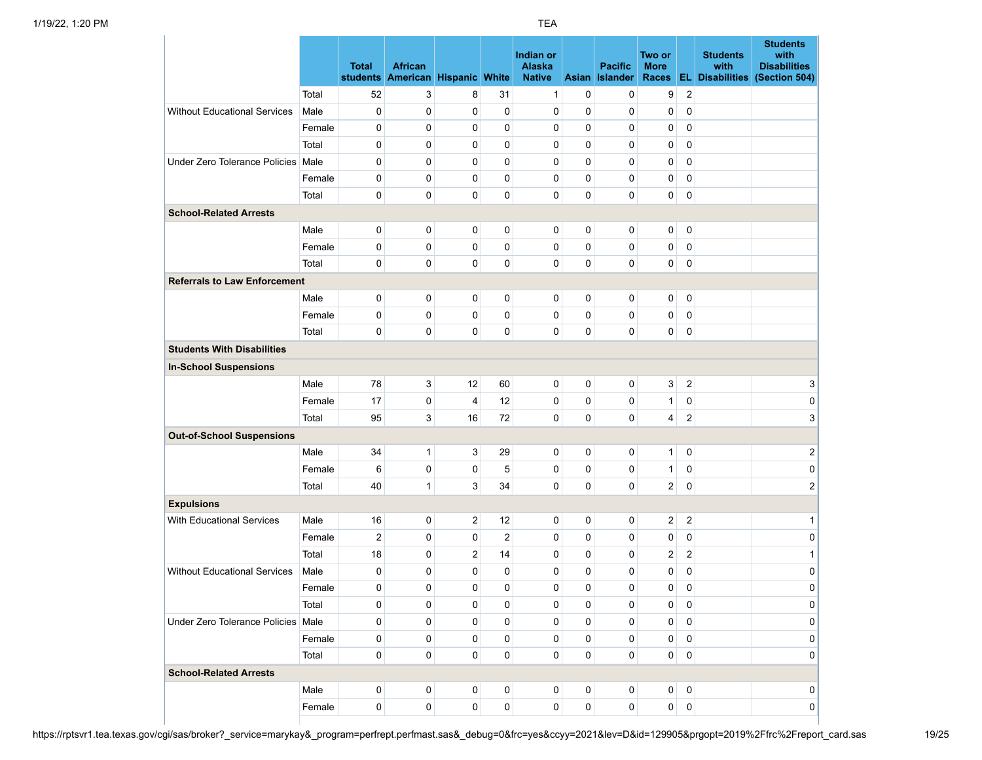|                                     |        | <b>Total</b>   | <b>African</b><br>students American Hispanic White |                         |                | Indian or<br>Alaska<br><b>Native</b> | <b>Asian</b> | <b>Pacific</b><br><b>Islander</b> | Two or<br><b>More</b><br><b>Races</b> |                         | <b>Students</b><br>with<br><b>EL Disabilities</b> | <b>Students</b><br>with<br><b>Disabilities</b><br>(Section 504) |
|-------------------------------------|--------|----------------|----------------------------------------------------|-------------------------|----------------|--------------------------------------|--------------|-----------------------------------|---------------------------------------|-------------------------|---------------------------------------------------|-----------------------------------------------------------------|
|                                     | Total  | 52             | 3                                                  | 8                       | 31             | 1                                    | $\mathbf 0$  | 0                                 | 9                                     | $\overline{\mathbf{c}}$ |                                                   |                                                                 |
| <b>Without Educational Services</b> | Male   | 0              | 0                                                  | 0                       | $\mathbf 0$    | 0                                    | $\mathbf 0$  | 0                                 | 0                                     | 0                       |                                                   |                                                                 |
|                                     | Female | 0              | 0                                                  | 0                       | $\mathbf 0$    | 0                                    | $\mathbf 0$  | 0                                 | 0                                     | 0                       |                                                   |                                                                 |
|                                     | Total  | 0              | 0                                                  | 0                       | $\mathbf 0$    | 0                                    | $\mathbf 0$  | 0                                 | 0                                     | 0                       |                                                   |                                                                 |
| Under Zero Tolerance Policies Male  |        | 0              | 0                                                  | 0                       | $\mathbf 0$    | 0                                    | 0            | 0                                 | 0                                     | 0                       |                                                   |                                                                 |
|                                     | Female | 0              | 0                                                  | 0                       | $\pmb{0}$      | 0                                    | $\mathbf 0$  | 0                                 | 0                                     | 0                       |                                                   |                                                                 |
|                                     | Total  | 0              | 0                                                  | 0                       | $\mathbf 0$    | 0                                    | $\mathbf 0$  | $\mathbf 0$                       | 0                                     | $\pmb{0}$               |                                                   |                                                                 |
| <b>School-Related Arrests</b>       |        |                |                                                    |                         |                |                                      |              |                                   |                                       |                         |                                                   |                                                                 |
|                                     | Male   | 0              | 0                                                  | 0                       | 0              | 0                                    | $\mathbf 0$  | 0                                 | 0                                     | 0                       |                                                   |                                                                 |
|                                     | Female | 0              | 0                                                  | 0                       | $\pmb{0}$      | 0                                    | $\mathbf 0$  | 0                                 | 0                                     | 0                       |                                                   |                                                                 |
|                                     | Total  | 0              | 0                                                  | 0                       | $\pmb{0}$      | 0                                    | $\mathbf 0$  | 0                                 | 0                                     | 0                       |                                                   |                                                                 |
| <b>Referrals to Law Enforcement</b> |        |                |                                                    |                         |                |                                      |              |                                   |                                       |                         |                                                   |                                                                 |
|                                     | Male   | 0              | 0                                                  | 0                       | 0              | 0                                    | 0            | 0                                 | 0                                     | 0                       |                                                   |                                                                 |
|                                     | Female | 0              | 0                                                  | 0                       | 0              | 0                                    | $\mathbf 0$  | 0                                 | 0                                     | 0                       |                                                   |                                                                 |
|                                     | Total  | 0              | 0                                                  | 0                       | 0              | 0                                    | $\mathbf 0$  | 0                                 | 0                                     | 0                       |                                                   |                                                                 |
| <b>Students With Disabilities</b>   |        |                |                                                    |                         |                |                                      |              |                                   |                                       |                         |                                                   |                                                                 |
| <b>In-School Suspensions</b>        |        |                |                                                    |                         |                |                                      |              |                                   |                                       |                         |                                                   |                                                                 |
|                                     | Male   | 78             | 3                                                  | 12                      | 60             | 0                                    | $\pmb{0}$    | 0                                 | 3                                     | 2                       |                                                   | 3                                                               |
|                                     | Female | 17             | 0                                                  | $\overline{4}$          | 12             | 0                                    | 0            | 0                                 | $\mathbf{1}$                          | 0                       |                                                   | 0                                                               |
|                                     | Total  | 95             | 3                                                  | 16                      | 72             | 0                                    | $\pmb{0}$    | 0                                 | 4                                     | $\overline{2}$          |                                                   | 3                                                               |
| <b>Out-of-School Suspensions</b>    |        |                |                                                    |                         |                |                                      |              |                                   |                                       |                         |                                                   |                                                                 |
|                                     | Male   | 34             | $\mathbf{1}$                                       | 3                       | 29             | 0                                    | $\mathbf 0$  | 0                                 | 1                                     | 0                       |                                                   | 2                                                               |
|                                     | Female | 6              | 0                                                  | 0                       | 5              | 0                                    | 0            | $\mathbf 0$                       | 1                                     | 0                       |                                                   | 0                                                               |
|                                     | Total  | 40             | $\mathbf{1}$                                       | 3                       | 34             | 0                                    | $\pmb{0}$    | 0                                 | 2                                     | 0                       |                                                   | $\overline{\mathbf{c}}$                                         |
| <b>Expulsions</b>                   |        |                |                                                    |                         |                |                                      |              |                                   |                                       |                         |                                                   |                                                                 |
| <b>With Educational Services</b>    | Male   | 16             | 0                                                  | $\overline{\mathbf{c}}$ | 12             | 0                                    | $\pmb{0}$    | 0                                 | 2                                     | 2                       |                                                   | $\mathbf{1}$                                                    |
|                                     | Female | $\overline{2}$ | 0                                                  | 0                       | $\overline{2}$ | 0                                    | $\mathbf 0$  | 0                                 | 0                                     | $\pmb{0}$               |                                                   | 0                                                               |
|                                     | Total  | 18             | 0                                                  | $\overline{2}$          | 14             | 0                                    | $\mathbf 0$  | 0                                 | 2                                     | $\overline{2}$          |                                                   | 1                                                               |
| <b>Without Educational Services</b> | Male   | 0              | 0                                                  | 0                       | 0              | 0                                    | 0            | 0                                 | 0                                     | 0                       |                                                   | 0                                                               |
|                                     | Female | 0              | 0                                                  | 0                       | 0              | 0                                    | $\mathbf 0$  | 0                                 | 0                                     | 0                       |                                                   | 0                                                               |
|                                     | Total  | 0              | 0                                                  | 0                       | 0              | 0                                    | 0            | 0                                 | 0                                     | 0                       |                                                   | 0                                                               |
| Under Zero Tolerance Policies Male  |        | 0              | 0                                                  | 0                       | 0              | 0                                    | 0            | 0                                 | 0                                     | 0                       |                                                   | 0                                                               |
|                                     | Female | 0              | 0                                                  | 0                       | 0              | 0                                    | $\mathbf 0$  | 0                                 | 0                                     | $\pmb{0}$               |                                                   | 0                                                               |
|                                     | Total  | 0              | 0                                                  | 0                       | $\pmb{0}$      | 0                                    | $\pmb{0}$    | 0                                 | 0                                     | $\pmb{0}$               |                                                   | 0                                                               |
| <b>School-Related Arrests</b>       |        |                |                                                    |                         |                |                                      |              |                                   |                                       |                         |                                                   |                                                                 |
|                                     | Male   | 0              | 0                                                  | 0                       | 0              | 0                                    | 0            | 0                                 | 0                                     | 0                       |                                                   | $\overline{0}$                                                  |
|                                     | Female | 0              | 0                                                  | 0                       | 0              | 0                                    | $\pmb{0}$    | 0                                 | $\overline{0}$                        | 0                       |                                                   | 0                                                               |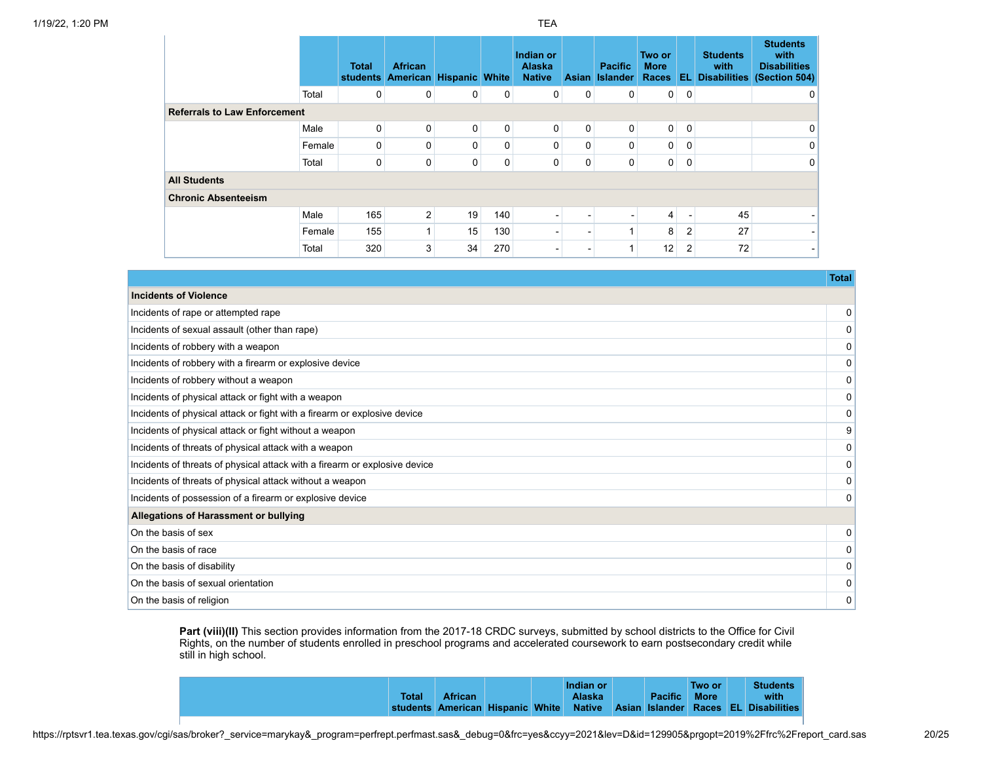|                                     |        | <b>Total</b><br>students | <b>African</b><br><b>American</b> | <b>Hispanic White</b> |     | Indian or<br><b>Alaska</b><br><b>Native</b> | Asian I                  | <b>Pacific</b><br><b>Islander</b> | Two or<br><b>More</b><br><b>Races</b> |                | <b>Students</b><br>with<br><b>EL Disabilities</b> | <b>Students</b><br>with<br><b>Disabilities</b><br>(Section 504) |
|-------------------------------------|--------|--------------------------|-----------------------------------|-----------------------|-----|---------------------------------------------|--------------------------|-----------------------------------|---------------------------------------|----------------|---------------------------------------------------|-----------------------------------------------------------------|
|                                     | Total  | 0                        | 0                                 | 0                     | 0   | 0                                           | 0                        | 0                                 | $\overline{0}$                        | $\mathbf 0$    |                                                   | 0                                                               |
| <b>Referrals to Law Enforcement</b> |        |                          |                                   |                       |     |                                             |                          |                                   |                                       |                |                                                   |                                                                 |
|                                     | Male   | $\mathbf 0$              | 0                                 | $\mathbf 0$           | 0   | 0                                           | 0                        | 0                                 | $\overline{0}$                        | $\overline{0}$ |                                                   | $\overline{0}$                                                  |
|                                     | Female | 0                        | 0                                 | $\Omega$              | 0   | 0                                           | 0                        | 0                                 | $\overline{0}$                        | 0              |                                                   | $\overline{0}$                                                  |
|                                     | Total  | 0                        | 0                                 | 0                     | 0   | 0                                           | 0                        | 0                                 | $\overline{0}$                        | 0              |                                                   | $\overline{0}$                                                  |
| <b>All Students</b>                 |        |                          |                                   |                       |     |                                             |                          |                                   |                                       |                |                                                   |                                                                 |
| <b>Chronic Absenteeism</b>          |        |                          |                                   |                       |     |                                             |                          |                                   |                                       |                |                                                   |                                                                 |
|                                     | Male   | 165                      | $\overline{2}$                    | 19                    | 140 |                                             |                          |                                   | 4                                     |                | 45                                                |                                                                 |
|                                     | Female | 155                      |                                   | 15                    | 130 |                                             |                          |                                   | 8 <sup>1</sup>                        | $\overline{2}$ | 27                                                | - 1                                                             |
|                                     | Total  | 320                      | 3                                 | 34                    | 270 |                                             | $\overline{\phantom{a}}$ |                                   | 12                                    | 2              | 72                                                | - 1                                                             |

| <b>Incidents of Violence</b>                                               |                |
|----------------------------------------------------------------------------|----------------|
| Incidents of rape or attempted rape                                        | $\overline{0}$ |
| Incidents of sexual assault (other than rape)                              | $\overline{0}$ |
| Incidents of robbery with a weapon                                         | $\overline{0}$ |
| Incidents of robbery with a firearm or explosive device                    | $\overline{0}$ |
| Incidents of robbery without a weapon                                      | $\overline{0}$ |
| Incidents of physical attack or fight with a weapon                        | $\overline{0}$ |
| Incidents of physical attack or fight with a firearm or explosive device   | $\overline{0}$ |
| Incidents of physical attack or fight without a weapon                     | 9              |
| Incidents of threats of physical attack with a weapon                      | $\overline{0}$ |
| Incidents of threats of physical attack with a firearm or explosive device | $\overline{0}$ |
| Incidents of threats of physical attack without a weapon                   | $\overline{0}$ |
| Incidents of possession of a firearm or explosive device                   | $\overline{0}$ |
| Allegations of Harassment or bullying                                      |                |
| On the basis of sex                                                        | $\overline{0}$ |
| On the basis of race                                                       | $\overline{0}$ |
| On the basis of disability                                                 | $\overline{0}$ |
| On the basis of sexual orientation                                         | 0              |
| On the basis of religion                                                   | 0              |

**Part (viii)(II)** This section provides information from the 2017-18 CRDC surveys, submitted by school districts to the Office for Civil Rights, on the number of students enrolled in preschool programs and accelerated coursework to earn postsecondary credit while still in high school.

| <b>Total</b> | <b>African</b> |  | Indian or<br><b>Alaska</b> | <b>Pacific</b> | Two or<br><b>More</b> | <b>Students</b><br>with                                                      |
|--------------|----------------|--|----------------------------|----------------|-----------------------|------------------------------------------------------------------------------|
|              |                |  |                            |                |                       | students American Hispanic White Native Asian Islander Races EL Disabilities |

https://rptsvr1.tea.texas.gov/cgi/sas/broker?\_service=marykay&\_program=perfrept.perfmast.sas&\_debug=0&frc=yes&ccyy=2021&lev=D&id=129905&prgopt=2019%2Ffrc%2Freport\_card.sas 20/25

**Total**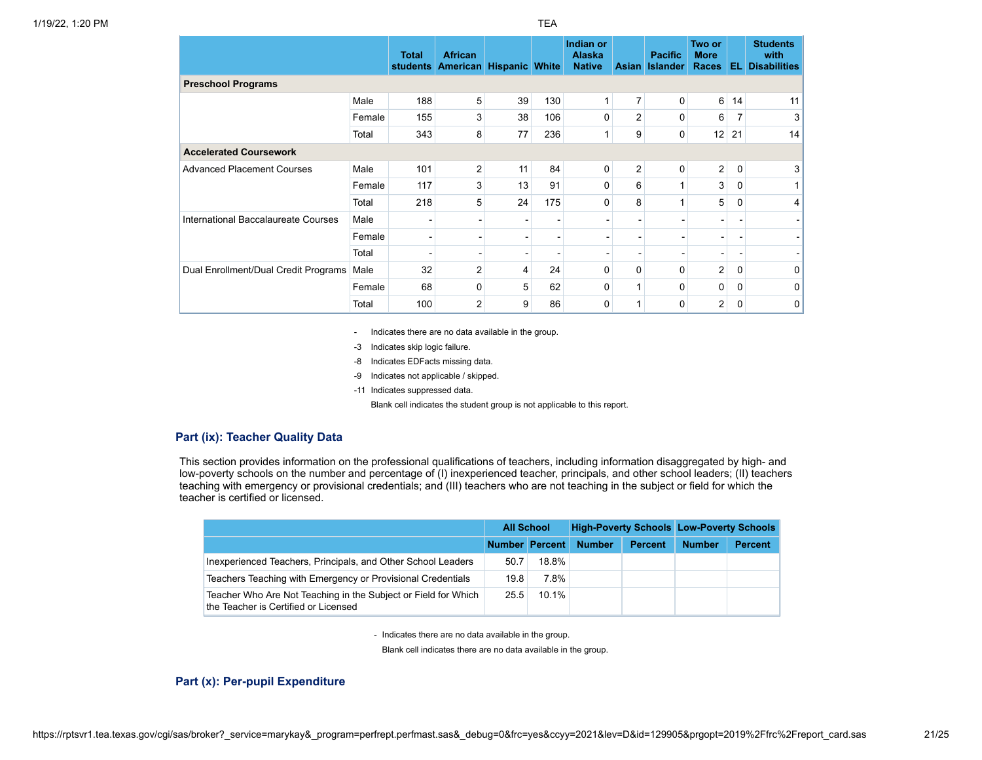|                                      |        | <b>Total</b><br><b>students</b> | <b>African</b><br>American | <b>Hispanic White</b> |     | Indian or<br><b>Alaska</b><br><b>Native</b> | <b>Asian</b>   | <b>Pacific</b><br><b>Islander</b> | Two or<br><b>More</b><br>Races | EL.         | <b>Students</b><br>with<br><b>Disabilities</b> |
|--------------------------------------|--------|---------------------------------|----------------------------|-----------------------|-----|---------------------------------------------|----------------|-----------------------------------|--------------------------------|-------------|------------------------------------------------|
| <b>Preschool Programs</b>            |        |                                 |                            |                       |     |                                             |                |                                   |                                |             |                                                |
|                                      | Male   | 188                             | 5                          | 39                    | 130 |                                             | $\overline{7}$ | 0                                 | 6                              | 14          | 11                                             |
|                                      | Female | 155                             | 3                          | 38                    | 106 | $\Omega$                                    | $\overline{2}$ | 0                                 | 6                              |             | 3                                              |
|                                      | Total  | 343                             | 8                          | 77                    | 236 |                                             | 9              | 0                                 | 12                             | 21          | 14                                             |
| <b>Accelerated Coursework</b>        |        |                                 |                            |                       |     |                                             |                |                                   |                                |             |                                                |
| <b>Advanced Placement Courses</b>    | Male   | 101                             | 2                          | 11                    | 84  | $\Omega$                                    | 2              | 0                                 | $\overline{2}$                 | $\mathbf 0$ | 3                                              |
|                                      | Female | 117                             | 3                          | 13                    | 91  | 0                                           | 6              |                                   | 3                              | 0           |                                                |
|                                      | Total  | 218                             | 5                          | 24                    | 175 | 0                                           | 8              |                                   | 5                              | 0           | 4                                              |
| International Baccalaureate Courses  | Male   |                                 |                            |                       |     |                                             |                |                                   |                                |             |                                                |
|                                      | Female |                                 |                            |                       |     |                                             |                | -                                 |                                |             |                                                |
|                                      | Total  |                                 |                            |                       |     |                                             |                |                                   |                                |             |                                                |
| Dual Enrollment/Dual Credit Programs | Male   | 32                              | 2                          | 4                     | 24  | $\Omega$                                    | $\Omega$       | 0                                 | $\overline{2}$                 | 0           | 0                                              |
|                                      | Female | 68                              | 0                          | 5                     | 62  | 0                                           |                | 0                                 | 0                              | $\Omega$    | 0                                              |

- Indicates there are no data available in the group.

-3 Indicates skip logic failure.

- -8 Indicates EDFacts missing data.
- -9 Indicates not applicable / skipped.
- -11 Indicates suppressed data.

Blank cell indicates the student group is not applicable to this report.

## **Part (ix): Teacher Quality Data**

This section provides information on the professional qualifications of teachers, including information disaggregated by high- and low-poverty schools on the number and percentage of (I) inexperienced teacher, principals, and other school leaders; (II) teachers teaching with emergency or provisional credentials; and (III) teachers who are not teaching in the subject or field for which the teacher is certified or licensed.

|                                                                                                        | <b>All School</b> |       |               |                | <b>High-Poverty Schools Low-Poverty Schools</b> |                |  |
|--------------------------------------------------------------------------------------------------------|-------------------|-------|---------------|----------------|-------------------------------------------------|----------------|--|
|                                                                                                        | Number Percent    |       | <b>Number</b> | <b>Percent</b> | <b>Number</b>                                   | <b>Percent</b> |  |
| Inexperienced Teachers, Principals, and Other School Leaders                                           | 50.7              | 18.8% |               |                |                                                 |                |  |
| Teachers Teaching with Emergency or Provisional Credentials                                            | 19.8              | 7.8%  |               |                |                                                 |                |  |
| Teacher Who Are Not Teaching in the Subject or Field for Which<br>the Teacher is Certified or Licensed | 25.5              | 10.1% |               |                |                                                 |                |  |

- Indicates there are no data available in the group.

Blank cell indicates there are no data available in the group.

### **Part (x): Per-pupil Expenditure**

Total 100 2 9 86 0 1 0 2 0 0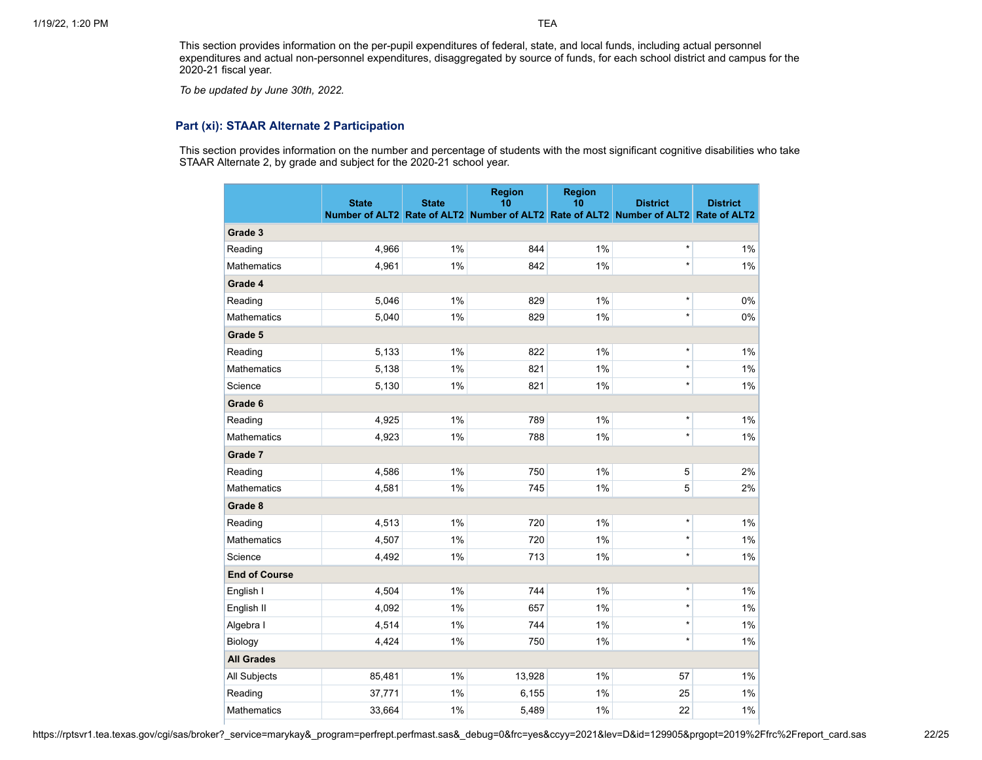This section provides information on the per-pupil expenditures of federal, state, and local funds, including actual personnel expenditures and actual non-personnel expenditures, disaggregated by source of funds, for each school district and campus for the 2020-21 fiscal year.

*To be updated by June 30th, 2022.*

## **Part (xi): STAAR Alternate 2 Participation**

This section provides information on the number and percentage of students with the most significant cognitive disabilities who take STAAR Alternate 2, by grade and subject for the 2020-21 school year.

|                      | <b>State</b> | <b>State</b> | <b>Region</b><br>10 | <b>Region</b><br>10 | <b>District</b><br>Number of ALT2 Rate of ALT2 Number of ALT2 Rate of ALT2 Number of ALT2 Rate of ALT2 | <b>District</b> |
|----------------------|--------------|--------------|---------------------|---------------------|--------------------------------------------------------------------------------------------------------|-----------------|
| Grade 3              |              |              |                     |                     |                                                                                                        |                 |
| Reading              | 4,966        | 1%           | 844                 | 1%                  | $\star$                                                                                                | 1%              |
| <b>Mathematics</b>   | 4,961        | 1%           | 842                 | 1%                  | $\star$                                                                                                | $1\%$           |
| Grade 4              |              |              |                     |                     |                                                                                                        |                 |
| Reading              | 5,046        | 1%           | 829                 | 1%                  | $\star$                                                                                                | $0\%$           |
| <b>Mathematics</b>   | 5,040        | 1%           | 829                 | 1%                  | $\star$                                                                                                | 0%              |
| Grade 5              |              |              |                     |                     |                                                                                                        |                 |
| Reading              | 5,133        | 1%           | 822                 | 1%                  | $\star$                                                                                                | 1%              |
| <b>Mathematics</b>   | 5,138        | 1%           | 821                 | 1%                  | $\star$                                                                                                | $1\%$           |
| Science              | 5,130        | 1%           | 821                 | 1%                  | $\star$                                                                                                | $1\%$           |
| Grade 6              |              |              |                     |                     |                                                                                                        |                 |
| Reading              | 4,925        | 1%           | 789                 | 1%                  |                                                                                                        | $1\%$           |
| <b>Mathematics</b>   | 4,923        | 1%           | 788                 | 1%                  | $\star$                                                                                                | $1\%$           |
| Grade 7              |              |              |                     |                     |                                                                                                        |                 |
| Reading              | 4,586        | 1%           | 750                 | 1%                  | $\mathbf 5$                                                                                            | 2%              |
| <b>Mathematics</b>   | 4,581        | 1%           | 745                 | 1%                  | 5                                                                                                      | 2%              |
| Grade 8              |              |              |                     |                     |                                                                                                        |                 |
| Reading              | 4,513        | 1%           | 720                 | 1%                  | $\star$                                                                                                | 1%              |
| <b>Mathematics</b>   | 4,507        | 1%           | 720                 | 1%                  | $\star$                                                                                                | $1\%$           |
| Science              | 4,492        | 1%           | 713                 | 1%                  | $\star$                                                                                                | 1%              |
| <b>End of Course</b> |              |              |                     |                     |                                                                                                        |                 |
| English I            | 4,504        | 1%           | 744                 | 1%                  | $\star$                                                                                                | $1\%$           |
| English II           | 4,092        | 1%           | 657                 | 1%                  | $\star$                                                                                                | $1\%$           |
| Algebra I            | 4,514        | 1%           | 744                 | 1%                  | $\star$                                                                                                | $1\%$           |
| Biology              | 4,424        | 1%           | 750                 | 1%                  | $\star$                                                                                                | $1\%$           |
| <b>All Grades</b>    |              |              |                     |                     |                                                                                                        |                 |
| <b>All Subjects</b>  | 85,481       | 1%           | 13,928              | 1%                  | 57                                                                                                     | 1%              |
| Reading              | 37,771       | 1%           | 6,155               | 1%                  | 25                                                                                                     | 1%              |
| <b>Mathematics</b>   | 33,664       | 1%           | 5,489               | 1%                  | 22                                                                                                     | 1%              |

https://rptsvr1.tea.texas.gov/cgi/sas/broker?\_service=marykay&\_program=perfrept.perfmast.sas&\_debug=0&frc=yes&ccyy=2021&lev=D&id=129905&prgopt=2019%2Ffrc%2Freport\_card.sas 22/25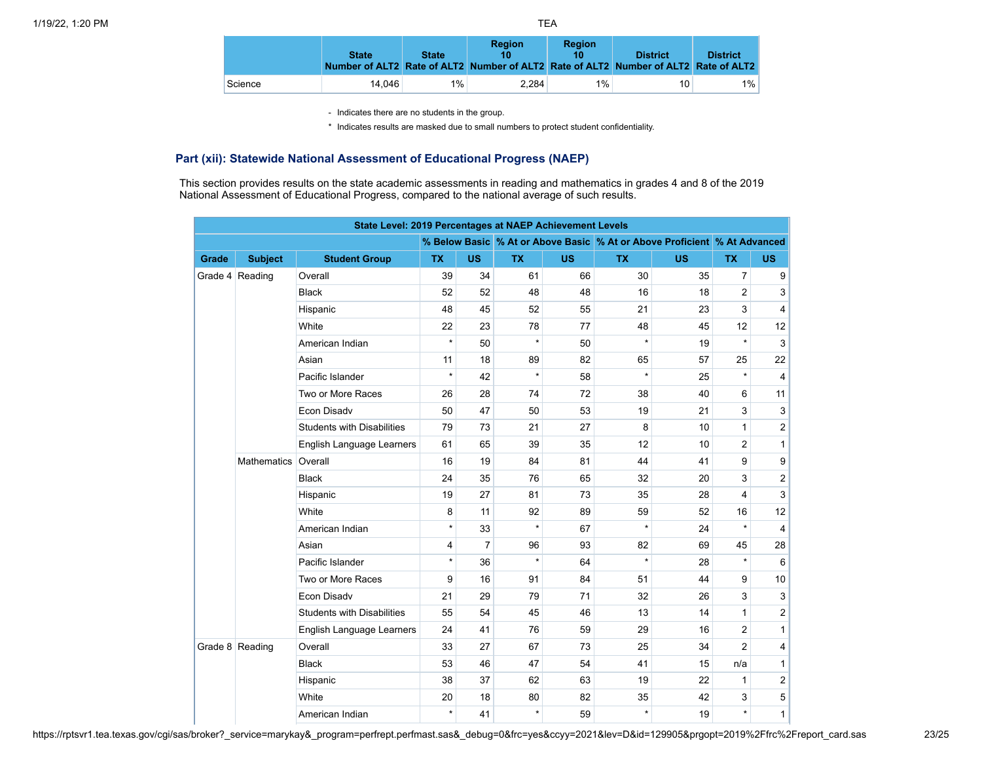|         | <b>State</b> | <b>State</b> | <b>Region</b><br>Number of ALT2 Rate of ALT2 Number of ALT2 Rate of ALT2 Number of ALT2 Rate of ALT2 | <b>Region</b> | <b>District</b> | <b>District</b> |
|---------|--------------|--------------|------------------------------------------------------------------------------------------------------|---------------|-----------------|-----------------|
| Science | 14.046       | $1\%$        | 2.284                                                                                                | 1%            | 10              | $1\%$           |

\* Indicates results are masked due to small numbers to protect student confidentiality.

# **Part (xii): Statewide National Assessment of Educational Progress (NAEP)**

This section provides results on the state academic assessments in reading and mathematics in grades 4 and 8 of the 2019 National Assessment of Educational Progress, compared to the national average of such results.

|       | State Level: 2019 Percentages at NAEP Achievement Levels<br>% Below Basic % At or Above Basic % At or Above Proficient % At Advanced |                                   |           |                |           |           |           |           |                         |                         |  |  |  |  |  |
|-------|--------------------------------------------------------------------------------------------------------------------------------------|-----------------------------------|-----------|----------------|-----------|-----------|-----------|-----------|-------------------------|-------------------------|--|--|--|--|--|
|       |                                                                                                                                      |                                   |           |                |           |           |           |           |                         |                         |  |  |  |  |  |
| Grade | <b>Subject</b>                                                                                                                       | <b>Student Group</b>              | <b>TX</b> | <b>US</b>      | <b>TX</b> | <b>US</b> | <b>TX</b> | <b>US</b> | <b>TX</b>               | <b>US</b>               |  |  |  |  |  |
|       | Grade 4 Reading                                                                                                                      | Overall                           | 39        | 34             | 61        | 66        | 30        | 35        | $\overline{7}$          | 9                       |  |  |  |  |  |
|       |                                                                                                                                      | <b>Black</b>                      | 52        | 52             | 48        | 48        | 16        | 18        | $\overline{2}$          | 3                       |  |  |  |  |  |
|       |                                                                                                                                      | Hispanic                          | 48        | 45             | 52        | 55        | 21        | 23        | 3                       | $\overline{4}$          |  |  |  |  |  |
|       |                                                                                                                                      | White                             | 22        | 23             | 78        | 77        | 48        | 45        | 12                      | 12                      |  |  |  |  |  |
|       |                                                                                                                                      | American Indian                   | $\star$   | 50             | $\star$   | 50        | $\star$   | 19        | $\star$                 | 3                       |  |  |  |  |  |
|       |                                                                                                                                      | Asian                             | 11        | 18             | 89        | 82        | 65        | 57        | 25                      | 22                      |  |  |  |  |  |
|       |                                                                                                                                      | Pacific Islander                  | $\star$   | 42             | $\star$   | 58        | $\star$   | 25        | $\star$                 | $\overline{4}$          |  |  |  |  |  |
|       |                                                                                                                                      | Two or More Races                 | 26        | 28             | 74        | 72        | 38        | 40        | 6                       | 11                      |  |  |  |  |  |
|       |                                                                                                                                      | Econ Disadv                       | 50        | 47             | 50        | 53        | 19        | 21        | 3                       | 3                       |  |  |  |  |  |
|       |                                                                                                                                      | <b>Students with Disabilities</b> | 79        | 73             | 21        | 27        | 8         | 10        | $\mathbf{1}$            | $\overline{\mathbf{c}}$ |  |  |  |  |  |
|       |                                                                                                                                      | <b>English Language Learners</b>  | 61        | 65             | 39        | 35        | 12        | 10        | $\overline{2}$          | $\mathbf{1}$            |  |  |  |  |  |
|       | <b>Mathematics</b>                                                                                                                   | Overall                           | 16        | 19             | 84        | 81        | 44        | 41        | 9                       | 9                       |  |  |  |  |  |
|       |                                                                                                                                      | <b>Black</b>                      | 24        | 35             | 76        | 65        | 32        | 20        | 3                       | $\overline{\mathbf{c}}$ |  |  |  |  |  |
|       |                                                                                                                                      | Hispanic                          | 19        | 27             | 81        | 73        | 35        | 28        | $\overline{\mathbf{4}}$ | 3                       |  |  |  |  |  |
|       |                                                                                                                                      | White                             | 8         | 11             | 92        | 89        | 59        | 52        | 16                      | 12                      |  |  |  |  |  |
|       |                                                                                                                                      | American Indian                   | $\star$   | 33             | $\star$   | 67        | $\star$   | 24        | $\star$                 | $\overline{4}$          |  |  |  |  |  |
|       |                                                                                                                                      | Asian                             | 4         | $\overline{7}$ | 96        | 93        | 82        | 69        | 45                      | 28                      |  |  |  |  |  |
|       |                                                                                                                                      | Pacific Islander                  | $\star$   | 36             | $\star$   | 64        | $\star$   | 28        |                         | 6                       |  |  |  |  |  |
|       |                                                                                                                                      | Two or More Races                 | 9         | 16             | 91        | 84        | 51        | 44        | 9                       | 10                      |  |  |  |  |  |
|       |                                                                                                                                      | Econ Disadv                       | 21        | 29             | 79        | 71        | 32        | 26        | 3                       | 3                       |  |  |  |  |  |
|       |                                                                                                                                      | <b>Students with Disabilities</b> | 55        | 54             | 45        | 46        | 13        | 14        | $\mathbf{1}$            | $\overline{\mathbf{c}}$ |  |  |  |  |  |
|       |                                                                                                                                      | <b>English Language Learners</b>  | 24        | 41             | 76        | 59        | 29        | 16        | $\overline{2}$          | $\mathbf{1}$            |  |  |  |  |  |
|       | Grade 8 Reading                                                                                                                      | Overall                           | 33        | 27             | 67        | 73        | 25        | 34        | $\overline{2}$          | 4                       |  |  |  |  |  |
|       |                                                                                                                                      | <b>Black</b>                      | 53        | 46             | 47        | 54        | 41        | 15        | n/a                     | 1                       |  |  |  |  |  |
|       |                                                                                                                                      | Hispanic                          | 38        | 37             | 62        | 63        | 19        | 22        | $\mathbf{1}$            | $\overline{\mathbf{c}}$ |  |  |  |  |  |
|       |                                                                                                                                      | White                             | 20        | 18             | 80        | 82        | 35        | 42        | 3                       | 5                       |  |  |  |  |  |
|       |                                                                                                                                      | American Indian                   | $\star$   | 41             | $\star$   | 59        | $\star$   | 19        | $\star$                 | 1                       |  |  |  |  |  |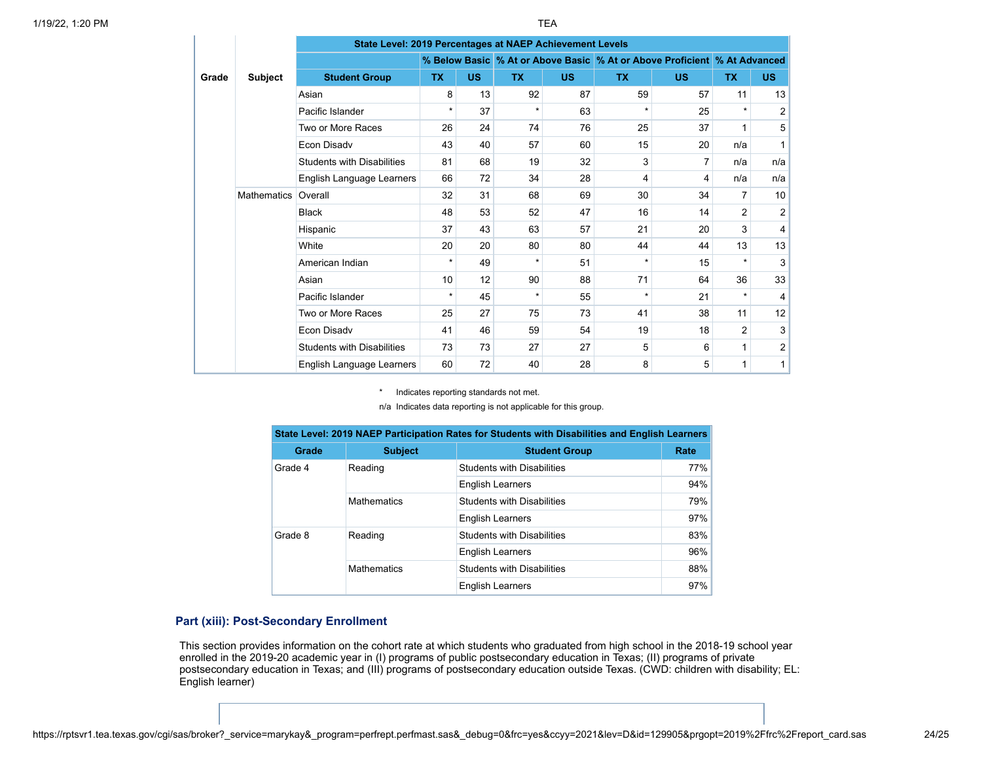|       |                    | State Level: 2019 Percentages at NAEP Achievement Levels |          |           |           |           |                                                                          |           |           |                |  |  |  |  |
|-------|--------------------|----------------------------------------------------------|----------|-----------|-----------|-----------|--------------------------------------------------------------------------|-----------|-----------|----------------|--|--|--|--|
|       |                    |                                                          |          |           |           |           | % Below Basic % At or Above Basic % At or Above Proficient % At Advanced |           |           |                |  |  |  |  |
| Grade | <b>Subject</b>     | <b>Student Group</b>                                     | TX.      | <b>US</b> | <b>TX</b> | <b>US</b> | <b>TX</b>                                                                | <b>US</b> | <b>TX</b> | <b>US</b>      |  |  |  |  |
|       |                    | Asian                                                    | 8        | 13        | 92        | 87        | 59                                                                       | 57        | 11        | 13             |  |  |  |  |
|       |                    | Pacific Islander                                         | $\star$  | 37        | $^\star$  | 63        | $\star$                                                                  | 25        | $\star$   | $\overline{2}$ |  |  |  |  |
|       |                    | Two or More Races                                        | 26       | 24        | 74        | 76        | 25                                                                       | 37        | 1         | 5              |  |  |  |  |
|       |                    | Econ Disadv                                              | 43       | 40        | 57        | 60        | 15                                                                       | 20        | n/a       |                |  |  |  |  |
|       |                    | <b>Students with Disabilities</b>                        | 81       | 68        | 19        | 32        | 3                                                                        | 7         | n/a       | n/a            |  |  |  |  |
|       |                    | English Language Learners                                | 66       | 72        | 34        | 28        | 4                                                                        | 4         | n/a       | n/a            |  |  |  |  |
|       | <b>Mathematics</b> | Overall                                                  | 32       | 31        | 68        | 69        | 30                                                                       | 34        | 7         | 10             |  |  |  |  |
|       |                    | <b>Black</b>                                             | 48       | 53        | 52        | 47        | 16                                                                       | 14        | 2         | 2              |  |  |  |  |
|       |                    | Hispanic                                                 | 37       | 43        | 63        | 57        | 21                                                                       | 20        | 3         | 4              |  |  |  |  |
|       |                    | White                                                    | 20       | 20        | 80        | 80        | 44                                                                       | 44        | 13        | 13             |  |  |  |  |
|       |                    | American Indian                                          | $\star$  | 49        | $\star$   | 51        | $\star$                                                                  | 15        | $\star$   | 3              |  |  |  |  |
|       |                    | Asian                                                    | 10       | 12        | 90        | 88        | 71                                                                       | 64        | 36        | 33             |  |  |  |  |
|       |                    | Pacific Islander                                         | $^\star$ | 45        | $\star$   | 55        | $\star$                                                                  | 21        | $\star$   | 4              |  |  |  |  |
|       |                    | Two or More Races                                        | 25       | 27        | 75        | 73        | 41                                                                       | 38        | 11        | 12             |  |  |  |  |
|       |                    | Econ Disadv                                              | 41       | 46        | 59        | 54        | 19                                                                       | 18        | 2         | 3              |  |  |  |  |
|       |                    | <b>Students with Disabilities</b>                        | 73       | 73        | 27        | 27        | 5                                                                        | 6         | 1         | $\overline{2}$ |  |  |  |  |
|       |                    | English Language Learners                                | 60       | 72        | 40        | 28        | 8                                                                        | 5         | 1         | 1              |  |  |  |  |

\* Indicates reporting standards not met.

n/a Indicates data reporting is not applicable for this group.

|         |                    | State Level: 2019 NAEP Participation Rates for Students with Disabilities and English Learners |        |
|---------|--------------------|------------------------------------------------------------------------------------------------|--------|
| Grade   | <b>Subject</b>     | <b>Student Group</b>                                                                           | Rate   |
| Grade 4 | Reading            | <b>Students with Disabilities</b>                                                              | $77\%$ |
|         |                    | <b>English Learners</b>                                                                        | 94%    |
|         | <b>Mathematics</b> | <b>Students with Disabilities</b>                                                              | 79%    |
|         |                    | <b>English Learners</b>                                                                        | 97%    |
| Grade 8 | Reading            | <b>Students with Disabilities</b>                                                              | 83%    |
|         |                    | <b>English Learners</b>                                                                        | 96%    |
|         | <b>Mathematics</b> | <b>Students with Disabilities</b>                                                              | 88%    |
|         |                    | <b>English Learners</b>                                                                        | 97%    |

## **Part (xiii): Post-Secondary Enrollment**

This section provides information on the cohort rate at which students who graduated from high school in the 2018-19 school year enrolled in the 2019-20 academic year in (I) programs of public postsecondary education in Texas; (II) programs of private postsecondary education in Texas; and (III) programs of postsecondary education outside Texas. (CWD: children with disability; EL: English learner)